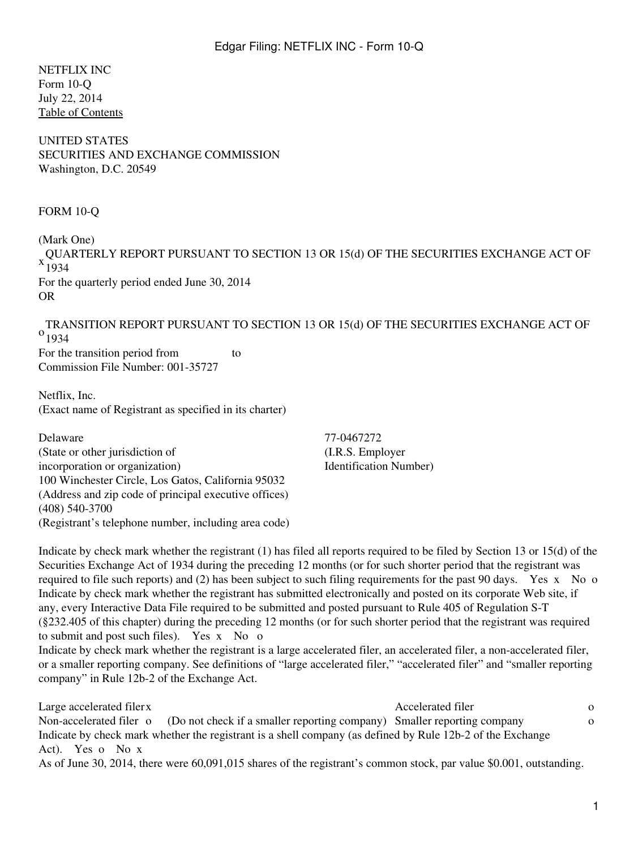NETFLIX INC Form 10-Q July 22, 2014 [Table of Contents](#page-2-0)

UNITED STATES SECURITIES AND EXCHANGE COMMISSION Washington, D.C. 20549

#### FORM 10-Q

(Mark One) QUARTERLY REPORT PURSUANT TO SECTION 13 OR 15(d) OF THE SECURITIES EXCHANGE ACT OF 1934 For the quarterly period ended June 30, 2014 OR

 $^{0}$ <sub>1934</sub> TRANSITION REPORT PURSUANT TO SECTION 13 OR 15(d) OF THE SECURITIES EXCHANGE ACT OF For the transition period from to

Commission File Number: 001-35727

Netflix, Inc. (Exact name of Registrant as specified in its charter)

Delaware 77-0467272 (State or other jurisdiction of incorporation or organization) 100 Winchester Circle, Los Gatos, California 95032 (Address and zip code of principal executive offices) (408) 540-3700 (Registrant's telephone number, including area code)

(I.R.S. Employer Identification Number)

Indicate by check mark whether the registrant (1) has filed all reports required to be filed by Section 13 or 15(d) of the Securities Exchange Act of 1934 during the preceding 12 months (or for such shorter period that the registrant was required to file such reports) and (2) has been subject to such filing requirements for the past 90 days. Yes x No o Indicate by check mark whether the registrant has submitted electronically and posted on its corporate Web site, if any, every Interactive Data File required to be submitted and posted pursuant to Rule 405 of Regulation S-T (§232.405 of this chapter) during the preceding 12 months (or for such shorter period that the registrant was required to submit and post such files). Yes x No o Indicate by check mark whether the registrant is a large accelerated filer, an accelerated filer, a non-accelerated filer, or a smaller reporting company. See definitions of "large accelerated filer," "accelerated filer" and "smaller reporting company" in Rule 12b-2 of the Exchange Act.

Large accelerated filerx on the Accelerated filer on the Accelerated filer on the Accelerated filer on the Accelerated filer on the Accelerated filer on the Accelerated filer on the Accelerated filer on the Accelerated fil Non-accelerated filer o (Do not check if a smaller reporting company) Smaller reporting company o Indicate by check mark whether the registrant is a shell company (as defined by Rule 12b-2 of the Exchange Act). Yes o No x As of June 30, 2014, there were 60,091,015 shares of the registrant's common stock, par value \$0.001, outstanding.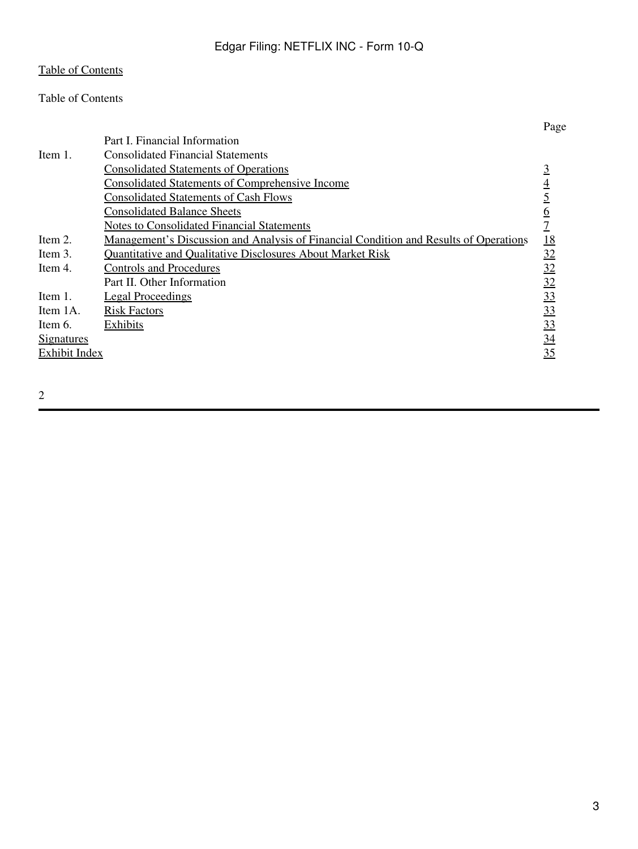# <span id="page-2-0"></span>Table of Contents

|                      |                                                                                              | Page            |
|----------------------|----------------------------------------------------------------------------------------------|-----------------|
|                      | Part I. Financial Information                                                                |                 |
| Item $1$ .           | <b>Consolidated Financial Statements</b>                                                     |                 |
|                      | <b>Consolidated Statements of Operations</b>                                                 |                 |
|                      | <b>Consolidated Statements of Comprehensive Income</b>                                       | 4               |
|                      | <b>Consolidated Statements of Cash Flows</b>                                                 |                 |
|                      | <b>Consolidated Balance Sheets</b>                                                           | <u>6</u>        |
|                      | <b>Notes to Consolidated Financial Statements</b>                                            |                 |
| Item 2.              | <u>Management's Discussion and Analysis of Financial Condition and Results of Operations</u> | <u>18</u>       |
| Item 3.              | <b>Quantitative and Qualitative Disclosures About Market Risk</b>                            | 32              |
| Item 4.              | <b>Controls and Procedures</b>                                                               | 32              |
|                      | Part II. Other Information                                                                   | 32              |
| Item 1.              | <b>Legal Proceedings</b>                                                                     | $\overline{33}$ |
| Item 1A.             | <b>Risk Factors</b>                                                                          | 33              |
| Item 6.              | Exhibits                                                                                     | 33              |
| <u>Signatures</u>    |                                                                                              | 34              |
| <b>Exhibit Index</b> |                                                                                              | 35              |
|                      |                                                                                              |                 |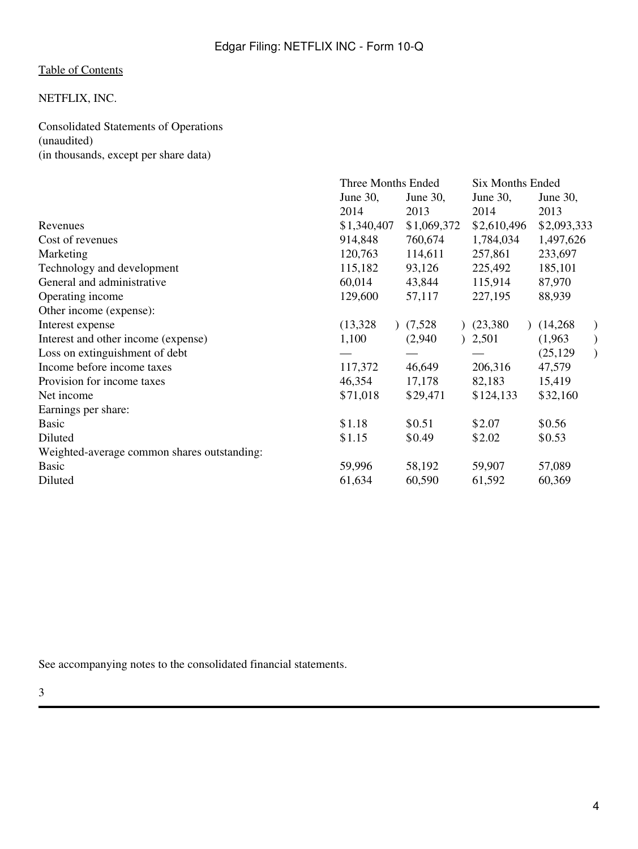# NETFLIX, INC.

<span id="page-3-0"></span>Consolidated Statements of Operations (unaudited) (in thousands, except per share data)

|                                             | Three Months Ended |             | <b>Six Months Ended</b> |             |
|---------------------------------------------|--------------------|-------------|-------------------------|-------------|
|                                             | June 30,           | June 30,    | June 30,                | June 30,    |
|                                             | 2014               | 2013        | 2014                    | 2013        |
| Revenues                                    | \$1,340,407        | \$1,069,372 | \$2,610,496             | \$2,093,333 |
| Cost of revenues                            | 914,848            | 760,674     | 1,784,034               | 1,497,626   |
| Marketing                                   | 120,763            | 114,611     | 257,861                 | 233,697     |
| Technology and development                  | 115,182            | 93,126      | 225,492                 | 185,101     |
| General and administrative                  | 60,014             | 43,844      | 115,914                 | 87,970      |
| Operating income                            | 129,600            | 57,117      | 227,195                 | 88,939      |
| Other income (expense):                     |                    |             |                         |             |
| Interest expense                            | (13,328)           | (7,528)     | (23,380)                | (14,268)    |
| Interest and other income (expense)         | 1,100              | (2,940)     | 2,501                   | (1,963)     |
| Loss on extinguishment of debt              |                    |             |                         | (25, 129)   |
| Income before income taxes                  | 117,372            | 46,649      | 206,316                 | 47,579      |
| Provision for income taxes                  | 46,354             | 17,178      | 82,183                  | 15,419      |
| Net income                                  | \$71,018           | \$29,471    | \$124,133               | \$32,160    |
| Earnings per share:                         |                    |             |                         |             |
| <b>Basic</b>                                | \$1.18             | \$0.51      | \$2.07                  | \$0.56      |
| Diluted                                     | \$1.15             | \$0.49      | \$2.02                  | \$0.53      |
| Weighted-average common shares outstanding: |                    |             |                         |             |
| <b>Basic</b>                                | 59,996             | 58,192      | 59,907                  | 57,089      |
| Diluted                                     | 61,634             | 60,590      | 61,592                  | 60,369      |
|                                             |                    |             |                         |             |

See accompanying notes to the consolidated financial statements.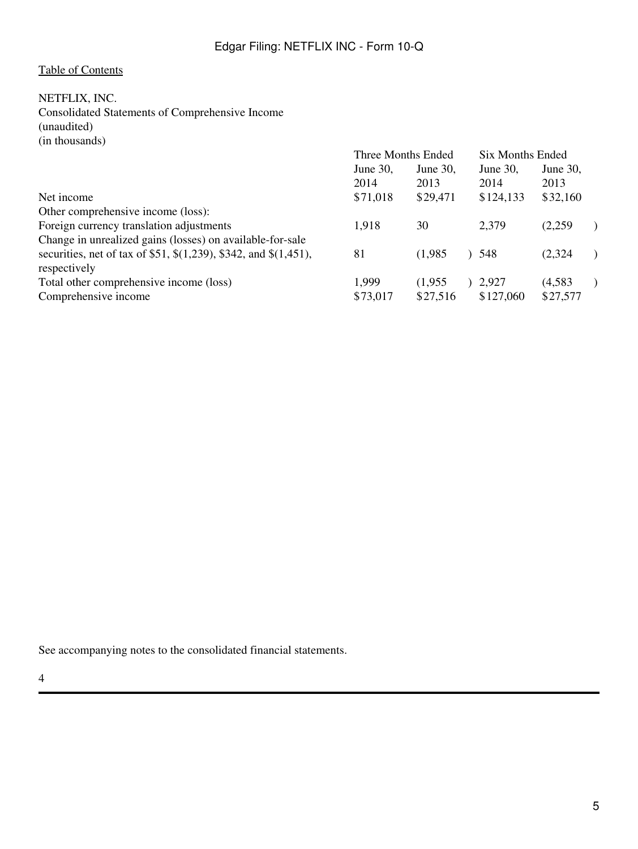# <span id="page-4-0"></span>NETFLIX, INC.

Consolidated Statements of Comprehensive Income (unaudited) (in thousands)

|                                                                        | Three Months Ended |          | Six Months Ended |             |          |  |
|------------------------------------------------------------------------|--------------------|----------|------------------|-------------|----------|--|
|                                                                        | June 30,           | June 30, |                  | June $30$ , | June 30, |  |
|                                                                        | 2014               | 2013     |                  | 2014        | 2013     |  |
| Net income                                                             | \$71,018           | \$29,471 |                  | \$124,133   | \$32,160 |  |
| Other comprehensive income (loss):                                     |                    |          |                  |             |          |  |
| Foreign currency translation adjustments                               | 1,918              | 30       |                  | 2,379       | (2,259)  |  |
| Change in unrealized gains (losses) on available-for-sale              |                    |          |                  |             |          |  |
| securities, net of tax of \$51, $\$(1,239)$ , \$342, and $\$(1,451)$ , | 81                 | (1,985)  |                  | ) 548       | (2,324)  |  |
| respectively                                                           |                    |          |                  |             |          |  |
| Total other comprehensive income (loss)                                | 1,999              | (1.955)  |                  | 2.927       | (4,583)  |  |
| Comprehensive income                                                   | \$73,017           | \$27,516 |                  | \$127,060   | \$27,577 |  |

See accompanying notes to the consolidated financial statements.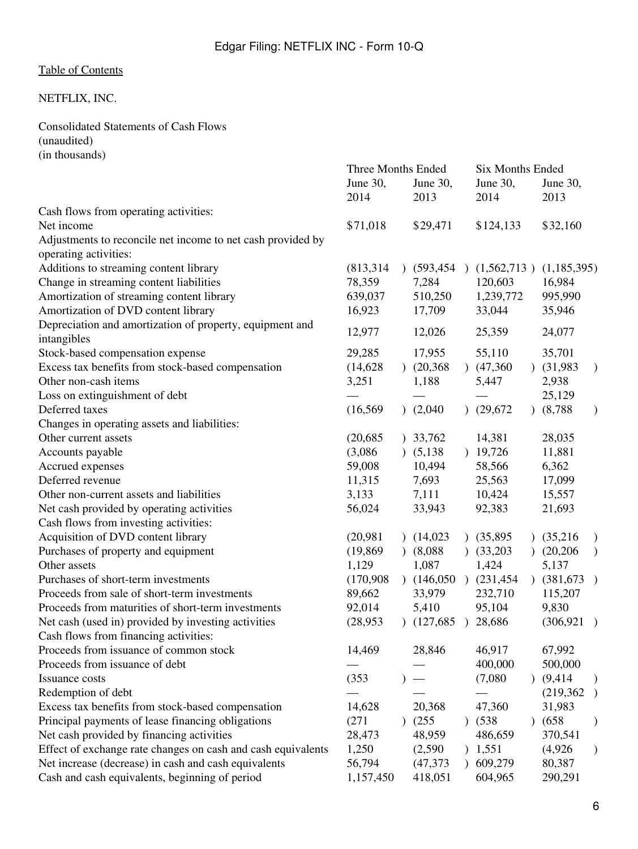# <span id="page-5-0"></span>NETFLIX, INC.

Consolidated Statements of Cash Flows (unaudited) (in thousands)

|                                                              | Three Months Ended |            |               |               | <b>Six Months Ended</b> |               |               |  |
|--------------------------------------------------------------|--------------------|------------|---------------|---------------|-------------------------|---------------|---------------|--|
|                                                              | June 30,           | June 30,   |               | June 30,      |                         | June 30,      |               |  |
|                                                              | 2014               | 2013       |               | 2014          |                         | 2013          |               |  |
| Cash flows from operating activities:                        |                    |            |               |               |                         |               |               |  |
| Net income                                                   | \$71,018           | \$29,471   |               | \$124,133     |                         | \$32,160      |               |  |
| Adjustments to reconcile net income to net cash provided by  |                    |            |               |               |                         |               |               |  |
| operating activities:                                        |                    |            |               |               |                         |               |               |  |
| Additions to streaming content library                       | (813, 314)         | (593, 454) | $\lambda$     | (1,562,713)   |                         | (1,185,395)   |               |  |
| Change in streaming content liabilities                      | 78,359             | 7,284      |               | 120,603       |                         | 16,984        |               |  |
| Amortization of streaming content library                    | 639,037            | 510,250    |               | 1,239,772     |                         | 995,990       |               |  |
| Amortization of DVD content library                          | 16,923             | 17,709     |               | 33,044        |                         | 35,946        |               |  |
| Depreciation and amortization of property, equipment and     | 12,977             | 12,026     |               | 25,359        |                         |               |               |  |
| intangibles                                                  |                    |            |               |               |                         | 24,077        |               |  |
| Stock-based compensation expense                             | 29,285             | 17,955     |               | 55,110        |                         | 35,701        |               |  |
| Excess tax benefits from stock-based compensation            | (14,628)           | (20, 368)  |               | (47,360)      |                         | $)$ (31,983)  | $\mathcal{E}$ |  |
| Other non-cash items                                         | 3,251              | 1,188      |               | 5,447         |                         | 2,938         |               |  |
| Loss on extinguishment of debt                               |                    |            |               |               |                         | 25,129        |               |  |
| Deferred taxes                                               | (16, 569)          | (2,040)    |               | (29,672)      |                         | (8, 788)      | $\mathcal{E}$ |  |
| Changes in operating assets and liabilities:                 |                    |            |               |               |                         |               |               |  |
| Other current assets                                         | (20, 685)          | 33,762     |               | 14,381        |                         | 28,035        |               |  |
| Accounts payable                                             | (3,086)            | (5,138)    |               | 19,726        |                         | 11,881        |               |  |
| Accrued expenses                                             | 59,008             | 10,494     |               | 58,566        |                         | 6,362         |               |  |
| Deferred revenue                                             | 11,315             | 7,693      |               | 25,563        |                         | 17,099        |               |  |
| Other non-current assets and liabilities                     | 3,133              | 7,111      |               | 10,424        |                         | 15,557        |               |  |
| Net cash provided by operating activities                    | 56,024             | 33,943     |               | 92,383        |                         | 21,693        |               |  |
| Cash flows from investing activities:                        |                    |            |               |               |                         |               |               |  |
| Acquisition of DVD content library                           | (20,981)           | (14,023)   | $\mathcal{L}$ | (35,895)      |                         | (35,216)      | $\mathcal{E}$ |  |
| Purchases of property and equipment                          | (19, 869)          | (8,088)    |               | (33,203)      |                         | (20,206)      | $\mathcal{E}$ |  |
| Other assets                                                 | 1,129              | 1,087      |               | 1,424         |                         | 5,137         |               |  |
| Purchases of short-term investments                          | (170,908)          | (146,050)  |               | $)$ (231,454) |                         | $)$ (381,673) | $\big)$       |  |
| Proceeds from sale of short-term investments                 | 89,662             | 33,979     |               | 232,710       |                         | 115,207       |               |  |
| Proceeds from maturities of short-term investments           | 92,014             | 5,410      |               | 95,104        |                         | 9,830         |               |  |
| Net cash (used in) provided by investing activities          | (28,953)           | (127,685)  | $\lambda$     | 28,686        |                         | (306, 921)    | $\big)$       |  |
| Cash flows from financing activities:                        |                    |            |               |               |                         |               |               |  |
| Proceeds from issuance of common stock                       | 14,469             | 28,846     |               | 46,917        |                         | 67,992        |               |  |
| Proceeds from issuance of debt                               |                    |            |               | 400,000       |                         | 500,000       |               |  |
| Issuance costs                                               | (353)              |            |               | (7,080)       |                         | (9, 414)      | $)$           |  |
| Redemption of debt                                           |                    |            |               |               |                         | (219, 362)    | $\lambda$     |  |
| Excess tax benefits from stock-based compensation            | 14,628             | 20,368     |               | 47,360        |                         | 31,983        |               |  |
| Principal payments of lease financing obligations            | (271)              | (255)      |               | (538)         |                         | (658)         | $\mathcal{Y}$ |  |
| Net cash provided by financing activities                    | 28,473             | 48,959     |               | 486,659       |                         | 370,541       |               |  |
| Effect of exchange rate changes on cash and cash equivalents | 1,250              | (2,590)    | $\mathcal{L}$ | 1,551         |                         | (4,926)       | ⟩             |  |
| Net increase (decrease) in cash and cash equivalents         | 56,794             | (47, 373)  | $\mathcal{L}$ | 609,279       |                         | 80,387        |               |  |
| Cash and cash equivalents, beginning of period               | 1,157,450          | 418,051    |               | 604,965       |                         | 290,291       |               |  |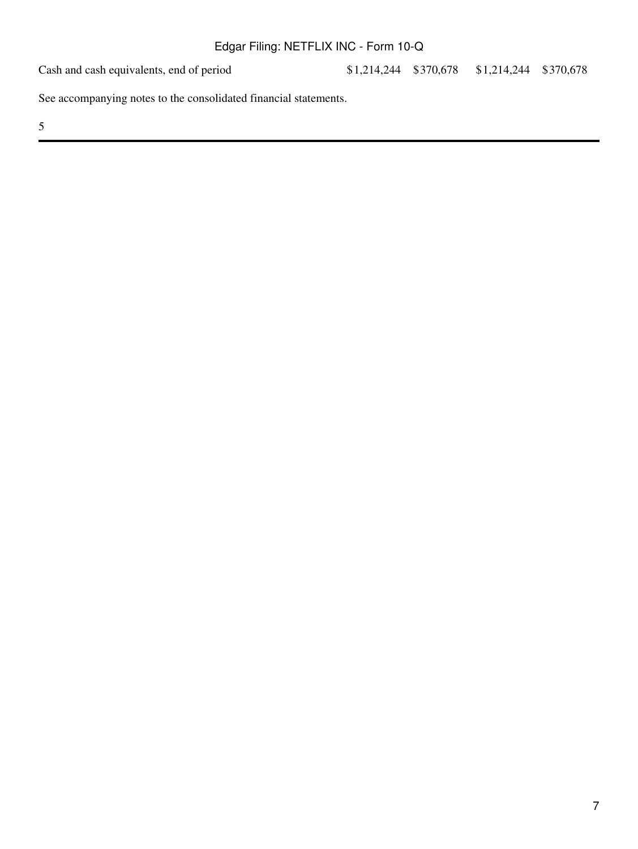Cash and cash equivalents, end of period \$1,214,244 \$370,678 \$1,214,244 \$370,678

See accompanying notes to the consolidated financial statements.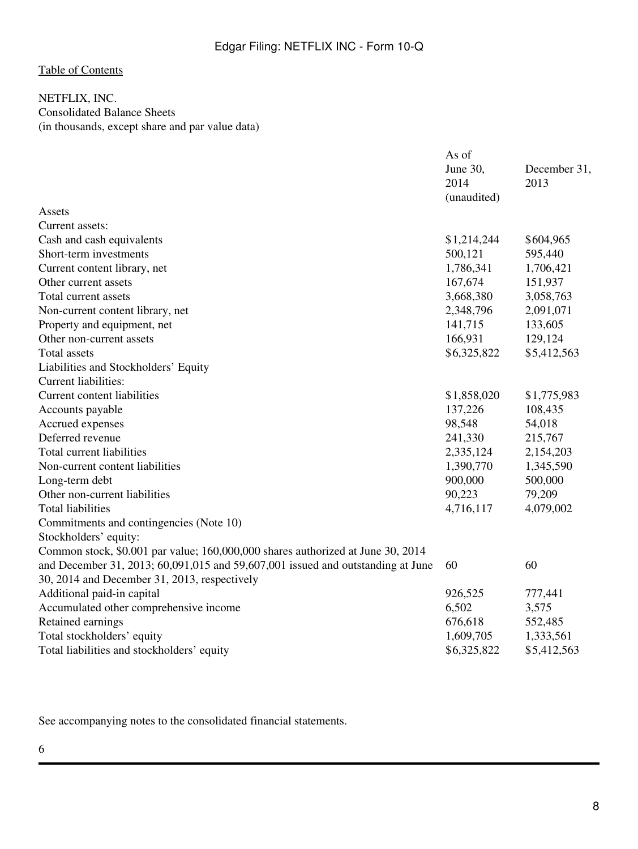# <span id="page-7-0"></span>NETFLIX, INC. Consolidated Balance Sheets (in thousands, except share and par value data)

|                                                                                 | As of       |              |
|---------------------------------------------------------------------------------|-------------|--------------|
|                                                                                 | June 30,    | December 31, |
|                                                                                 | 2014        | 2013         |
|                                                                                 | (unaudited) |              |
| Assets                                                                          |             |              |
| Current assets:                                                                 |             |              |
| Cash and cash equivalents                                                       | \$1,214,244 | \$604,965    |
| Short-term investments                                                          | 500,121     | 595,440      |
| Current content library, net                                                    | 1,786,341   | 1,706,421    |
| Other current assets                                                            | 167,674     | 151,937      |
| Total current assets                                                            | 3,668,380   | 3,058,763    |
| Non-current content library, net                                                | 2,348,796   | 2,091,071    |
| Property and equipment, net                                                     | 141,715     | 133,605      |
| Other non-current assets                                                        | 166,931     | 129,124      |
| Total assets                                                                    | \$6,325,822 | \$5,412,563  |
| Liabilities and Stockholders' Equity                                            |             |              |
| Current liabilities:                                                            |             |              |
| <b>Current content liabilities</b>                                              | \$1,858,020 | \$1,775,983  |
| Accounts payable                                                                | 137,226     | 108,435      |
| Accrued expenses                                                                | 98,548      | 54,018       |
| Deferred revenue                                                                | 241,330     | 215,767      |
| Total current liabilities                                                       | 2,335,124   | 2,154,203    |
| Non-current content liabilities                                                 | 1,390,770   | 1,345,590    |
| Long-term debt                                                                  | 900,000     | 500,000      |
| Other non-current liabilities                                                   | 90,223      | 79,209       |
| <b>Total liabilities</b>                                                        | 4,716,117   | 4,079,002    |
| Commitments and contingencies (Note 10)                                         |             |              |
| Stockholders' equity:                                                           |             |              |
| Common stock, \$0.001 par value; 160,000,000 shares authorized at June 30, 2014 |             |              |
| and December 31, 2013; 60,091,015 and 59,607,001 issued and outstanding at June | 60          | 60           |
| 30, 2014 and December 31, 2013, respectively                                    |             |              |
| Additional paid-in capital                                                      | 926,525     | 777,441      |
| Accumulated other comprehensive income                                          | 6,502       | 3,575        |
| Retained earnings                                                               | 676,618     | 552,485      |
| Total stockholders' equity                                                      | 1,609,705   | 1,333,561    |
| Total liabilities and stockholders' equity                                      | \$6,325,822 | \$5,412,563  |
|                                                                                 |             |              |

See accompanying notes to the consolidated financial statements.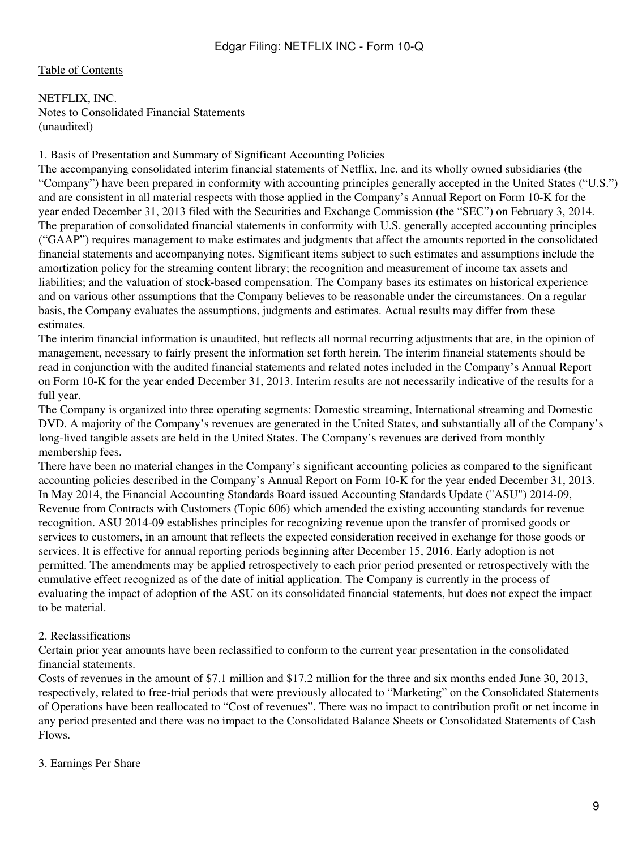### <span id="page-8-0"></span>[Table of Contents](#page-2-0)

NETFLIX, INC. Notes to Consolidated Financial Statements (unaudited)

#### 1. Basis of Presentation and Summary of Significant Accounting Policies

The accompanying consolidated interim financial statements of Netflix, Inc. and its wholly owned subsidiaries (the "Company") have been prepared in conformity with accounting principles generally accepted in the United States ("U.S.") and are consistent in all material respects with those applied in the Company's Annual Report on Form 10-K for the year ended December 31, 2013 filed with the Securities and Exchange Commission (the "SEC") on February 3, 2014. The preparation of consolidated financial statements in conformity with U.S. generally accepted accounting principles ("GAAP") requires management to make estimates and judgments that affect the amounts reported in the consolidated financial statements and accompanying notes. Significant items subject to such estimates and assumptions include the amortization policy for the streaming content library; the recognition and measurement of income tax assets and liabilities; and the valuation of stock-based compensation. The Company bases its estimates on historical experience and on various other assumptions that the Company believes to be reasonable under the circumstances. On a regular basis, the Company evaluates the assumptions, judgments and estimates. Actual results may differ from these estimates.

The interim financial information is unaudited, but reflects all normal recurring adjustments that are, in the opinion of management, necessary to fairly present the information set forth herein. The interim financial statements should be read in conjunction with the audited financial statements and related notes included in the Company's Annual Report on Form 10-K for the year ended December 31, 2013. Interim results are not necessarily indicative of the results for a full year.

The Company is organized into three operating segments: Domestic streaming, International streaming and Domestic DVD. A majority of the Company's revenues are generated in the United States, and substantially all of the Company's long-lived tangible assets are held in the United States. The Company's revenues are derived from monthly membership fees.

There have been no material changes in the Company's significant accounting policies as compared to the significant accounting policies described in the Company's Annual Report on Form 10-K for the year ended December 31, 2013. In May 2014, the Financial Accounting Standards Board issued Accounting Standards Update ("ASU") 2014-09, Revenue from Contracts with Customers (Topic 606) which amended the existing accounting standards for revenue recognition. ASU 2014-09 establishes principles for recognizing revenue upon the transfer of promised goods or services to customers, in an amount that reflects the expected consideration received in exchange for those goods or services. It is effective for annual reporting periods beginning after December 15, 2016. Early adoption is not permitted. The amendments may be applied retrospectively to each prior period presented or retrospectively with the cumulative effect recognized as of the date of initial application. The Company is currently in the process of evaluating the impact of adoption of the ASU on its consolidated financial statements, but does not expect the impact to be material.

### 2. Reclassifications

Certain prior year amounts have been reclassified to conform to the current year presentation in the consolidated financial statements.

Costs of revenues in the amount of \$7.1 million and \$17.2 million for the three and six months ended June 30, 2013, respectively, related to free-trial periods that were previously allocated to "Marketing" on the Consolidated Statements of Operations have been reallocated to "Cost of revenues". There was no impact to contribution profit or net income in any period presented and there was no impact to the Consolidated Balance Sheets or Consolidated Statements of Cash Flows.

#### 3. Earnings Per Share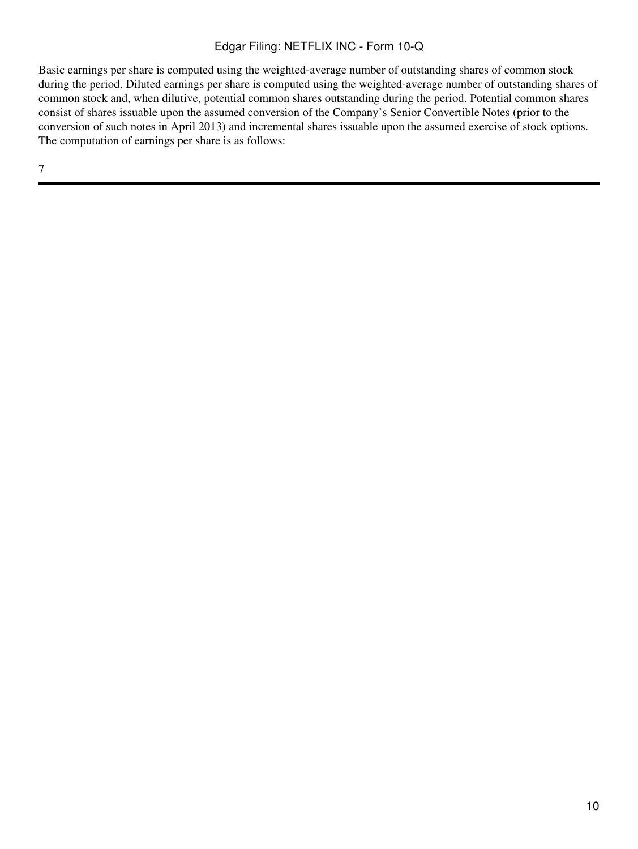Basic earnings per share is computed using the weighted-average number of outstanding shares of common stock during the period. Diluted earnings per share is computed using the weighted-average number of outstanding shares of common stock and, when dilutive, potential common shares outstanding during the period. Potential common shares consist of shares issuable upon the assumed conversion of the Company's Senior Convertible Notes (prior to the conversion of such notes in April 2013) and incremental shares issuable upon the assumed exercise of stock options. The computation of earnings per share is as follows: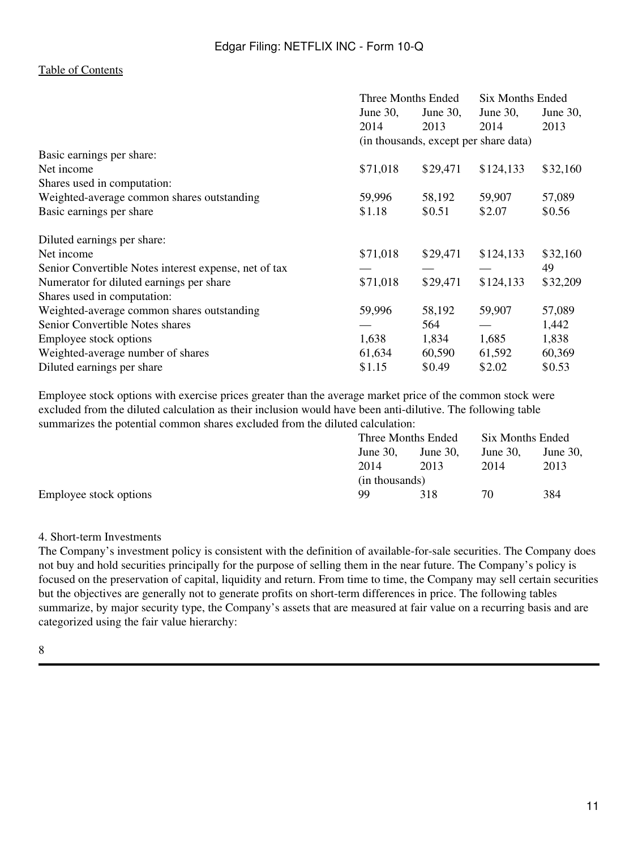|                                                       | Three Months Ended                    |             | Six Months Ended |          |  |
|-------------------------------------------------------|---------------------------------------|-------------|------------------|----------|--|
|                                                       | June $30$ ,                           | June $30$ , | June $30$ ,      | June 30, |  |
|                                                       | 2014                                  | 2013        | 2014             | 2013     |  |
|                                                       | (in thousands, except per share data) |             |                  |          |  |
| Basic earnings per share:                             |                                       |             |                  |          |  |
| Net income                                            | \$71,018                              | \$29,471    | \$124,133        | \$32,160 |  |
| Shares used in computation:                           |                                       |             |                  |          |  |
| Weighted-average common shares outstanding            | 59,996                                | 58,192      | 59,907           | 57,089   |  |
| Basic earnings per share                              | \$1.18                                | \$0.51      | \$2.07           | \$0.56   |  |
| Diluted earnings per share:                           |                                       |             |                  |          |  |
| Net income                                            | \$71,018                              | \$29,471    | \$124,133        | \$32,160 |  |
| Senior Convertible Notes interest expense, net of tax |                                       |             |                  | 49       |  |
| Numerator for diluted earnings per share              | \$71,018                              | \$29,471    | \$124,133        | \$32,209 |  |
| Shares used in computation:                           |                                       |             |                  |          |  |
| Weighted-average common shares outstanding            | 59,996                                | 58,192      | 59,907           | 57,089   |  |
| Senior Convertible Notes shares                       |                                       | 564         |                  | 1,442    |  |
| Employee stock options                                | 1,638                                 | 1,834       | 1,685            | 1,838    |  |
| Weighted-average number of shares                     | 61,634                                | 60,590      | 61,592           | 60,369   |  |
| Diluted earnings per share                            | \$1.15                                | \$0.49      | \$2.02           | \$0.53   |  |

Employee stock options with exercise prices greater than the average market price of the common stock were excluded from the diluted calculation as their inclusion would have been anti-dilutive. The following table summarizes the potential common shares excluded from the diluted calculation:

|                        | Three Months Ended |             | Six Months Ended |             |  |
|------------------------|--------------------|-------------|------------------|-------------|--|
|                        | June $30$ .        | June $30$ . | June 30.         | June $30$ , |  |
|                        | 2014               | 2013        | 2014             | 2013        |  |
|                        | (in thousands)     |             |                  |             |  |
| Employee stock options | 99                 | 318         | 70               | 384         |  |

#### 4. Short-term Investments

The Company's investment policy is consistent with the definition of available-for-sale securities. The Company does not buy and hold securities principally for the purpose of selling them in the near future. The Company's policy is focused on the preservation of capital, liquidity and return. From time to time, the Company may sell certain securities but the objectives are generally not to generate profits on short-term differences in price. The following tables summarize, by major security type, the Company's assets that are measured at fair value on a recurring basis and are categorized using the fair value hierarchy: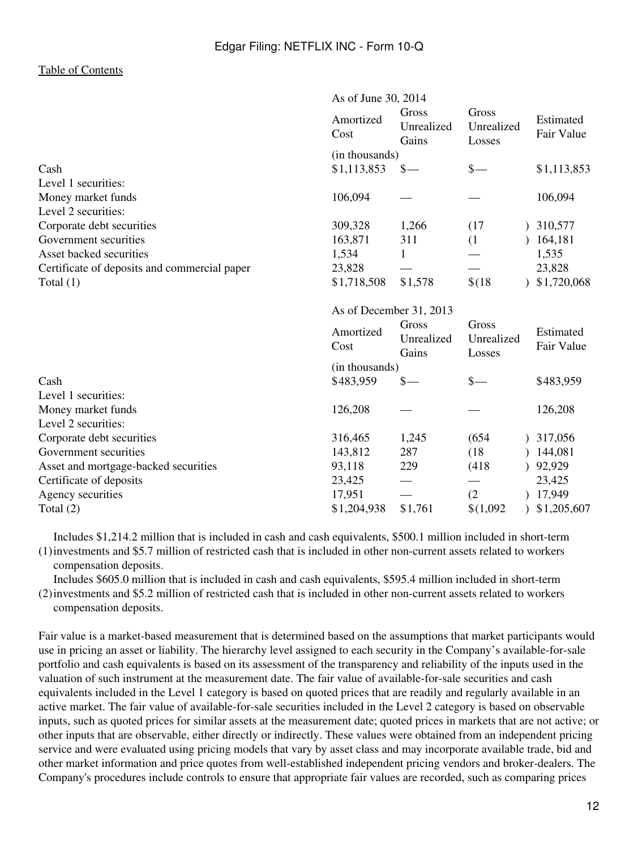|                                              |                   | As of June 30, 2014          |                               |  |                         |  |
|----------------------------------------------|-------------------|------------------------------|-------------------------------|--|-------------------------|--|
|                                              | Amortized<br>Cost | Gross<br>Unrealized<br>Gains | Gross<br>Unrealized<br>Losses |  | Estimated<br>Fair Value |  |
|                                              | (in thousands)    |                              |                               |  |                         |  |
| Cash                                         | \$1,113,853       | $s-$                         | $\frac{\S}{\S}$               |  | \$1,113,853             |  |
| Level 1 securities:                          |                   |                              |                               |  |                         |  |
| Money market funds                           | 106,094           |                              |                               |  | 106,094                 |  |
| Level 2 securities:                          |                   |                              |                               |  |                         |  |
| Corporate debt securities                    | 309,328           | 1,266                        | (17)                          |  | ) 310,577               |  |
| Government securities                        | 163,871           | 311                          | (1)                           |  | 164,181                 |  |
| Asset backed securities                      | 1,534             | 1                            |                               |  | 1,535                   |  |
| Certificate of deposits and commercial paper | 23,828            |                              |                               |  | 23,828                  |  |
| Total $(1)$                                  | \$1,718,508       | \$1,578                      | \$(18)                        |  | \$1,720,068             |  |
|                                              |                   | As of December 31, 2013      |                               |  |                         |  |
|                                              | Amortized<br>Cost | Gross<br>Unrealized<br>Gains | Gross<br>Unrealized<br>Losses |  | Estimated<br>Fair Value |  |
|                                              | (in thousands)    |                              |                               |  |                         |  |
| Cash                                         | \$483,959         | $\mathcal{S}-$               | $\frac{1}{2}$                 |  | \$483,959               |  |
| Level 1 securities:                          |                   |                              |                               |  |                         |  |
| Money market funds                           | 126,208           |                              |                               |  | 126,208                 |  |
| Level 2 securities:                          |                   |                              |                               |  |                         |  |
| Corporate debt securities                    | 316,465           | 1,245                        | (654)                         |  | 317,056                 |  |
| Government securities                        | 143,812           | 287                          | (18)                          |  | 144,081                 |  |
| Asset and mortgage-backed securities         | 93,118            | 229                          | (418)                         |  | 92,929                  |  |
| Certificate of deposits                      | 23,425            |                              |                               |  | 23,425                  |  |
| Agency securities                            | 17,951            |                              | (2)                           |  | 17,949                  |  |
| Total $(2)$                                  | \$1,204,938       | \$1,761                      | \$(1,092)                     |  | \$1,205,607             |  |

(1) investments and \$5.7 million of restricted cash that is included in other non-current assets related to workers Includes \$1,214.2 million that is included in cash and cash equivalents, \$500.1 million included in short-term compensation deposits.

(2) investments and \$5.2 million of restricted cash that is included in other non-current assets related to workers Includes \$605.0 million that is included in cash and cash equivalents, \$595.4 million included in short-term compensation deposits.

Fair value is a market-based measurement that is determined based on the assumptions that market participants would use in pricing an asset or liability. The hierarchy level assigned to each security in the Company's available-for-sale portfolio and cash equivalents is based on its assessment of the transparency and reliability of the inputs used in the valuation of such instrument at the measurement date. The fair value of available-for-sale securities and cash equivalents included in the Level 1 category is based on quoted prices that are readily and regularly available in an active market. The fair value of available-for-sale securities included in the Level 2 category is based on observable inputs, such as quoted prices for similar assets at the measurement date; quoted prices in markets that are not active; or other inputs that are observable, either directly or indirectly. These values were obtained from an independent pricing service and were evaluated using pricing models that vary by asset class and may incorporate available trade, bid and other market information and price quotes from well-established independent pricing vendors and broker-dealers. The Company's procedures include controls to ensure that appropriate fair values are recorded, such as comparing prices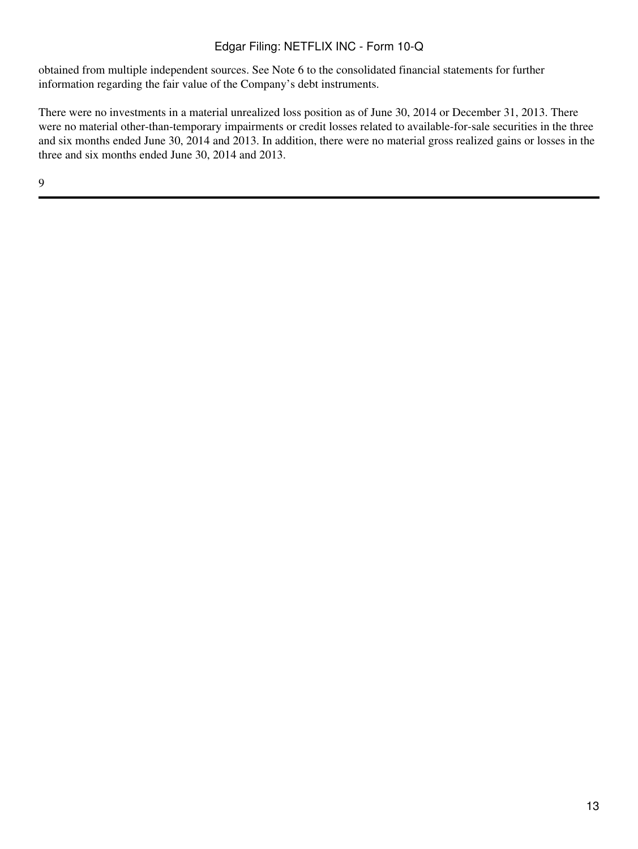obtained from multiple independent sources. See Note 6 to the consolidated financial statements for further information regarding the fair value of the Company's debt instruments.

There were no investments in a material unrealized loss position as of June 30, 2014 or December 31, 2013. There were no material other-than-temporary impairments or credit losses related to available-for-sale securities in the three and six months ended June 30, 2014 and 2013. In addition, there were no material gross realized gains or losses in the three and six months ended June 30, 2014 and 2013.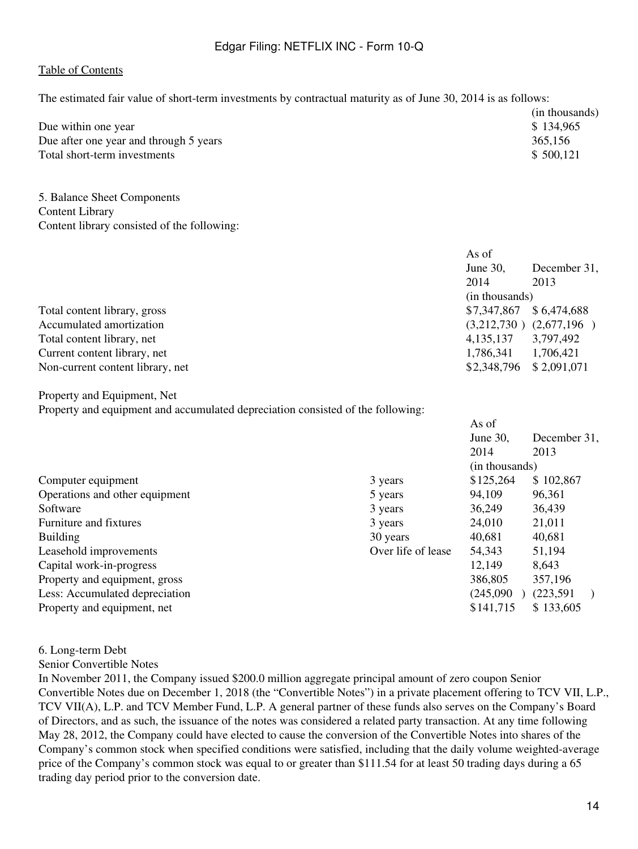The estimated fair value of short-term investments by contractual maturity as of June 30, 2014 is as follows:

|                                        | (in thousands) |
|----------------------------------------|----------------|
| Due within one year                    | \$134,965      |
| Due after one year and through 5 years | 365,156        |
| Total short-term investments           | \$500,121      |

5. Balance Sheet Components Content Library Content library consisted of the following:

| As of          |                             |
|----------------|-----------------------------|
| June 30,       | December 31,                |
| 2014           | 2013                        |
| (in thousands) |                             |
| \$7,347,867    | \$6,474,688                 |
|                | $(3,212,730)$ $(2,677,196)$ |
| 4, 135, 137    | 3,797,492                   |
| 1,786,341      | 1,706,421                   |
| \$2,348,796    | \$2,091,071                 |
|                |                             |

Property and Equipment, Net

Property and equipment and accumulated depreciation consisted of the following:

|                                |                    | As of          |              |
|--------------------------------|--------------------|----------------|--------------|
|                                |                    | June $30$ ,    | December 31, |
|                                |                    | 2014           | 2013         |
|                                |                    | (in thousands) |              |
| Computer equipment             | 3 years            | \$125,264      | \$102,867    |
| Operations and other equipment | 5 years            | 94,109         | 96,361       |
| Software                       | 3 years            | 36,249         | 36,439       |
| Furniture and fixtures         | 3 years            | 24,010         | 21,011       |
| <b>Building</b>                | 30 years           | 40,681         | 40,681       |
| Leasehold improvements         | Over life of lease | 54,343         | 51,194       |
| Capital work-in-progress       |                    | 12,149         | 8,643        |
| Property and equipment, gross  |                    | 386,805        | 357,196      |
| Less: Accumulated depreciation |                    | (245,090)      | (223, 591)   |
| Property and equipment, net    |                    | \$141,715      | \$133,605    |
|                                |                    |                |              |

#### 6. Long-term Debt

Senior Convertible Notes

In November 2011, the Company issued \$200.0 million aggregate principal amount of zero coupon Senior Convertible Notes due on December 1, 2018 (the "Convertible Notes") in a private placement offering to TCV VII, L.P., TCV VII(A), L.P. and TCV Member Fund, L.P. A general partner of these funds also serves on the Company's Board of Directors, and as such, the issuance of the notes was considered a related party transaction. At any time following May 28, 2012, the Company could have elected to cause the conversion of the Convertible Notes into shares of the Company's common stock when specified conditions were satisfied, including that the daily volume weighted-average price of the Company's common stock was equal to or greater than \$111.54 for at least 50 trading days during a 65 trading day period prior to the conversion date.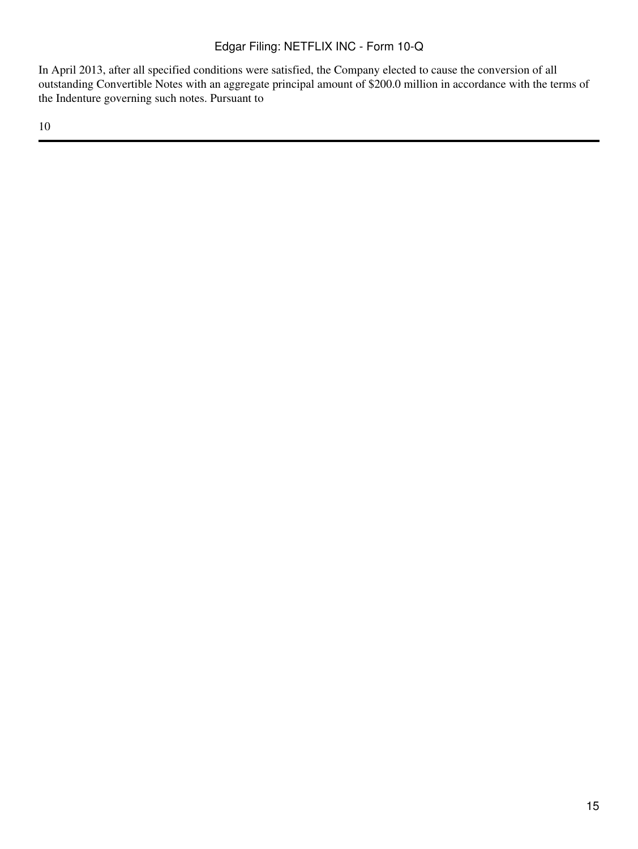In April 2013, after all specified conditions were satisfied, the Company elected to cause the conversion of all outstanding Convertible Notes with an aggregate principal amount of \$200.0 million in accordance with the terms of the Indenture governing such notes. Pursuant to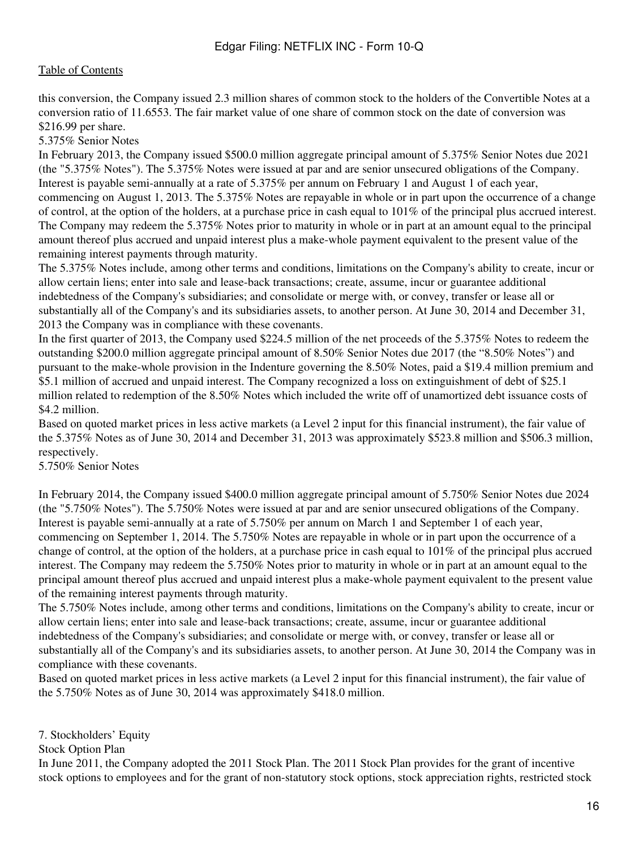this conversion, the Company issued 2.3 million shares of common stock to the holders of the Convertible Notes at a conversion ratio of 11.6553. The fair market value of one share of common stock on the date of conversion was \$216.99 per share.

### 5.375% Senior Notes

In February 2013, the Company issued \$500.0 million aggregate principal amount of 5.375% Senior Notes due 2021 (the "5.375% Notes"). The 5.375% Notes were issued at par and are senior unsecured obligations of the Company. Interest is payable semi-annually at a rate of 5.375% per annum on February 1 and August 1 of each year, commencing on August 1, 2013. The 5.375% Notes are repayable in whole or in part upon the occurrence of a change of control, at the option of the holders, at a purchase price in cash equal to 101% of the principal plus accrued interest. The Company may redeem the 5.375% Notes prior to maturity in whole or in part at an amount equal to the principal amount thereof plus accrued and unpaid interest plus a make-whole payment equivalent to the present value of the remaining interest payments through maturity.

The 5.375% Notes include, among other terms and conditions, limitations on the Company's ability to create, incur or allow certain liens; enter into sale and lease-back transactions; create, assume, incur or guarantee additional indebtedness of the Company's subsidiaries; and consolidate or merge with, or convey, transfer or lease all or substantially all of the Company's and its subsidiaries assets, to another person. At June 30, 2014 and December 31, 2013 the Company was in compliance with these covenants.

In the first quarter of 2013, the Company used \$224.5 million of the net proceeds of the 5.375% Notes to redeem the outstanding \$200.0 million aggregate principal amount of 8.50% Senior Notes due 2017 (the "8.50% Notes") and pursuant to the make-whole provision in the Indenture governing the 8.50% Notes, paid a \$19.4 million premium and \$5.1 million of accrued and unpaid interest. The Company recognized a loss on extinguishment of debt of \$25.1 million related to redemption of the 8.50% Notes which included the write off of unamortized debt issuance costs of \$4.2 million.

Based on quoted market prices in less active markets (a Level 2 input for this financial instrument), the fair value of the 5.375% Notes as of June 30, 2014 and December 31, 2013 was approximately \$523.8 million and \$506.3 million, respectively.

5.750% Senior Notes

In February 2014, the Company issued \$400.0 million aggregate principal amount of 5.750% Senior Notes due 2024 (the "5.750% Notes"). The 5.750% Notes were issued at par and are senior unsecured obligations of the Company. Interest is payable semi-annually at a rate of 5.750% per annum on March 1 and September 1 of each year, commencing on September 1, 2014. The 5.750% Notes are repayable in whole or in part upon the occurrence of a change of control, at the option of the holders, at a purchase price in cash equal to  $101\%$  of the principal plus accrued interest. The Company may redeem the 5.750% Notes prior to maturity in whole or in part at an amount equal to the principal amount thereof plus accrued and unpaid interest plus a make-whole payment equivalent to the present value of the remaining interest payments through maturity.

The 5.750% Notes include, among other terms and conditions, limitations on the Company's ability to create, incur or allow certain liens; enter into sale and lease-back transactions; create, assume, incur or guarantee additional indebtedness of the Company's subsidiaries; and consolidate or merge with, or convey, transfer or lease all or substantially all of the Company's and its subsidiaries assets, to another person. At June 30, 2014 the Company was in compliance with these covenants.

Based on quoted market prices in less active markets (a Level 2 input for this financial instrument), the fair value of the 5.750% Notes as of June 30, 2014 was approximately \$418.0 million.

7. Stockholders' Equity

Stock Option Plan

In June 2011, the Company adopted the 2011 Stock Plan. The 2011 Stock Plan provides for the grant of incentive stock options to employees and for the grant of non-statutory stock options, stock appreciation rights, restricted stock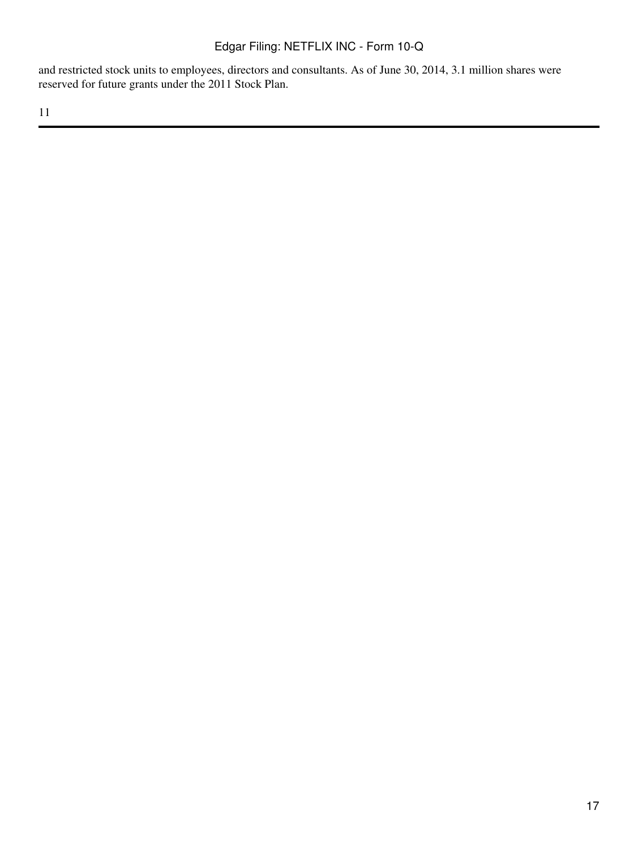and restricted stock units to employees, directors and consultants. As of June 30, 2014, 3.1 million shares were reserved for future grants under the 2011 Stock Plan.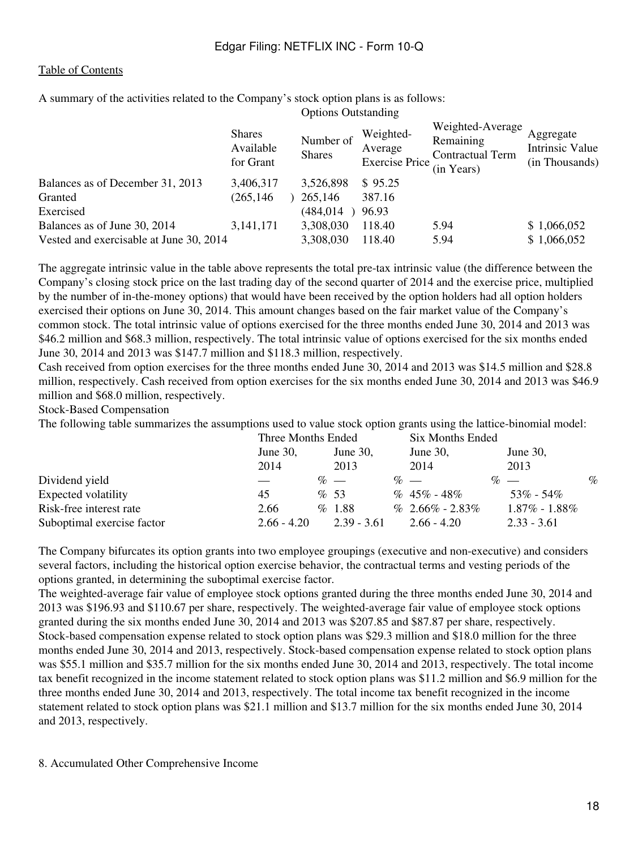A summary of the activities related to the Company's stock option plans is as follows: Options Outstanding

|                                         | <b>Shares</b><br>Available<br>for Grant | Number of<br><b>Shares</b> | Weighted-<br>Average<br><b>Exercise Price</b> | Weighted-Average<br>Remaining<br><b>Contractual Term</b><br>(in Years) | Aggregate<br>Intrinsic Value<br>(in Thousands) |
|-----------------------------------------|-----------------------------------------|----------------------------|-----------------------------------------------|------------------------------------------------------------------------|------------------------------------------------|
| Balances as of December 31, 2013        | 3,406,317                               | 3,526,898                  | \$95.25                                       |                                                                        |                                                |
| Granted                                 | (265, 146)                              | 265,146                    | 387.16                                        |                                                                        |                                                |
| Exercised                               |                                         | (484, 014)                 | 96.93                                         |                                                                        |                                                |
| Balances as of June 30, 2014            | 3, 141, 171                             | 3,308,030                  | 118.40                                        | 5.94                                                                   | \$1,066,052                                    |
| Vested and exercisable at June 30, 2014 |                                         | 3,308,030                  | 118.40                                        | 5.94                                                                   | \$1,066,052                                    |

The aggregate intrinsic value in the table above represents the total pre-tax intrinsic value (the difference between the Company's closing stock price on the last trading day of the second quarter of 2014 and the exercise price, multiplied by the number of in-the-money options) that would have been received by the option holders had all option holders exercised their options on June 30, 2014. This amount changes based on the fair market value of the Company's common stock. The total intrinsic value of options exercised for the three months ended June 30, 2014 and 2013 was \$46.2 million and \$68.3 million, respectively. The total intrinsic value of options exercised for the six months ended June 30, 2014 and 2013 was \$147.7 million and \$118.3 million, respectively.

Cash received from option exercises for the three months ended June 30, 2014 and 2013 was \$14.5 million and \$28.8 million, respectively. Cash received from option exercises for the six months ended June 30, 2014 and 2013 was \$46.9 million and \$68.0 million, respectively.

Stock-Based Compensation

The following table summarizes the assumptions used to value stock option grants using the lattice-binomial model:

|                            | Three Months Ended |  | Six Months Ended |                     |  |                     |      |
|----------------------------|--------------------|--|------------------|---------------------|--|---------------------|------|
|                            | June $30$ ,        |  | June 30,         | June 30,            |  | June 30,            |      |
|                            | 2014               |  | 2013             | 2014                |  | 2013                |      |
| Dividend yield             |                    |  | $\%$ —           | $\%$ —              |  | $\%$ —              | $\%$ |
| Expected volatility        | 45                 |  | % 53             | $% 45\% - 48\%$     |  | $53\% - 54\%$       |      |
| Risk-free interest rate    | 2.66               |  | %1.88            | $% 2.66\% - 2.83\%$ |  | $1.87\%$ - $1.88\%$ |      |
| Suboptimal exercise factor | $2.66 - 4.20$      |  | $2.39 - 3.61$    | $2.66 - 4.20$       |  | $2.33 - 3.61$       |      |

The Company bifurcates its option grants into two employee groupings (executive and non-executive) and considers several factors, including the historical option exercise behavior, the contractual terms and vesting periods of the options granted, in determining the suboptimal exercise factor.

The weighted-average fair value of employee stock options granted during the three months ended June 30, 2014 and 2013 was \$196.93 and \$110.67 per share, respectively. The weighted-average fair value of employee stock options granted during the six months ended June 30, 2014 and 2013 was \$207.85 and \$87.87 per share, respectively. Stock-based compensation expense related to stock option plans was \$29.3 million and \$18.0 million for the three months ended June 30, 2014 and 2013, respectively. Stock-based compensation expense related to stock option plans was \$55.1 million and \$35.7 million for the six months ended June 30, 2014 and 2013, respectively. The total income tax benefit recognized in the income statement related to stock option plans was \$11.2 million and \$6.9 million for the three months ended June 30, 2014 and 2013, respectively. The total income tax benefit recognized in the income statement related to stock option plans was \$21.1 million and \$13.7 million for the six months ended June 30, 2014 and 2013, respectively.

#### 8. Accumulated Other Comprehensive Income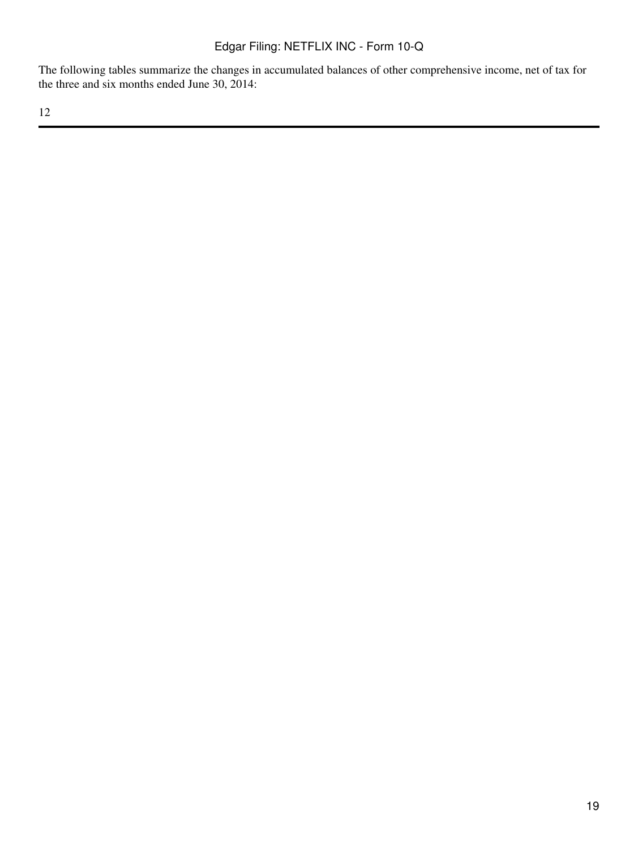The following tables summarize the changes in accumulated balances of other comprehensive income, net of tax for the three and six months ended June 30, 2014: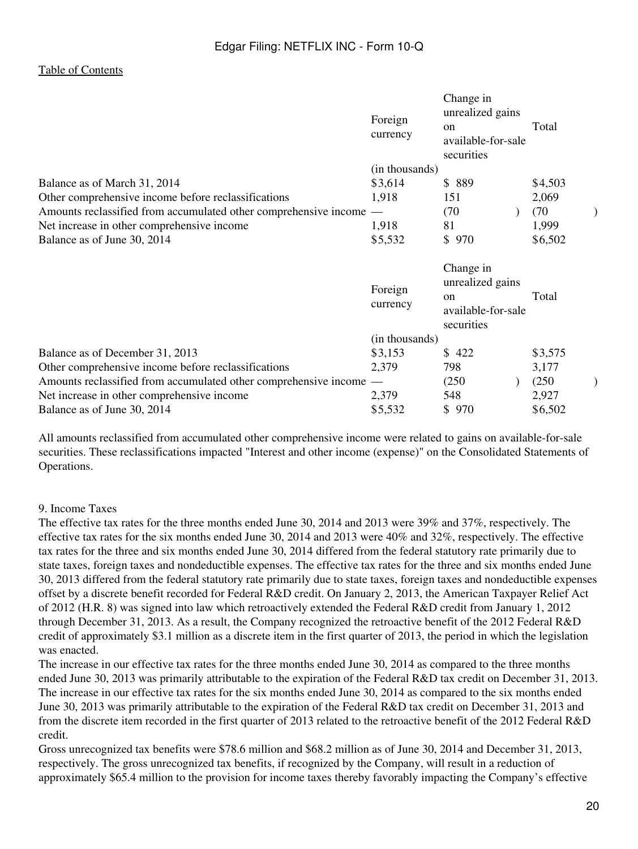|                                                                  | Foreign<br>currency      | Change in<br>unrealized gains<br>on<br>available-for-sale<br>securities | Total            |
|------------------------------------------------------------------|--------------------------|-------------------------------------------------------------------------|------------------|
|                                                                  | (in thousands)           |                                                                         |                  |
| Balance as of March 31, 2014                                     | \$3,614                  | \$ 889                                                                  | \$4,503          |
| Other comprehensive income before reclassifications              | 1,918                    | 151                                                                     | 2,069            |
| Amounts reclassified from accumulated other comprehensive income | $\overline{\phantom{0}}$ | (70)                                                                    | (70)             |
| Net increase in other comprehensive income                       | 1,918                    | 81                                                                      | 1,999            |
| Balance as of June 30, 2014                                      | \$5,532                  | \$970                                                                   | \$6,502          |
|                                                                  | Foreign                  | Change in<br>unrealized gains                                           |                  |
|                                                                  | currency                 | $\alpha$<br>available-for-sale<br>securities                            | Total            |
|                                                                  | (in thousands)           |                                                                         |                  |
| Balance as of December 31, 2013                                  | \$3,153                  | \$422                                                                   | \$3,575          |
| Other comprehensive income before reclassifications              | 2,379                    | 798                                                                     | 3,177            |
| Amounts reclassified from accumulated other comprehensive income | $\overline{\phantom{m}}$ | (250)                                                                   | (250)            |
| Net increase in other comprehensive income                       | 2,379<br>\$5,532         | 548                                                                     | 2,927<br>\$6,502 |

All amounts reclassified from accumulated other comprehensive income were related to gains on available-for-sale securities. These reclassifications impacted "Interest and other income (expense)" on the Consolidated Statements of Operations.

#### 9. Income Taxes

The effective tax rates for the three months ended June 30, 2014 and 2013 were 39% and 37%, respectively. The effective tax rates for the six months ended June 30, 2014 and 2013 were 40% and 32%, respectively. The effective tax rates for the three and six months ended June 30, 2014 differed from the federal statutory rate primarily due to state taxes, foreign taxes and nondeductible expenses. The effective tax rates for the three and six months ended June 30, 2013 differed from the federal statutory rate primarily due to state taxes, foreign taxes and nondeductible expenses offset by a discrete benefit recorded for Federal R&D credit. On January 2, 2013, the American Taxpayer Relief Act of 2012 (H.R. 8) was signed into law which retroactively extended the Federal R&D credit from January 1, 2012 through December 31, 2013. As a result, the Company recognized the retroactive benefit of the 2012 Federal R&D credit of approximately \$3.1 million as a discrete item in the first quarter of 2013, the period in which the legislation was enacted.

The increase in our effective tax rates for the three months ended June 30, 2014 as compared to the three months ended June 30, 2013 was primarily attributable to the expiration of the Federal R&D tax credit on December 31, 2013. The increase in our effective tax rates for the six months ended June 30, 2014 as compared to the six months ended June 30, 2013 was primarily attributable to the expiration of the Federal R&D tax credit on December 31, 2013 and from the discrete item recorded in the first quarter of 2013 related to the retroactive benefit of the 2012 Federal R&D credit.

Gross unrecognized tax benefits were \$78.6 million and \$68.2 million as of June 30, 2014 and December 31, 2013, respectively. The gross unrecognized tax benefits, if recognized by the Company, will result in a reduction of approximately \$65.4 million to the provision for income taxes thereby favorably impacting the Company's effective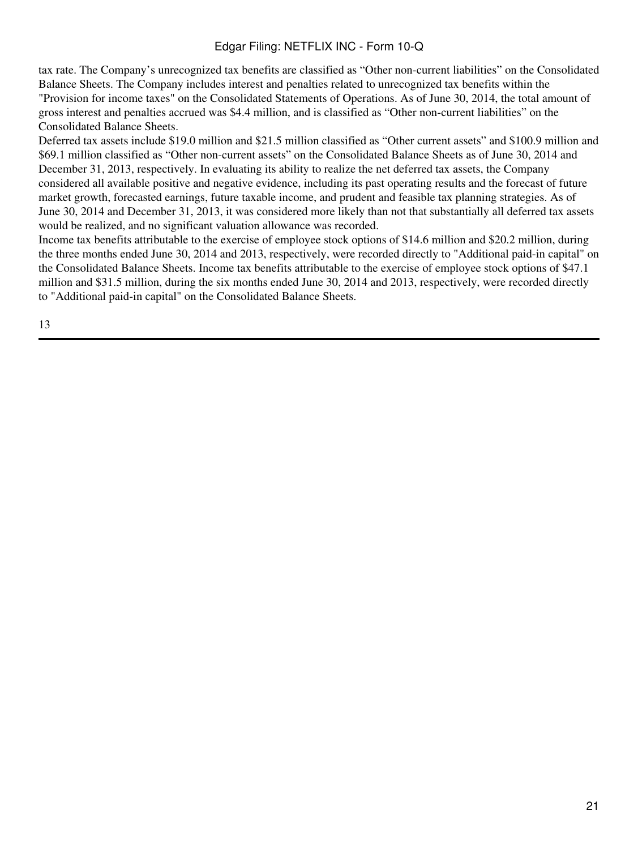tax rate. The Company's unrecognized tax benefits are classified as "Other non-current liabilities" on the Consolidated Balance Sheets. The Company includes interest and penalties related to unrecognized tax benefits within the "Provision for income taxes" on the Consolidated Statements of Operations. As of June 30, 2014, the total amount of gross interest and penalties accrued was \$4.4 million, and is classified as "Other non-current liabilities" on the Consolidated Balance Sheets.

Deferred tax assets include \$19.0 million and \$21.5 million classified as "Other current assets" and \$100.9 million and \$69.1 million classified as "Other non-current assets" on the Consolidated Balance Sheets as of June 30, 2014 and December 31, 2013, respectively. In evaluating its ability to realize the net deferred tax assets, the Company considered all available positive and negative evidence, including its past operating results and the forecast of future market growth, forecasted earnings, future taxable income, and prudent and feasible tax planning strategies. As of June 30, 2014 and December 31, 2013, it was considered more likely than not that substantially all deferred tax assets would be realized, and no significant valuation allowance was recorded.

Income tax benefits attributable to the exercise of employee stock options of \$14.6 million and \$20.2 million, during the three months ended June 30, 2014 and 2013, respectively, were recorded directly to "Additional paid-in capital" on the Consolidated Balance Sheets. Income tax benefits attributable to the exercise of employee stock options of \$47.1 million and \$31.5 million, during the six months ended June 30, 2014 and 2013, respectively, were recorded directly to "Additional paid-in capital" on the Consolidated Balance Sheets.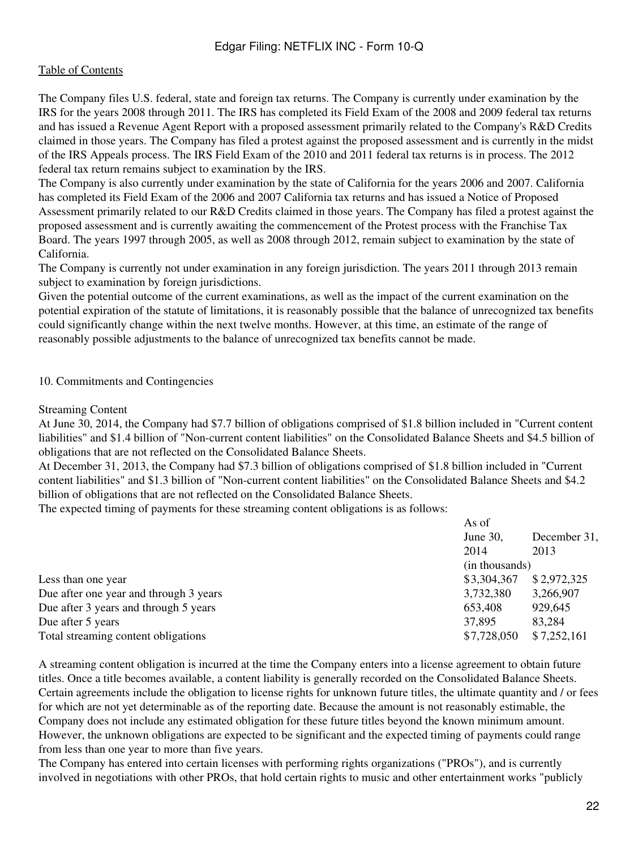The Company files U.S. federal, state and foreign tax returns. The Company is currently under examination by the IRS for the years 2008 through 2011. The IRS has completed its Field Exam of the 2008 and 2009 federal tax returns and has issued a Revenue Agent Report with a proposed assessment primarily related to the Company's R&D Credits claimed in those years. The Company has filed a protest against the proposed assessment and is currently in the midst of the IRS Appeals process. The IRS Field Exam of the 2010 and 2011 federal tax returns is in process. The 2012 federal tax return remains subject to examination by the IRS.

The Company is also currently under examination by the state of California for the years 2006 and 2007. California has completed its Field Exam of the 2006 and 2007 California tax returns and has issued a Notice of Proposed Assessment primarily related to our R&D Credits claimed in those years. The Company has filed a protest against the proposed assessment and is currently awaiting the commencement of the Protest process with the Franchise Tax Board. The years 1997 through 2005, as well as 2008 through 2012, remain subject to examination by the state of California.

The Company is currently not under examination in any foreign jurisdiction. The years 2011 through 2013 remain subject to examination by foreign jurisdictions.

Given the potential outcome of the current examinations, as well as the impact of the current examination on the potential expiration of the statute of limitations, it is reasonably possible that the balance of unrecognized tax benefits could significantly change within the next twelve months. However, at this time, an estimate of the range of reasonably possible adjustments to the balance of unrecognized tax benefits cannot be made.

#### 10. Commitments and Contingencies

#### Streaming Content

At June 30, 2014, the Company had \$7.7 billion of obligations comprised of \$1.8 billion included in "Current content liabilities" and \$1.4 billion of "Non-current content liabilities" on the Consolidated Balance Sheets and \$4.5 billion of obligations that are not reflected on the Consolidated Balance Sheets.

At December 31, 2013, the Company had \$7.3 billion of obligations comprised of \$1.8 billion included in "Current content liabilities" and \$1.3 billion of "Non-current content liabilities" on the Consolidated Balance Sheets and \$4.2 billion of obligations that are not reflected on the Consolidated Balance Sheets.

The expected timing of payments for these streaming content obligations is as follows:

|                                        | As of                    |             |
|----------------------------------------|--------------------------|-------------|
|                                        | June 30,<br>December 31, |             |
|                                        | 2014                     | 2013        |
|                                        | (in thousands)           |             |
| Less than one year                     | \$3,304,367              | \$2,972,325 |
| Due after one year and through 3 years | 3,732,380                | 3,266,907   |
| Due after 3 years and through 5 years  | 653,408                  | 929,645     |
| Due after 5 years                      | 37,895                   | 83,284      |
| Total streaming content obligations    | \$7,728,050              | \$7,252,161 |

A streaming content obligation is incurred at the time the Company enters into a license agreement to obtain future titles. Once a title becomes available, a content liability is generally recorded on the Consolidated Balance Sheets. Certain agreements include the obligation to license rights for unknown future titles, the ultimate quantity and / or fees for which are not yet determinable as of the reporting date. Because the amount is not reasonably estimable, the Company does not include any estimated obligation for these future titles beyond the known minimum amount. However, the unknown obligations are expected to be significant and the expected timing of payments could range from less than one year to more than five years.

The Company has entered into certain licenses with performing rights organizations ("PROs"), and is currently involved in negotiations with other PROs, that hold certain rights to music and other entertainment works "publicly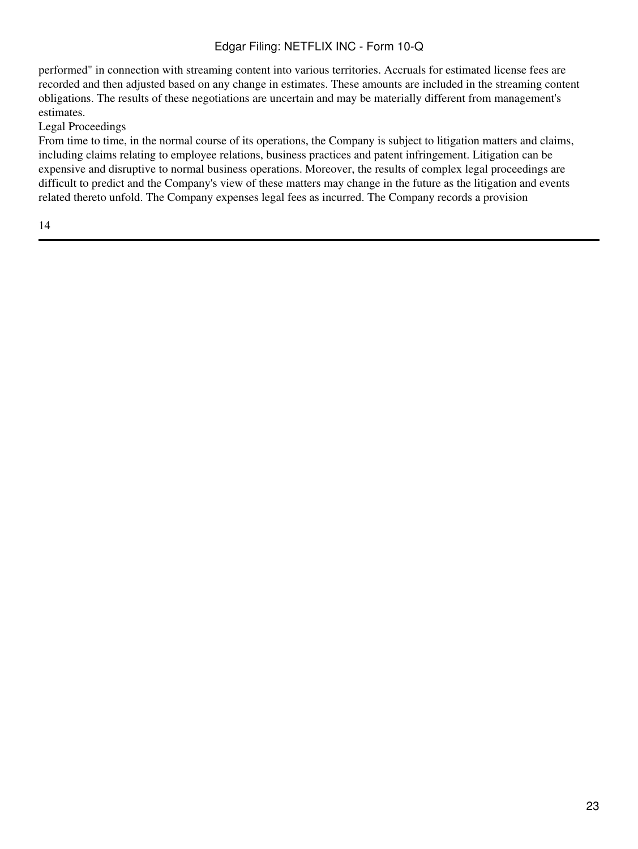performed" in connection with streaming content into various territories. Accruals for estimated license fees are recorded and then adjusted based on any change in estimates. These amounts are included in the streaming content obligations. The results of these negotiations are uncertain and may be materially different from management's estimates.

## Legal Proceedings

From time to time, in the normal course of its operations, the Company is subject to litigation matters and claims, including claims relating to employee relations, business practices and patent infringement. Litigation can be expensive and disruptive to normal business operations. Moreover, the results of complex legal proceedings are difficult to predict and the Company's view of these matters may change in the future as the litigation and events related thereto unfold. The Company expenses legal fees as incurred. The Company records a provision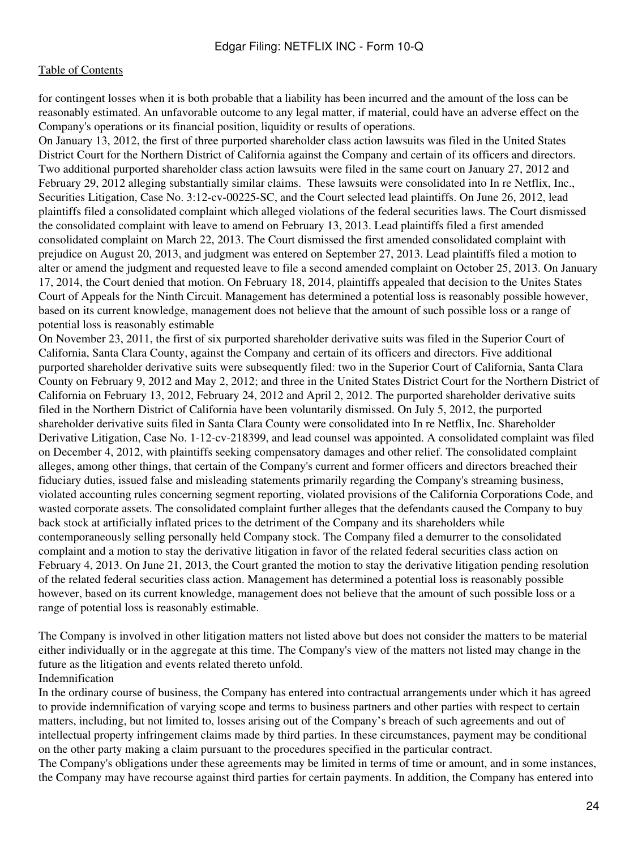for contingent losses when it is both probable that a liability has been incurred and the amount of the loss can be reasonably estimated. An unfavorable outcome to any legal matter, if material, could have an adverse effect on the Company's operations or its financial position, liquidity or results of operations.

On January 13, 2012, the first of three purported shareholder class action lawsuits was filed in the United States District Court for the Northern District of California against the Company and certain of its officers and directors. Two additional purported shareholder class action lawsuits were filed in the same court on January 27, 2012 and February 29, 2012 alleging substantially similar claims. These lawsuits were consolidated into In re Netflix, Inc., Securities Litigation, Case No. 3:12-cv-00225-SC, and the Court selected lead plaintiffs. On June 26, 2012, lead plaintiffs filed a consolidated complaint which alleged violations of the federal securities laws. The Court dismissed the consolidated complaint with leave to amend on February 13, 2013. Lead plaintiffs filed a first amended consolidated complaint on March 22, 2013. The Court dismissed the first amended consolidated complaint with prejudice on August 20, 2013, and judgment was entered on September 27, 2013. Lead plaintiffs filed a motion to alter or amend the judgment and requested leave to file a second amended complaint on October 25, 2013. On January 17, 2014, the Court denied that motion. On February 18, 2014, plaintiffs appealed that decision to the Unites States Court of Appeals for the Ninth Circuit. Management has determined a potential loss is reasonably possible however, based on its current knowledge, management does not believe that the amount of such possible loss or a range of potential loss is reasonably estimable

On November 23, 2011, the first of six purported shareholder derivative suits was filed in the Superior Court of California, Santa Clara County, against the Company and certain of its officers and directors. Five additional purported shareholder derivative suits were subsequently filed: two in the Superior Court of California, Santa Clara County on February 9, 2012 and May 2, 2012; and three in the United States District Court for the Northern District of California on February 13, 2012, February 24, 2012 and April 2, 2012. The purported shareholder derivative suits filed in the Northern District of California have been voluntarily dismissed. On July 5, 2012, the purported shareholder derivative suits filed in Santa Clara County were consolidated into In re Netflix, Inc. Shareholder Derivative Litigation, Case No. 1-12-cv-218399, and lead counsel was appointed. A consolidated complaint was filed on December 4, 2012, with plaintiffs seeking compensatory damages and other relief. The consolidated complaint alleges, among other things, that certain of the Company's current and former officers and directors breached their fiduciary duties, issued false and misleading statements primarily regarding the Company's streaming business, violated accounting rules concerning segment reporting, violated provisions of the California Corporations Code, and wasted corporate assets. The consolidated complaint further alleges that the defendants caused the Company to buy back stock at artificially inflated prices to the detriment of the Company and its shareholders while contemporaneously selling personally held Company stock. The Company filed a demurrer to the consolidated complaint and a motion to stay the derivative litigation in favor of the related federal securities class action on February 4, 2013. On June 21, 2013, the Court granted the motion to stay the derivative litigation pending resolution of the related federal securities class action. Management has determined a potential loss is reasonably possible however, based on its current knowledge, management does not believe that the amount of such possible loss or a range of potential loss is reasonably estimable.

The Company is involved in other litigation matters not listed above but does not consider the matters to be material either individually or in the aggregate at this time. The Company's view of the matters not listed may change in the future as the litigation and events related thereto unfold.

#### Indemnification

In the ordinary course of business, the Company has entered into contractual arrangements under which it has agreed to provide indemnification of varying scope and terms to business partners and other parties with respect to certain matters, including, but not limited to, losses arising out of the Company's breach of such agreements and out of intellectual property infringement claims made by third parties. In these circumstances, payment may be conditional on the other party making a claim pursuant to the procedures specified in the particular contract.

The Company's obligations under these agreements may be limited in terms of time or amount, and in some instances, the Company may have recourse against third parties for certain payments. In addition, the Company has entered into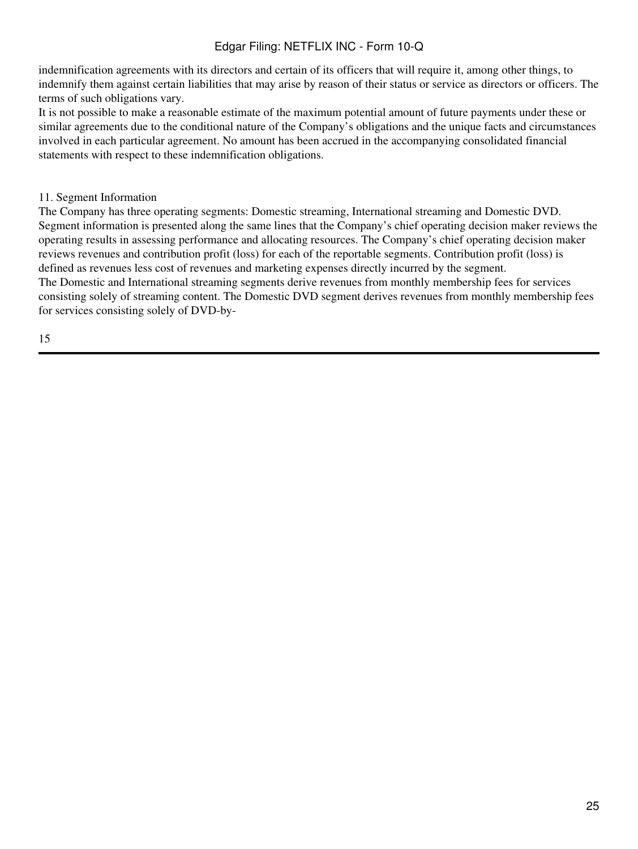indemnification agreements with its directors and certain of its officers that will require it, among other things, to indemnify them against certain liabilities that may arise by reason of their status or service as directors or officers. The terms of such obligations vary.

It is not possible to make a reasonable estimate of the maximum potential amount of future payments under these or similar agreements due to the conditional nature of the Company's obligations and the unique facts and circumstances involved in each particular agreement. No amount has been accrued in the accompanying consolidated financial statements with respect to these indemnification obligations.

### 11. Segment Information

The Company has three operating segments: Domestic streaming, International streaming and Domestic DVD. Segment information is presented along the same lines that the Company's chief operating decision maker reviews the operating results in assessing performance and allocating resources. The Company's chief operating decision maker reviews revenues and contribution profit (loss) for each of the reportable segments. Contribution profit (loss) is defined as revenues less cost of revenues and marketing expenses directly incurred by the segment. The Domestic and International streaming segments derive revenues from monthly membership fees for services consisting solely of streaming content. The Domestic DVD segment derives revenues from monthly membership fees for services consisting solely of DVD-by-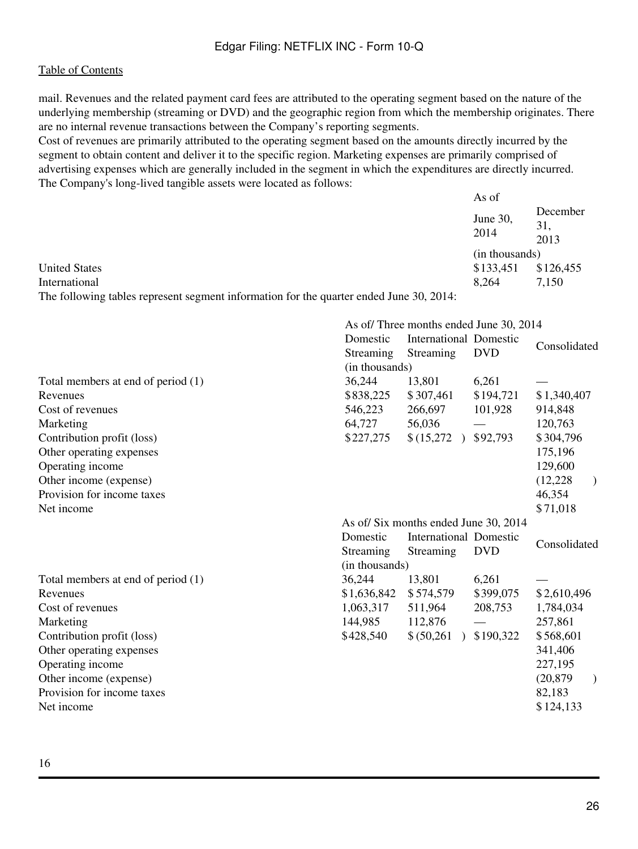mail. Revenues and the related payment card fees are attributed to the operating segment based on the nature of the underlying membership (streaming or DVD) and the geographic region from which the membership originates. There are no internal revenue transactions between the Company's reporting segments.

Cost of revenues are primarily attributed to the operating segment based on the amounts directly incurred by the segment to obtain content and deliver it to the specific region. Marketing expenses are primarily comprised of advertising expenses which are generally included in the segment in which the expenditures are directly incurred. The Company's long-lived tangible assets were located as follows:

|                                                                                         | As of            |                         |
|-----------------------------------------------------------------------------------------|------------------|-------------------------|
|                                                                                         | June 30,<br>2014 | December<br>31,<br>2013 |
|                                                                                         | (in thousands)   |                         |
| <b>United States</b>                                                                    | \$133,451        | \$126,455               |
| International                                                                           | 8.264            | 7.150                   |
| The following tables represent segment information for the quarter ended June 30 $2014$ |                  |                         |

The following tables represent segment information for the quarter ended June 30, 2014:

|                                    |                                      | As of/Three months ended June 30, 2014 |            |                            |  |  |
|------------------------------------|--------------------------------------|----------------------------------------|------------|----------------------------|--|--|
|                                    | Domestic                             | <b>International Domestic</b>          |            | Consolidated               |  |  |
|                                    | Streaming                            | Streaming                              | <b>DVD</b> |                            |  |  |
|                                    | (in thousands)                       |                                        |            |                            |  |  |
| Total members at end of period (1) | 36,244                               | 13,801                                 | 6,261      |                            |  |  |
| Revenues                           | \$838,225                            | \$307,461                              | \$194,721  | \$1,340,407                |  |  |
| Cost of revenues                   | 546,223                              | 266,697                                | 101,928    | 914,848                    |  |  |
| Marketing                          | 64,727                               | 56,036                                 |            | 120,763                    |  |  |
| Contribution profit (loss)         | \$227,275                            | \$(15,272)                             | \$92,793   | \$304,796                  |  |  |
| Other operating expenses           |                                      |                                        |            | 175,196                    |  |  |
| Operating income                   |                                      |                                        |            | 129,600                    |  |  |
| Other income (expense)             |                                      |                                        |            | (12, 228)<br>$\lambda$     |  |  |
| Provision for income taxes         |                                      |                                        |            | 46,354                     |  |  |
| Net income                         |                                      |                                        |            | \$71,018                   |  |  |
|                                    | As of/Six months ended June 30, 2014 |                                        |            |                            |  |  |
|                                    | Domestic                             | <b>International Domestic</b>          |            | Consolidated               |  |  |
|                                    | Streaming                            | Streaming                              | <b>DVD</b> |                            |  |  |
|                                    | (in thousands)                       |                                        |            |                            |  |  |
| Total members at end of period (1) | 36,244                               | 13,801                                 | 6,261      |                            |  |  |
| Revenues                           | \$1,636,842                          | \$574,579                              | \$399,075  | \$2,610,496                |  |  |
| Cost of revenues                   | 1,063,317                            | 511,964                                | 208,753    | 1,784,034                  |  |  |
| Marketing                          | 144,985                              | 112,876                                |            | 257,861                    |  |  |
| Contribution profit (loss)         | \$428,540                            | \$ (50,261)                            | \$190,322  | \$568,601                  |  |  |
| Other operating expenses           |                                      |                                        |            | 341,406                    |  |  |
| Operating income                   |                                      |                                        |            | 227,195                    |  |  |
| Other income (expense)             |                                      |                                        |            | (20, 879)<br>$\mathcal{L}$ |  |  |
| Provision for income taxes         |                                      |                                        |            | 82,183                     |  |  |
| Net income                         |                                      |                                        |            | \$124,133                  |  |  |
|                                    |                                      |                                        |            |                            |  |  |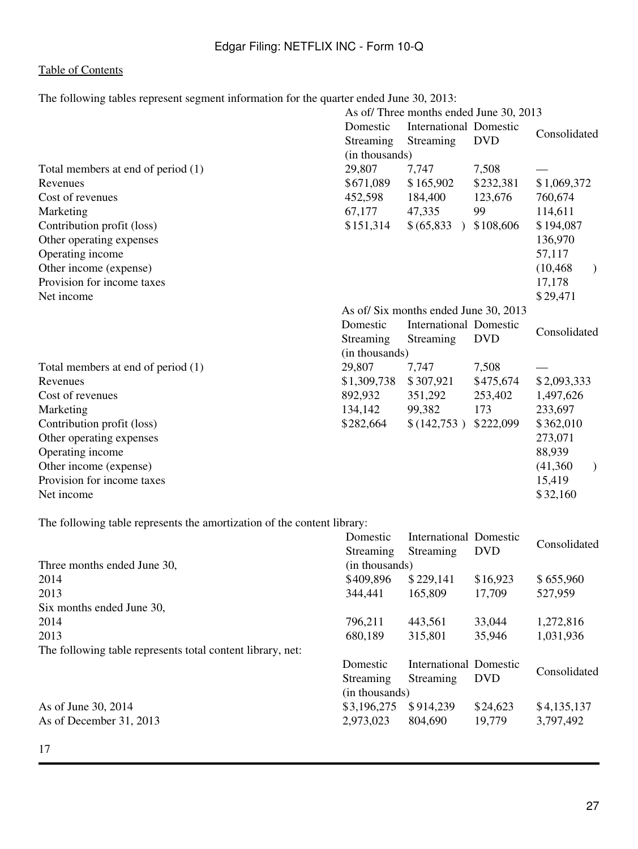The following tables represent segment information for the quarter ended June 30, 2013:

|                                                                         | As of/Three months ended June 30, 2013 |                        |            |                            |  |
|-------------------------------------------------------------------------|----------------------------------------|------------------------|------------|----------------------------|--|
|                                                                         | Domestic                               | International Domestic |            | Consolidated               |  |
|                                                                         | Streaming                              | Streaming              | <b>DVD</b> |                            |  |
|                                                                         | (in thousands)                         |                        |            |                            |  |
| Total members at end of period (1)                                      | 29,807                                 | 7,747                  | 7,508      |                            |  |
| Revenues                                                                | \$671,089                              | \$165,902              | \$232,381  | \$1,069,372                |  |
| Cost of revenues                                                        | 452,598                                | 184,400                | 123,676    | 760,674                    |  |
| Marketing                                                               | 67,177                                 | 47,335                 | 99         | 114,611                    |  |
| Contribution profit (loss)                                              | \$151,314                              | \$ (65,833)            | \$108,606  | \$194,087                  |  |
| Other operating expenses                                                |                                        |                        |            | 136,970                    |  |
| Operating income                                                        |                                        |                        |            | 57,117                     |  |
| Other income (expense)                                                  |                                        |                        |            | (10, 468)<br>$\mathcal{L}$ |  |
| Provision for income taxes                                              |                                        |                        |            | 17,178                     |  |
| Net income                                                              |                                        |                        |            | \$29,471                   |  |
|                                                                         | As of/Six months ended June 30, 2013   |                        |            |                            |  |
|                                                                         | Domestic<br>International Domestic     |                        |            | Consolidated               |  |
|                                                                         | Streaming                              | Streaming              | <b>DVD</b> |                            |  |
|                                                                         | (in thousands)                         |                        |            |                            |  |
| Total members at end of period (1)                                      | 29,807                                 | 7,747                  | 7,508      |                            |  |
| Revenues                                                                | \$1,309,738                            | \$307,921              | \$475,674  | \$2,093,333                |  |
| Cost of revenues                                                        | 892,932                                | 351,292                | 253,402    | 1,497,626                  |  |
| Marketing                                                               | 134,142                                | 99,382                 | 173        | 233,697                    |  |
| Contribution profit (loss)                                              | \$282,664                              | \$(142,753)            | \$222,099  | \$362,010                  |  |
| Other operating expenses                                                |                                        |                        |            | 273,071                    |  |
| Operating income                                                        |                                        |                        |            | 88,939                     |  |
| Other income (expense)                                                  |                                        |                        |            | (41,360)<br>$\lambda$      |  |
| Provision for income taxes                                              |                                        |                        |            | 15,419                     |  |
| Net income                                                              |                                        |                        |            | \$32,160                   |  |
| The following table represents the amortization of the content library: |                                        |                        |            |                            |  |
|                                                                         | Domestic                               | International Domestic |            |                            |  |

|                                                            | Domestic       | International Domestic |            | Consolidated |
|------------------------------------------------------------|----------------|------------------------|------------|--------------|
|                                                            | Streaming      | Streaming              | <b>DVD</b> |              |
| Three months ended June 30,                                | (in thousands) |                        |            |              |
| 2014                                                       | \$409,896      | \$229,141              | \$16,923   | \$655,960    |
| 2013                                                       | 344,441        | 165,809                | 17,709     | 527,959      |
| Six months ended June 30,                                  |                |                        |            |              |
| 2014                                                       | 796,211        | 443,561                | 33,044     | 1,272,816    |
| 2013                                                       | 680,189        | 315,801                | 35,946     | 1,031,936    |
| The following table represents total content library, net: |                |                        |            |              |
|                                                            | Domestic       | International Domestic |            |              |
|                                                            | Streaming      | Streaming              | <b>DVD</b> | Consolidated |
|                                                            | (in thousands) |                        |            |              |
| As of June 30, 2014                                        | \$3,196,275    | \$914,239              | \$24,623   | \$4,135,137  |
| As of December 31, 2013                                    | 2,973,023      | 804,690                | 19,779     | 3,797,492    |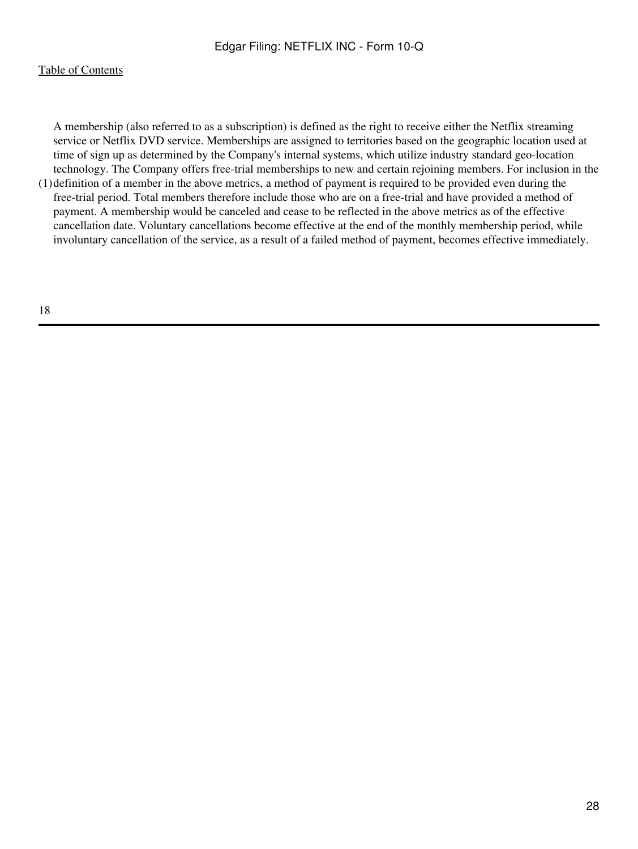<span id="page-27-0"></span>(1) definition of a member in the above metrics, a method of payment is required to be provided even during the A membership (also referred to as a subscription) is defined as the right to receive either the Netflix streaming service or Netflix DVD service. Memberships are assigned to territories based on the geographic location used at time of sign up as determined by the Company's internal systems, which utilize industry standard geo-location technology. The Company offers free-trial memberships to new and certain rejoining members. For inclusion in the free-trial period. Total members therefore include those who are on a free-trial and have provided a method of payment. A membership would be canceled and cease to be reflected in the above metrics as of the effective cancellation date. Voluntary cancellations become effective at the end of the monthly membership period, while involuntary cancellation of the service, as a result of a failed method of payment, becomes effective immediately.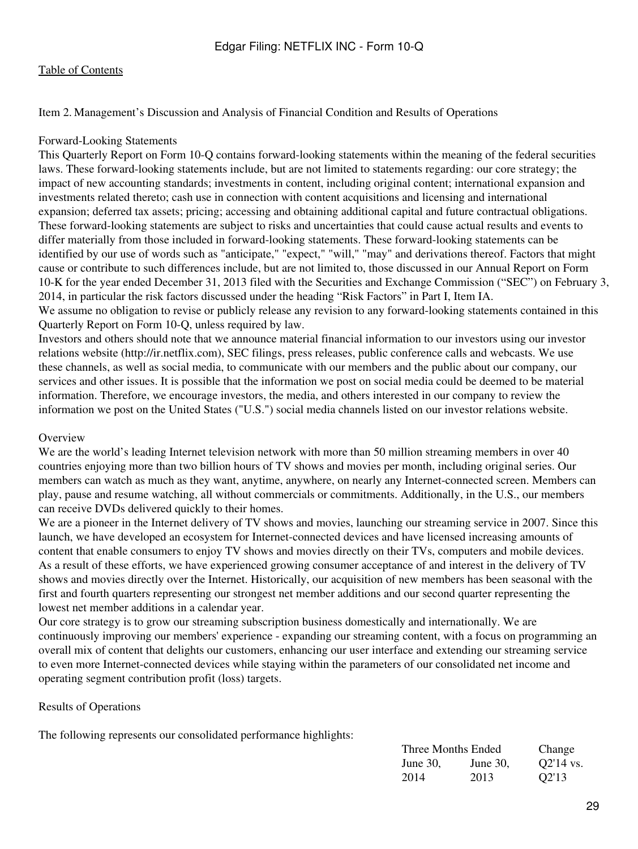Item 2. Management's Discussion and Analysis of Financial Condition and Results of Operations

#### Forward-Looking Statements

This Quarterly Report on Form 10-Q contains forward-looking statements within the meaning of the federal securities laws. These forward-looking statements include, but are not limited to statements regarding: our core strategy; the impact of new accounting standards; investments in content, including original content; international expansion and investments related thereto; cash use in connection with content acquisitions and licensing and international expansion; deferred tax assets; pricing; accessing and obtaining additional capital and future contractual obligations. These forward-looking statements are subject to risks and uncertainties that could cause actual results and events to differ materially from those included in forward-looking statements. These forward-looking statements can be identified by our use of words such as "anticipate," "expect," "will," "may" and derivations thereof. Factors that might cause or contribute to such differences include, but are not limited to, those discussed in our Annual Report on Form 10-K for the year ended December 31, 2013 filed with the Securities and Exchange Commission ("SEC") on February 3, 2014, in particular the risk factors discussed under the heading "Risk Factors" in Part I, Item IA. We assume no obligation to revise or publicly release any revision to any forward-looking statements contained in this Quarterly Report on Form 10-Q, unless required by law.

Investors and others should note that we announce material financial information to our investors using our investor relations website (http://ir.netflix.com), SEC filings, press releases, public conference calls and webcasts. We use these channels, as well as social media, to communicate with our members and the public about our company, our services and other issues. It is possible that the information we post on social media could be deemed to be material information. Therefore, we encourage investors, the media, and others interested in our company to review the information we post on the United States ("U.S.") social media channels listed on our investor relations website.

#### **Overview**

We are the world's leading Internet television network with more than 50 million streaming members in over 40 countries enjoying more than two billion hours of TV shows and movies per month, including original series. Our members can watch as much as they want, anytime, anywhere, on nearly any Internet-connected screen. Members can play, pause and resume watching, all without commercials or commitments. Additionally, in the U.S., our members can receive DVDs delivered quickly to their homes.

We are a pioneer in the Internet delivery of TV shows and movies, launching our streaming service in 2007. Since this launch, we have developed an ecosystem for Internet-connected devices and have licensed increasing amounts of content that enable consumers to enjoy TV shows and movies directly on their TVs, computers and mobile devices. As a result of these efforts, we have experienced growing consumer acceptance of and interest in the delivery of TV shows and movies directly over the Internet. Historically, our acquisition of new members has been seasonal with the first and fourth quarters representing our strongest net member additions and our second quarter representing the lowest net member additions in a calendar year.

Our core strategy is to grow our streaming subscription business domestically and internationally. We are continuously improving our members' experience - expanding our streaming content, with a focus on programming an overall mix of content that delights our customers, enhancing our user interface and extending our streaming service to even more Internet-connected devices while staying within the parameters of our consolidated net income and operating segment contribution profit (loss) targets.

#### Results of Operations

The following represents our consolidated performance highlights:

| Three Months Ended |          | Change      |
|--------------------|----------|-------------|
| June 30,           | June 30. | $Q2'14$ vs. |
| 2014               | 2013     | Q2'13       |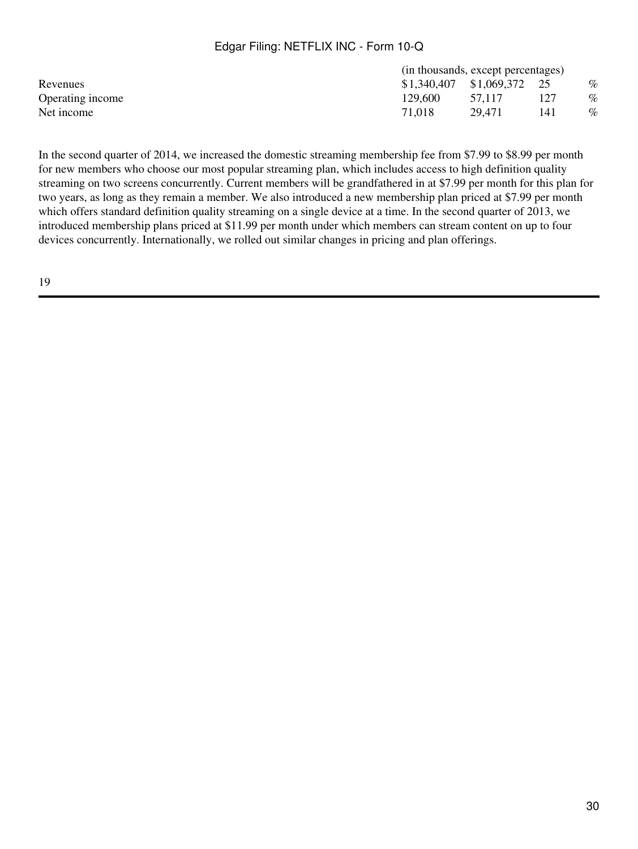|         |        |     | $\%$                                                               |  |  |
|---------|--------|-----|--------------------------------------------------------------------|--|--|
| 129.600 | 57.117 | 127 | $\%$                                                               |  |  |
| 71.018  | 29.471 | 141 | $\%$                                                               |  |  |
|         |        |     | (in thousands, except percentages)<br>$$1,340,407$ $$1,069,372$ 25 |  |  |

In the second quarter of 2014, we increased the domestic streaming membership fee from \$7.99 to \$8.99 per month for new members who choose our most popular streaming plan, which includes access to high definition quality streaming on two screens concurrently. Current members will be grandfathered in at \$7.99 per month for this plan for two years, as long as they remain a member. We also introduced a new membership plan priced at \$7.99 per month which offers standard definition quality streaming on a single device at a time. In the second quarter of 2013, we introduced membership plans priced at \$11.99 per month under which members can stream content on up to four devices concurrently. Internationally, we rolled out similar changes in pricing and plan offerings.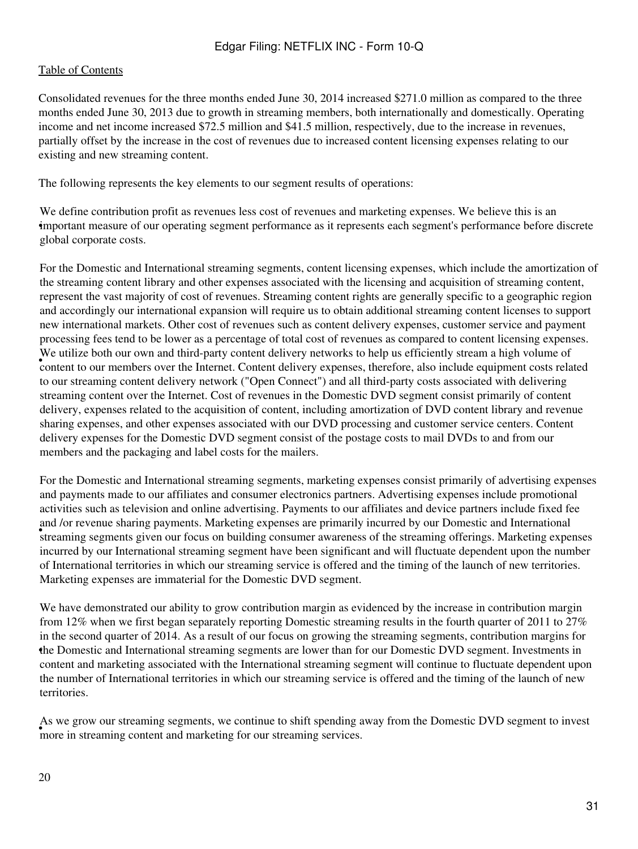Consolidated revenues for the three months ended June 30, 2014 increased \$271.0 million as compared to the three months ended June 30, 2013 due to growth in streaming members, both internationally and domestically. Operating income and net income increased \$72.5 million and \$41.5 million, respectively, due to the increase in revenues, partially offset by the increase in the cost of revenues due to increased content licensing expenses relating to our existing and new streaming content.

The following represents the key elements to our segment results of operations:

• important measure of our operating segment performance as it represents each segment's performance before discrete We define contribution profit as revenues less cost of revenues and marketing expenses. We believe this is an global corporate costs.

We utilize both our own and third-party content delivery networks to help us efficiently stream a high volume of and the lateral content of a lateral content of a lateral content of a lateral content of a lateral content o For the Domestic and International streaming segments, content licensing expenses, which include the amortization of the streaming content library and other expenses associated with the licensing and acquisition of streaming content, represent the vast majority of cost of revenues. Streaming content rights are generally specific to a geographic region and accordingly our international expansion will require us to obtain additional streaming content licenses to support new international markets. Other cost of revenues such as content delivery expenses, customer service and payment processing fees tend to be lower as a percentage of total cost of revenues as compared to content licensing expenses. content to our members over the Internet. Content delivery expenses, therefore, also include equipment costs related to our streaming content delivery network ("Open Connect") and all third-party costs associated with delivering streaming content over the Internet. Cost of revenues in the Domestic DVD segment consist primarily of content delivery, expenses related to the acquisition of content, including amortization of DVD content library and revenue sharing expenses, and other expenses associated with our DVD processing and customer service centers. Content delivery expenses for the Domestic DVD segment consist of the postage costs to mail DVDs to and from our members and the packaging and label costs for the mailers.

streaming segments given our focus on building consumer awareness of the streaming offerings. Marketing expenses streaming segments given our focus on building consumer awareness of the streaming offerings. Marketing expen For the Domestic and International streaming segments, marketing expenses consist primarily of advertising expenses and payments made to our affiliates and consumer electronics partners. Advertising expenses include promotional activities such as television and online advertising. Payments to our affiliates and device partners include fixed fee and /or revenue sharing payments. Marketing expenses are primarily incurred by our Domestic and International incurred by our International streaming segment have been significant and will fluctuate dependent upon the number of International territories in which our streaming service is offered and the timing of the launch of new territories. Marketing expenses are immaterial for the Domestic DVD segment.

• the Domestic and International streaming segments are lower than for our Domestic DVD segment. Investments in We have demonstrated our ability to grow contribution margin as evidenced by the increase in contribution margin from 12% when we first began separately reporting Domestic streaming results in the fourth quarter of 2011 to 27% in the second quarter of 2014. As a result of our focus on growing the streaming segments, contribution margins for content and marketing associated with the International streaming segment will continue to fluctuate dependent upon the number of International territories in which our streaming service is offered and the timing of the launch of new **territories** 

For we grow our streaming segments, we committee to stiff spending to more in streaming content and marketing for our streaming services. As we grow our streaming segments, we continue to shift spending away from the Domestic DVD segment to invest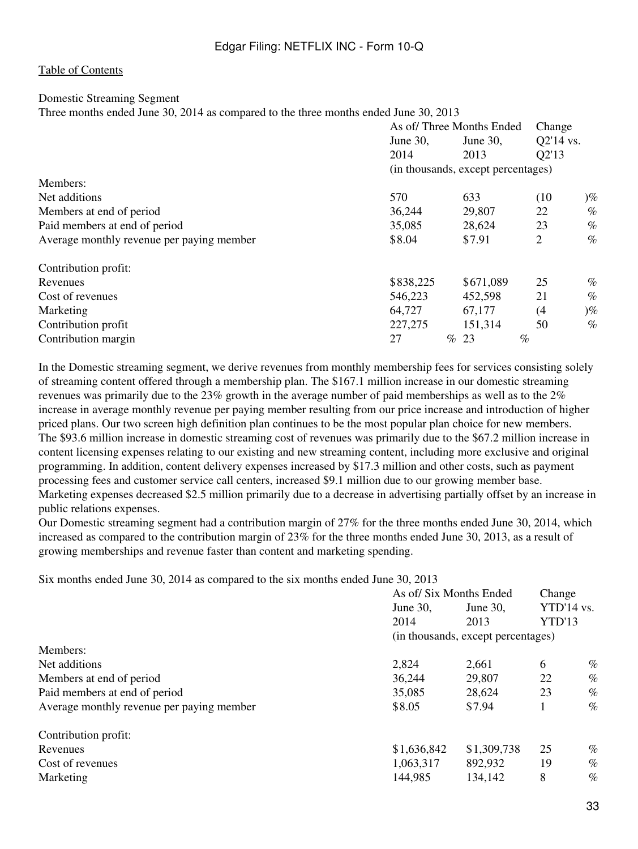#### Domestic Streaming Segment

Three months ended June 30, 2014 as compared to the three months ended June 30, 2013

|                                           | As of/Three Months Ended |                                    |           | Change |
|-------------------------------------------|--------------------------|------------------------------------|-----------|--------|
|                                           | June 30,                 | June 30,                           | Q2'14 vs. |        |
|                                           | 2014                     | 2013                               | Q2'13     |        |
|                                           |                          | (in thousands, except percentages) |           |        |
| Members:                                  |                          |                                    |           |        |
| Net additions                             | 570                      | 633                                | (10       | $)\%$  |
| Members at end of period                  | 36,244                   | 29,807                             | 22        | $\%$   |
| Paid members at end of period             | 35,085                   | 28,624                             | 23        | $\%$   |
| Average monthly revenue per paying member | \$8.04                   | \$7.91                             | 2         | $\%$   |
| Contribution profit:                      |                          |                                    |           |        |
| Revenues                                  | \$838,225                | \$671,089                          | 25        | $\%$   |
| Cost of revenues                          | 546,223                  | 452,598                            | 21        | $\%$   |
| Marketing                                 | 64,727                   | 67,177                             | (4)       | $)\%$  |
| Contribution profit                       | 227, 275                 | 151,314                            | 50        | $\%$   |
| Contribution margin                       | 27                       | $\%$<br>23                         | $\%$      |        |

In the Domestic streaming segment, we derive revenues from monthly membership fees for services consisting solely of streaming content offered through a membership plan. The \$167.1 million increase in our domestic streaming revenues was primarily due to the 23% growth in the average number of paid memberships as well as to the 2% increase in average monthly revenue per paying member resulting from our price increase and introduction of higher priced plans. Our two screen high definition plan continues to be the most popular plan choice for new members. The \$93.6 million increase in domestic streaming cost of revenues was primarily due to the \$67.2 million increase in content licensing expenses relating to our existing and new streaming content, including more exclusive and original programming. In addition, content delivery expenses increased by \$17.3 million and other costs, such as payment processing fees and customer service call centers, increased \$9.1 million due to our growing member base. Marketing expenses decreased \$2.5 million primarily due to a decrease in advertising partially offset by an increase in public relations expenses.

Our Domestic streaming segment had a contribution margin of 27% for the three months ended June 30, 2014, which increased as compared to the contribution margin of 23% for the three months ended June 30, 2013, as a result of growing memberships and revenue faster than content and marketing spending.

Six months ended June 30, 2014 as compared to the six months ended June 30, 2013

|                                           | As of/Six Months Ended |                                    |                      | Change |  |
|-------------------------------------------|------------------------|------------------------------------|----------------------|--------|--|
|                                           | June $30$ ,            | June $30$ ,                        | YTD'14 vs.<br>YTD'13 |        |  |
|                                           | 2014                   | 2013                               |                      |        |  |
|                                           |                        | (in thousands, except percentages) |                      |        |  |
| Members:                                  |                        |                                    |                      |        |  |
| Net additions                             | 2,824                  | 2,661                              | 6                    | $\%$   |  |
| Members at end of period                  | 36,244                 | 29,807                             | 22<br>$\%$           |        |  |
| Paid members at end of period             | 35,085                 | 28,624                             | 23                   | $\%$   |  |
| Average monthly revenue per paying member | \$8.05                 | \$7.94                             |                      | $\%$   |  |
| Contribution profit:                      |                        |                                    |                      |        |  |
| Revenues                                  | \$1,636,842            | \$1,309,738                        | 25                   | $\%$   |  |
| Cost of revenues                          | 1,063,317              | 892,932                            | 19                   | $\%$   |  |
| Marketing                                 | 144,985                | 134,142                            |                      | $\%$   |  |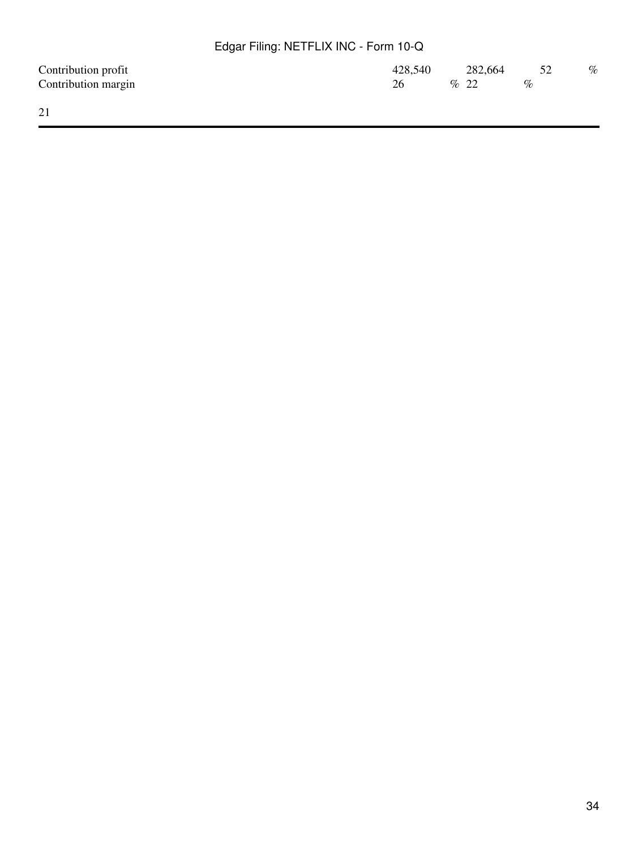| Contribution profit | 428,540 | 282,664 | 52   | $\%$ |
|---------------------|---------|---------|------|------|
| Contribution margin | 26      | $\%$ 22 | $\%$ |      |
|                     |         |         |      |      |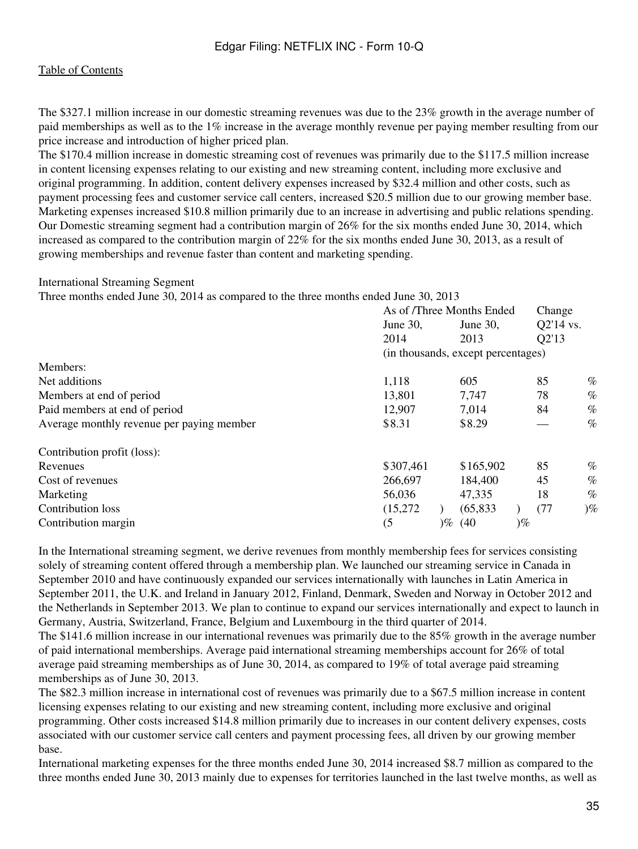The \$327.1 million increase in our domestic streaming revenues was due to the 23% growth in the average number of paid memberships as well as to the 1% increase in the average monthly revenue per paying member resulting from our price increase and introduction of higher priced plan.

The \$170.4 million increase in domestic streaming cost of revenues was primarily due to the \$117.5 million increase in content licensing expenses relating to our existing and new streaming content, including more exclusive and original programming. In addition, content delivery expenses increased by \$32.4 million and other costs, such as payment processing fees and customer service call centers, increased \$20.5 million due to our growing member base. Marketing expenses increased \$10.8 million primarily due to an increase in advertising and public relations spending. Our Domestic streaming segment had a contribution margin of 26% for the six months ended June 30, 2014, which increased as compared to the contribution margin of 22% for the six months ended June 30, 2013, as a result of growing memberships and revenue faster than content and marketing spending.

#### International Streaming Segment

Three months ended June 30, 2014 as compared to the three months ended June 30, 2013

|                                           | As of /Three Months Ended |       | Change                             |       |           |       |
|-------------------------------------------|---------------------------|-------|------------------------------------|-------|-----------|-------|
|                                           | June $30$ ,               |       | June $30$ ,                        |       | Q2'14 vs. |       |
|                                           | 2014                      |       | 2013                               |       | Q2'13     |       |
|                                           |                           |       | (in thousands, except percentages) |       |           |       |
| Members:                                  |                           |       |                                    |       |           |       |
| Net additions                             | 1,118                     |       | 605                                |       | 85        | $\%$  |
| Members at end of period                  | 13,801                    |       | 7,747                              |       | 78        | $\%$  |
| Paid members at end of period             | 12,907                    |       | 7,014                              |       | 84        | $\%$  |
| Average monthly revenue per paying member | \$8.31                    |       | \$8.29                             |       |           | $\%$  |
| Contribution profit (loss):               |                           |       |                                    |       |           |       |
| Revenues                                  | \$307,461                 |       | \$165,902                          |       | 85        | $\%$  |
| Cost of revenues                          | 266,697                   |       | 184,400                            |       | 45        | $\%$  |
| Marketing                                 | 56,036                    |       | 47,335                             |       | 18        | $\%$  |
| Contribution loss                         | (15,272)                  |       | (65, 833)                          |       | (77)      | $)\%$ |
| Contribution margin                       | (5)                       | $)\%$ | (40)                               | $)\%$ |           |       |

In the International streaming segment, we derive revenues from monthly membership fees for services consisting solely of streaming content offered through a membership plan. We launched our streaming service in Canada in September 2010 and have continuously expanded our services internationally with launches in Latin America in September 2011, the U.K. and Ireland in January 2012, Finland, Denmark, Sweden and Norway in October 2012 and the Netherlands in September 2013. We plan to continue to expand our services internationally and expect to launch in Germany, Austria, Switzerland, France, Belgium and Luxembourg in the third quarter of 2014.

The \$141.6 million increase in our international revenues was primarily due to the 85% growth in the average number of paid international memberships. Average paid international streaming memberships account for 26% of total average paid streaming memberships as of June 30, 2014, as compared to 19% of total average paid streaming memberships as of June 30, 2013.

The \$82.3 million increase in international cost of revenues was primarily due to a \$67.5 million increase in content licensing expenses relating to our existing and new streaming content, including more exclusive and original programming. Other costs increased \$14.8 million primarily due to increases in our content delivery expenses, costs associated with our customer service call centers and payment processing fees, all driven by our growing member base.

International marketing expenses for the three months ended June 30, 2014 increased \$8.7 million as compared to the three months ended June 30, 2013 mainly due to expenses for territories launched in the last twelve months, as well as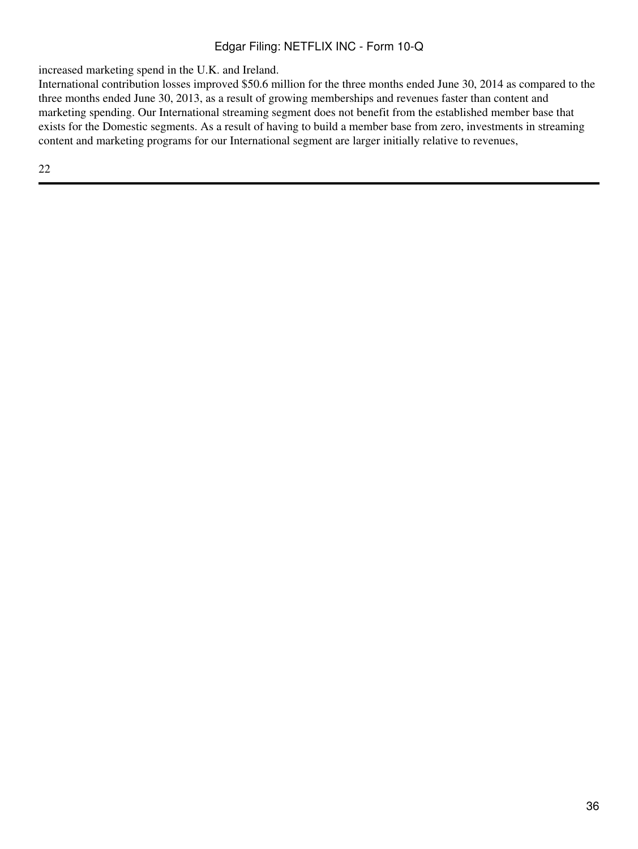increased marketing spend in the U.K. and Ireland.

International contribution losses improved \$50.6 million for the three months ended June 30, 2014 as compared to the three months ended June 30, 2013, as a result of growing memberships and revenues faster than content and marketing spending. Our International streaming segment does not benefit from the established member base that exists for the Domestic segments. As a result of having to build a member base from zero, investments in streaming content and marketing programs for our International segment are larger initially relative to revenues,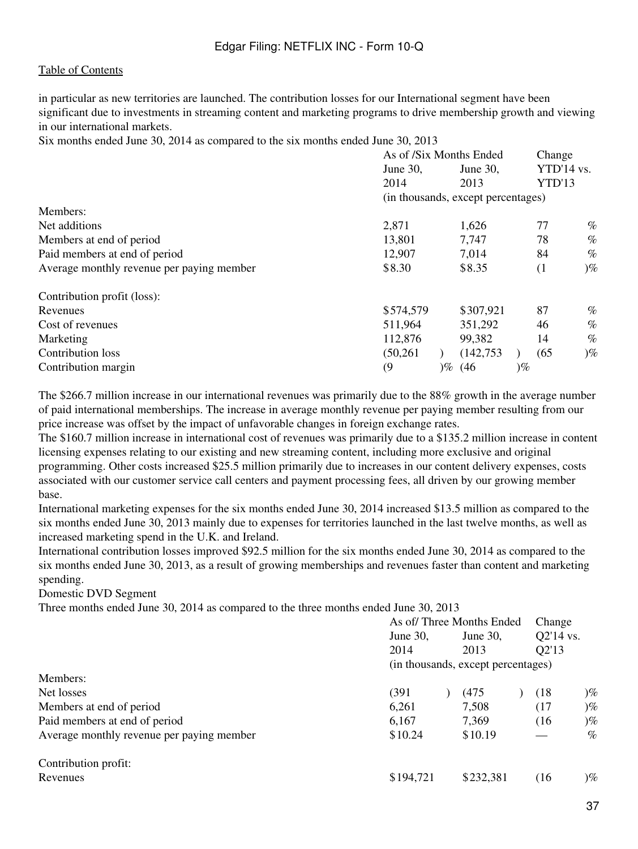in particular as new territories are launched. The contribution losses for our International segment have been significant due to investments in streaming content and marketing programs to drive membership growth and viewing in our international markets.

Six months ended June 30, 2014 as compared to the six months ended June 30, 2013

|                                           | As of /Six Months Ended |          |                                    | Change |            |       |
|-------------------------------------------|-------------------------|----------|------------------------------------|--------|------------|-------|
|                                           | June 30,                | June 30, |                                    |        | YTD'14 vs. |       |
|                                           | 2014                    |          | 2013                               |        | YTD'13     |       |
|                                           |                         |          | (in thousands, except percentages) |        |            |       |
| Members:                                  |                         |          |                                    |        |            |       |
| Net additions                             | 2,871                   |          | 1,626                              |        | 77         | %     |
| Members at end of period                  | 13,801                  |          | 7,747                              |        | 78         | $\%$  |
| Paid members at end of period             | 12,907                  |          | 7,014                              |        | 84         | $\%$  |
| Average monthly revenue per paying member | \$8.30                  |          | \$8.35                             |        | (1)        | $)\%$ |
| Contribution profit (loss):               |                         |          |                                    |        |            |       |
| Revenues                                  | \$574,579               |          | \$307,921                          |        | 87         | $\%$  |
| Cost of revenues                          | 511,964                 |          | 351,292                            |        | 46         | $\%$  |
| Marketing                                 | 112,876                 |          | 99,382                             |        | 14         | $\%$  |
| Contribution loss                         | (50, 261)               |          | (142, 753)                         |        | (65)       | $)\%$ |
| Contribution margin                       | (9)                     | $\%$     | (46)                               | $)\%$  |            |       |

The \$266.7 million increase in our international revenues was primarily due to the 88% growth in the average number of paid international memberships. The increase in average monthly revenue per paying member resulting from our price increase was offset by the impact of unfavorable changes in foreign exchange rates.

The \$160.7 million increase in international cost of revenues was primarily due to a \$135.2 million increase in content licensing expenses relating to our existing and new streaming content, including more exclusive and original programming. Other costs increased \$25.5 million primarily due to increases in our content delivery expenses, costs associated with our customer service call centers and payment processing fees, all driven by our growing member base.

International marketing expenses for the six months ended June 30, 2014 increased \$13.5 million as compared to the six months ended June 30, 2013 mainly due to expenses for territories launched in the last twelve months, as well as increased marketing spend in the U.K. and Ireland.

International contribution losses improved \$92.5 million for the six months ended June 30, 2014 as compared to the six months ended June 30, 2013, as a result of growing memberships and revenues faster than content and marketing spending.

Domestic DVD Segment

Three months ended June 30, 2014 as compared to the three months ended June 30, 2013

|                                           | As of/Three Months Ended |  |                                    | Change |           |                   |
|-------------------------------------------|--------------------------|--|------------------------------------|--------|-----------|-------------------|
|                                           | June $30$ ,              |  | June 30,                           |        | Q2'14 vs. |                   |
|                                           | 2014                     |  | 2013                               |        | Q2'13     |                   |
|                                           |                          |  | (in thousands, except percentages) |        |           |                   |
| Members:                                  |                          |  |                                    |        |           |                   |
| Net losses                                | (391                     |  | (475)                              |        | (18)      | $\mathcal{C}_{0}$ |
| Members at end of period                  | 6,261                    |  | 7,508                              |        | (17)      | $\mathcal{C}_{0}$ |
| Paid members at end of period             | 6,167                    |  | 7,369                              |        | (16)      | $\mathcal{C}_{0}$ |
| Average monthly revenue per paying member | \$10.24                  |  | \$10.19                            |        |           | $\%$              |
| Contribution profit:                      |                          |  |                                    |        |           |                   |
| Revenues                                  | \$194,721                |  | \$232,381                          |        | (16       | $\mathcal{C}_{0}$ |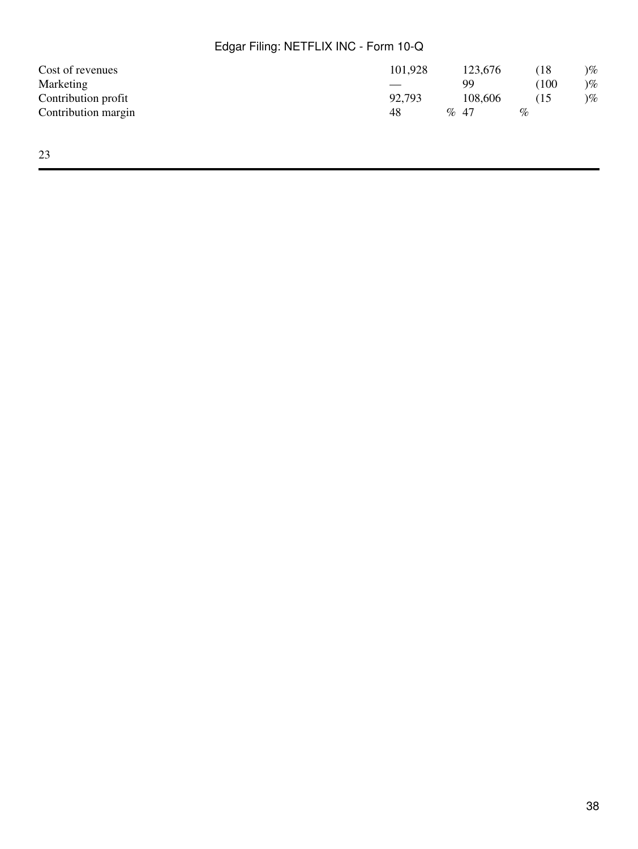| Cost of revenues    | 101,928 |         | 123,676 |      | (18)               | $)\%$ |
|---------------------|---------|---------|---------|------|--------------------|-------|
| Marketing           |         |         | 99      |      | $\left(100\right)$ | $)\%$ |
| Contribution profit | 92,793  |         | 108,606 |      | (15                | $)\%$ |
| Contribution margin | 48      | $\%$ 47 |         | $\%$ |                    |       |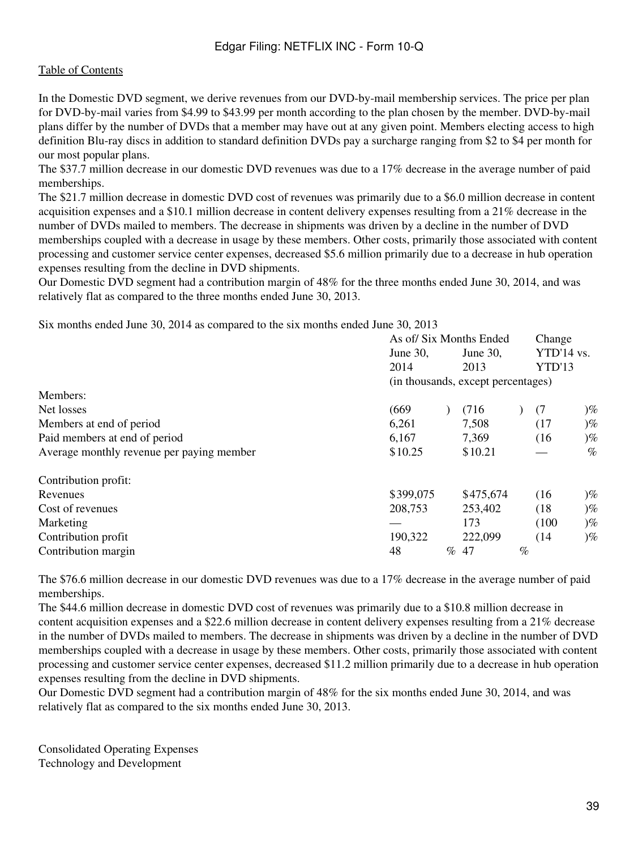In the Domestic DVD segment, we derive revenues from our DVD-by-mail membership services. The price per plan for DVD-by-mail varies from \$4.99 to \$43.99 per month according to the plan chosen by the member. DVD-by-mail plans differ by the number of DVDs that a member may have out at any given point. Members electing access to high definition Blu-ray discs in addition to standard definition DVDs pay a surcharge ranging from \$2 to \$4 per month for our most popular plans.

The \$37.7 million decrease in our domestic DVD revenues was due to a 17% decrease in the average number of paid memberships.

The \$21.7 million decrease in domestic DVD cost of revenues was primarily due to a \$6.0 million decrease in content acquisition expenses and a \$10.1 million decrease in content delivery expenses resulting from a 21% decrease in the number of DVDs mailed to members. The decrease in shipments was driven by a decline in the number of DVD memberships coupled with a decrease in usage by these members. Other costs, primarily those associated with content processing and customer service center expenses, decreased \$5.6 million primarily due to a decrease in hub operation expenses resulting from the decline in DVD shipments.

Our Domestic DVD segment had a contribution margin of 48% for the three months ended June 30, 2014, and was relatively flat as compared to the three months ended June 30, 2013.

Six months ended June 30, 2014 as compared to the six months ended June 30, 2013

|                                           |           | As of/ Six Months Ended |                                    |      | Change     |                   |
|-------------------------------------------|-----------|-------------------------|------------------------------------|------|------------|-------------------|
|                                           | June 30,  |                         | June 30,                           |      | YTD'14 vs. |                   |
|                                           | 2014      |                         | 2013                               |      | YTD'13     |                   |
|                                           |           |                         | (in thousands, except percentages) |      |            |                   |
| Members:                                  |           |                         |                                    |      |            |                   |
| Net losses                                | (669)     |                         | (716)                              |      | (7)        | $)\%$             |
| Members at end of period                  | 6,261     |                         | 7,508                              |      | (17)       | $)\%$             |
| Paid members at end of period             | 6,167     |                         | 7,369                              |      | (16)       | $)\%$             |
| Average monthly revenue per paying member | \$10.25   |                         | \$10.21                            |      |            | $\%$              |
| Contribution profit:                      |           |                         |                                    |      |            |                   |
| Revenues                                  | \$399,075 |                         | \$475,674                          |      | (16)       | $)\%$             |
| Cost of revenues                          | 208,753   |                         | 253,402                            |      | (18)       | $)\%$             |
| Marketing                                 |           |                         | 173                                |      | (100)      | $)\%$             |
| Contribution profit                       | 190,322   |                         | 222,099                            |      | (14)       | $\mathcal{C}_{0}$ |
| Contribution margin                       | 48        | $\%$                    | 47                                 | $\%$ |            |                   |

The \$76.6 million decrease in our domestic DVD revenues was due to a 17% decrease in the average number of paid memberships.

The \$44.6 million decrease in domestic DVD cost of revenues was primarily due to a \$10.8 million decrease in content acquisition expenses and a \$22.6 million decrease in content delivery expenses resulting from a 21% decrease in the number of DVDs mailed to members. The decrease in shipments was driven by a decline in the number of DVD memberships coupled with a decrease in usage by these members. Other costs, primarily those associated with content processing and customer service center expenses, decreased \$11.2 million primarily due to a decrease in hub operation expenses resulting from the decline in DVD shipments.

Our Domestic DVD segment had a contribution margin of 48% for the six months ended June 30, 2014, and was relatively flat as compared to the six months ended June 30, 2013.

Consolidated Operating Expenses Technology and Development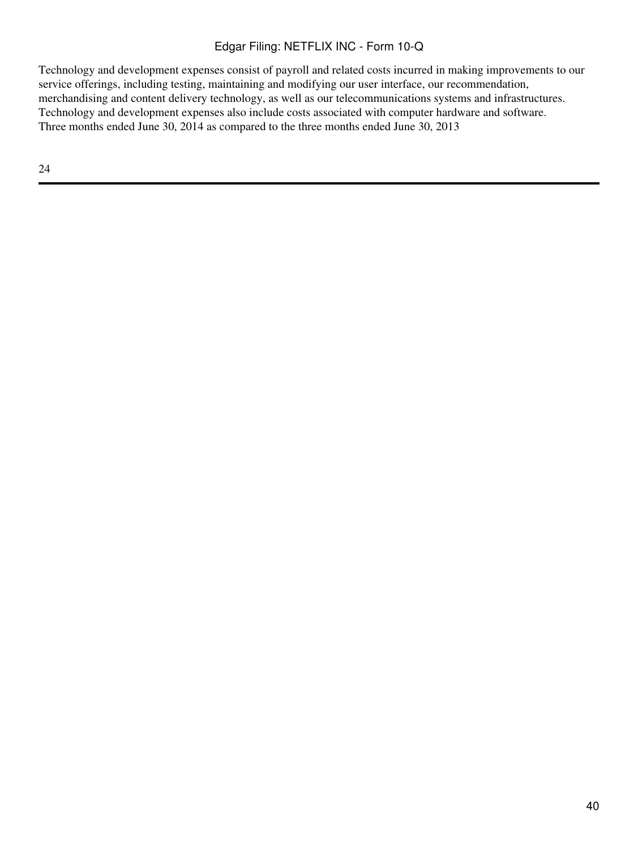Technology and development expenses consist of payroll and related costs incurred in making improvements to our service offerings, including testing, maintaining and modifying our user interface, our recommendation, merchandising and content delivery technology, as well as our telecommunications systems and infrastructures. Technology and development expenses also include costs associated with computer hardware and software. Three months ended June 30, 2014 as compared to the three months ended June 30, 2013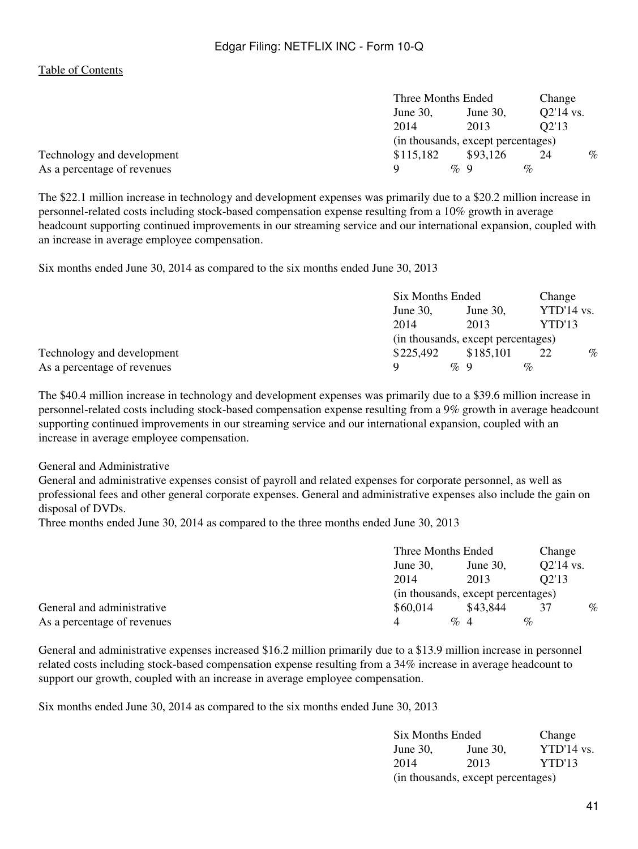|                             | Three Months Ended |        | Change                             |      |                    |      |
|-----------------------------|--------------------|--------|------------------------------------|------|--------------------|------|
|                             | June $30$ ,        |        | June $30$ ,                        |      | Q2'14 vs.          |      |
|                             | 2014               |        | 2013                               |      | O <sub>2</sub> '13 |      |
|                             |                    |        | (in thousands, except percentages) |      |                    |      |
| Technology and development  | \$115,182          |        | \$93,126                           |      | 24                 | $\%$ |
| As a percentage of revenues | Q                  | $\%$ 9 |                                    | $\%$ |                    |      |

The \$22.1 million increase in technology and development expenses was primarily due to a \$20.2 million increase in personnel-related costs including stock-based compensation expense resulting from a 10% growth in average headcount supporting continued improvements in our streaming service and our international expansion, coupled with an increase in average employee compensation.

Six months ended June 30, 2014 as compared to the six months ended June 30, 2013

|                             |                                    | Six Months Ended |              |      |
|-----------------------------|------------------------------------|------------------|--------------|------|
|                             | June 30,                           | June 30.         | $YTD'14$ vs. |      |
|                             | 2014                               | 2013             | YTD'13       |      |
|                             | (in thousands, except percentages) |                  |              |      |
| Technology and development  | \$225,492                          | \$185,101        | 22           | $\%$ |
| As a percentage of revenues |                                    | $\%$ 9           | $\%$         |      |

The \$40.4 million increase in technology and development expenses was primarily due to a \$39.6 million increase in personnel-related costs including stock-based compensation expense resulting from a 9% growth in average headcount supporting continued improvements in our streaming service and our international expansion, coupled with an increase in average employee compensation.

General and Administrative

General and administrative expenses consist of payroll and related expenses for corporate personnel, as well as professional fees and other general corporate expenses. General and administrative expenses also include the gain on disposal of DVDs.

Three months ended June 30, 2014 as compared to the three months ended June 30, 2013

|                             |                                    | Three Months Ended |                    | Change |  |  |  |  |  |  |             |  |
|-----------------------------|------------------------------------|--------------------|--------------------|--------|--|--|--|--|--|--|-------------|--|
|                             | June $30$ .<br>June $30$ .         |                    |                    |        |  |  |  |  |  |  | $O2'14$ vs. |  |
|                             | 2014                               | 2013               | O <sub>2</sub> '13 |        |  |  |  |  |  |  |             |  |
|                             | (in thousands, except percentages) |                    |                    |        |  |  |  |  |  |  |             |  |
| General and administrative  | \$60,014                           | \$43.844           | 37                 | $\%$   |  |  |  |  |  |  |             |  |
| As a percentage of revenues | $\overline{4}$                     | $\%$ 4             | $\%$               |        |  |  |  |  |  |  |             |  |

General and administrative expenses increased \$16.2 million primarily due to a \$13.9 million increase in personnel related costs including stock-based compensation expense resulting from a 34% increase in average headcount to support our growth, coupled with an increase in average employee compensation.

Six months ended June 30, 2014 as compared to the six months ended June 30, 2013

| Six Months Ended |                                    | Change       |
|------------------|------------------------------------|--------------|
| June 30,         | June 30,                           | $YTD'14$ vs. |
| 2014             | 2013                               | YTD'13       |
|                  | (in thousands, except percentages) |              |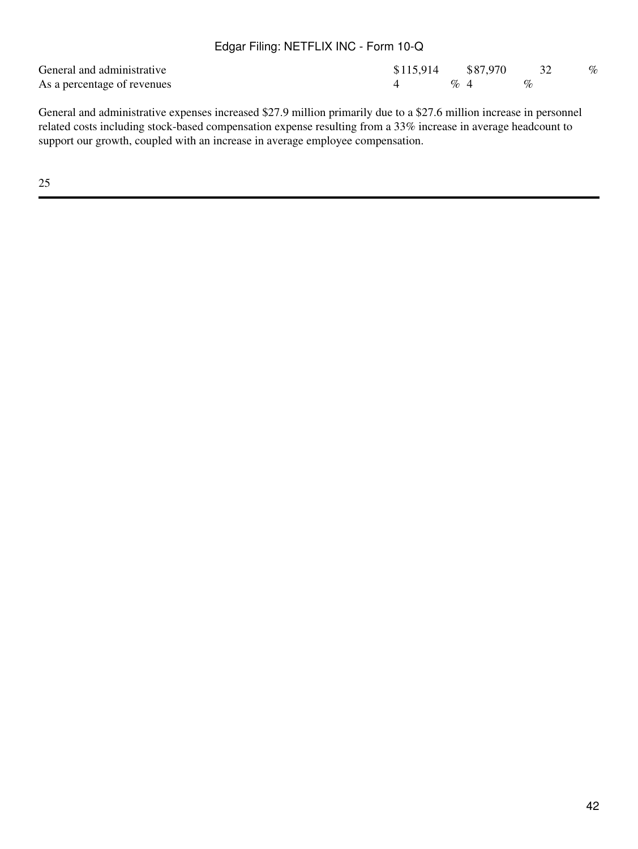| General and administrative  | $$115.914$ $$87.970$ |                                 |      | $\%$ |
|-----------------------------|----------------------|---------------------------------|------|------|
| As a percentage of revenues |                      | $\mathcal{O}_{\alpha}$ $\Delta$ | $\%$ |      |

General and administrative expenses increased \$27.9 million primarily due to a \$27.6 million increase in personnel related costs including stock-based compensation expense resulting from a 33% increase in average headcount to support our growth, coupled with an increase in average employee compensation.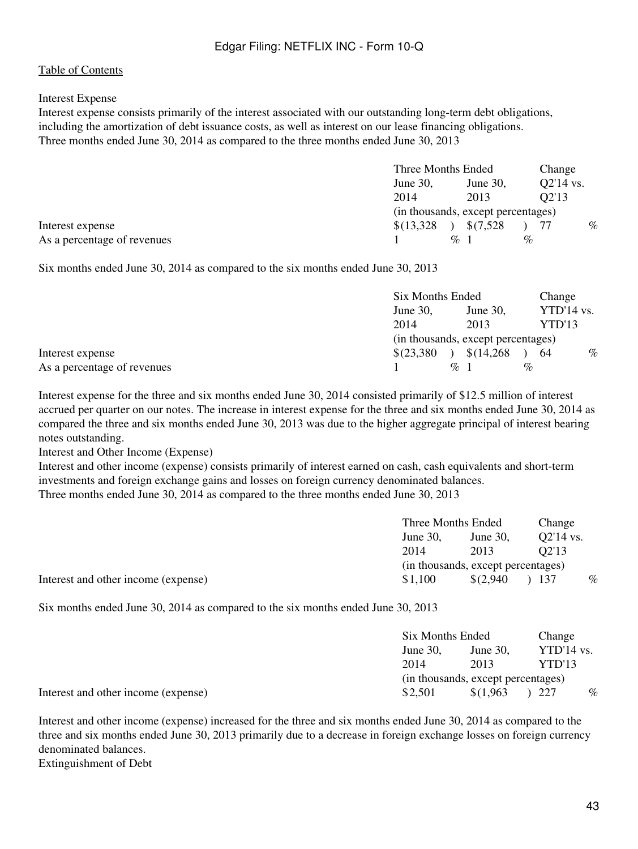### Interest Expense

Interest expense consists primarily of the interest associated with our outstanding long-term debt obligations, including the amortization of debt issuance costs, as well as interest on our lease financing obligations. Three months ended June 30, 2014 as compared to the three months ended June 30, 2013

|                             |             | Three Months Ended                 |       |             |  |  |  |
|-----------------------------|-------------|------------------------------------|-------|-------------|--|--|--|
|                             | June $30$ , | June 30,                           |       | $Q2'14$ vs. |  |  |  |
|                             | 2014        | 2013                               | O2'13 |             |  |  |  |
|                             |             | (in thousands, except percentages) |       |             |  |  |  |
| Interest expense            | \$(13,328)  | \$(7,528)                          |       | $\%$        |  |  |  |
| As a percentage of revenues |             | $\%$ 1                             | $\%$  |             |  |  |  |

Six months ended June 30, 2014 as compared to the six months ended June 30, 2013

|                             |                | Six Months Ended                   |              |      |
|-----------------------------|----------------|------------------------------------|--------------|------|
|                             | June $30$ ,    | June $30$ ,                        | $YTD'14$ vs. |      |
|                             | 2014           | 2013                               | YTD'13       |      |
|                             |                | (in thousands, except percentages) |              |      |
| Interest expense            | $$^{(23,380)}$ | \$(14,268)                         | 64           | $\%$ |
| As a percentage of revenues |                | $\%$ 1                             | $\%$         |      |

Interest expense for the three and six months ended June 30, 2014 consisted primarily of \$12.5 million of interest accrued per quarter on our notes. The increase in interest expense for the three and six months ended June 30, 2014 as compared the three and six months ended June 30, 2013 was due to the higher aggregate principal of interest bearing notes outstanding.

Interest and Other Income (Expense)

Interest and other income (expense) consists primarily of interest earned on cash, cash equivalents and short-term investments and foreign exchange gains and losses on foreign currency denominated balances. Three months ended June 30, 2014 as compared to the three months ended June 30, 2013

|                                     |             | Three Months Ended                 |             | Change |
|-------------------------------------|-------------|------------------------------------|-------------|--------|
|                                     | June $30$ . | June 30.                           | $O2'14$ vs. |        |
|                                     | 2014        | 2013                               | O2'13       |        |
|                                     |             | (in thousands, except percentages) |             |        |
| Interest and other income (expense) | \$1,100     | \$(2,940)                          | ) 137       | $\%$   |

Six months ended June 30, 2014 as compared to the six months ended June 30, 2013

|                                     |          | Six Months Ended                   |              |      |
|-------------------------------------|----------|------------------------------------|--------------|------|
|                                     | June 30. | June $30$ .                        | $YTD'14$ vs. |      |
|                                     | 2014     | 2013                               | YTD'13       |      |
|                                     |          | (in thousands, except percentages) |              |      |
| Interest and other income (expense) | \$2.501  | \$(1,963)                          | -227         | $\%$ |

Interest and other income (expense) increased for the three and six months ended June 30, 2014 as compared to the three and six months ended June 30, 2013 primarily due to a decrease in foreign exchange losses on foreign currency denominated balances. Extinguishment of Debt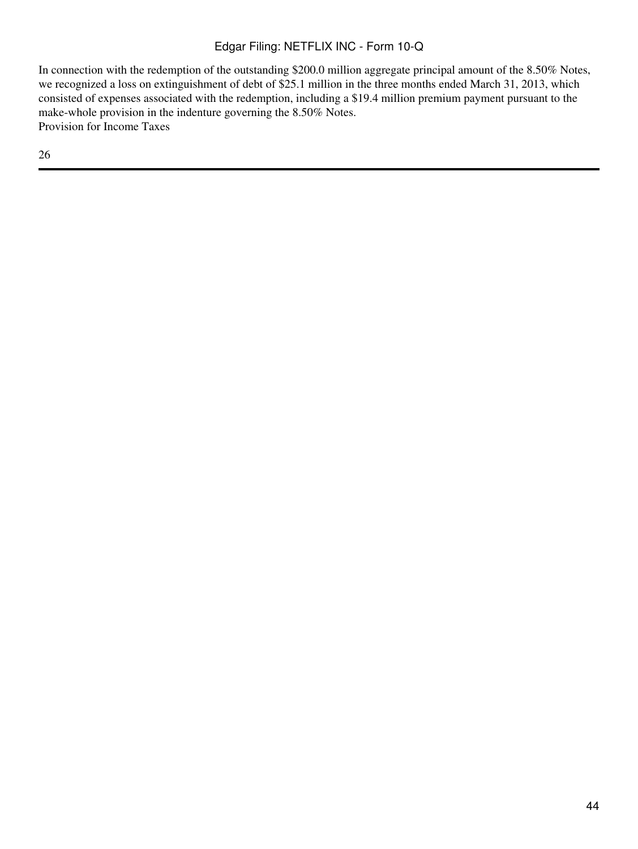In connection with the redemption of the outstanding \$200.0 million aggregate principal amount of the 8.50% Notes, we recognized a loss on extinguishment of debt of \$25.1 million in the three months ended March 31, 2013, which consisted of expenses associated with the redemption, including a \$19.4 million premium payment pursuant to the make-whole provision in the indenture governing the 8.50% Notes. Provision for Income Taxes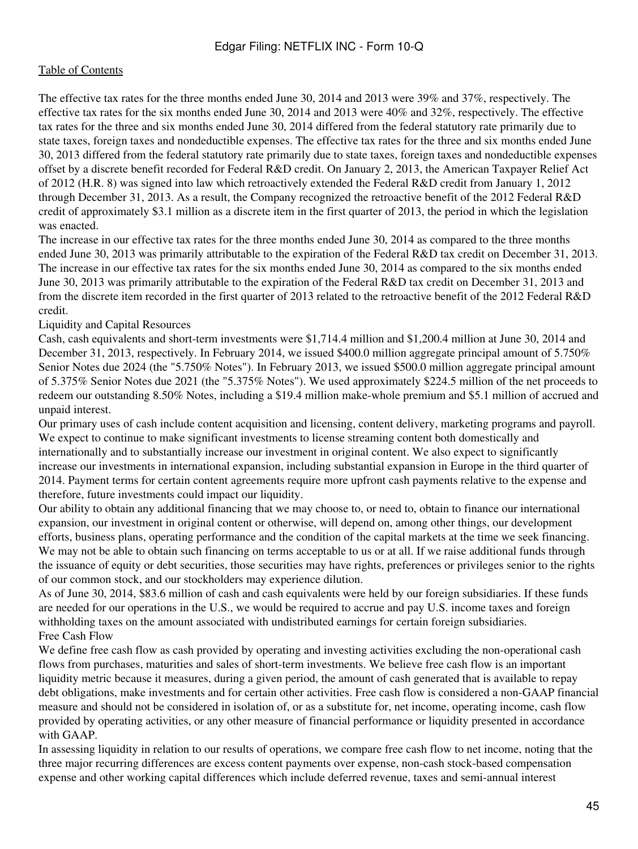The effective tax rates for the three months ended June 30, 2014 and 2013 were 39% and 37%, respectively. The effective tax rates for the six months ended June 30, 2014 and 2013 were 40% and 32%, respectively. The effective tax rates for the three and six months ended June 30, 2014 differed from the federal statutory rate primarily due to state taxes, foreign taxes and nondeductible expenses. The effective tax rates for the three and six months ended June 30, 2013 differed from the federal statutory rate primarily due to state taxes, foreign taxes and nondeductible expenses offset by a discrete benefit recorded for Federal R&D credit. On January 2, 2013, the American Taxpayer Relief Act of 2012 (H.R. 8) was signed into law which retroactively extended the Federal R&D credit from January 1, 2012 through December 31, 2013. As a result, the Company recognized the retroactive benefit of the 2012 Federal R&D credit of approximately \$3.1 million as a discrete item in the first quarter of 2013, the period in which the legislation was enacted.

The increase in our effective tax rates for the three months ended June 30, 2014 as compared to the three months ended June 30, 2013 was primarily attributable to the expiration of the Federal R&D tax credit on December 31, 2013. The increase in our effective tax rates for the six months ended June 30, 2014 as compared to the six months ended June 30, 2013 was primarily attributable to the expiration of the Federal R&D tax credit on December 31, 2013 and from the discrete item recorded in the first quarter of 2013 related to the retroactive benefit of the 2012 Federal R&D credit.

Liquidity and Capital Resources

Cash, cash equivalents and short-term investments were \$1,714.4 million and \$1,200.4 million at June 30, 2014 and December 31, 2013, respectively. In February 2014, we issued \$400.0 million aggregate principal amount of 5.750% Senior Notes due 2024 (the "5.750% Notes"). In February 2013, we issued \$500.0 million aggregate principal amount of 5.375% Senior Notes due 2021 (the "5.375% Notes"). We used approximately \$224.5 million of the net proceeds to redeem our outstanding 8.50% Notes, including a \$19.4 million make-whole premium and \$5.1 million of accrued and unpaid interest.

Our primary uses of cash include content acquisition and licensing, content delivery, marketing programs and payroll. We expect to continue to make significant investments to license streaming content both domestically and internationally and to substantially increase our investment in original content. We also expect to significantly increase our investments in international expansion, including substantial expansion in Europe in the third quarter of 2014. Payment terms for certain content agreements require more upfront cash payments relative to the expense and therefore, future investments could impact our liquidity.

Our ability to obtain any additional financing that we may choose to, or need to, obtain to finance our international expansion, our investment in original content or otherwise, will depend on, among other things, our development efforts, business plans, operating performance and the condition of the capital markets at the time we seek financing. We may not be able to obtain such financing on terms acceptable to us or at all. If we raise additional funds through the issuance of equity or debt securities, those securities may have rights, preferences or privileges senior to the rights of our common stock, and our stockholders may experience dilution.

As of June 30, 2014, \$83.6 million of cash and cash equivalents were held by our foreign subsidiaries. If these funds are needed for our operations in the U.S., we would be required to accrue and pay U.S. income taxes and foreign withholding taxes on the amount associated with undistributed earnings for certain foreign subsidiaries. Free Cash Flow

We define free cash flow as cash provided by operating and investing activities excluding the non-operational cash flows from purchases, maturities and sales of short-term investments. We believe free cash flow is an important liquidity metric because it measures, during a given period, the amount of cash generated that is available to repay debt obligations, make investments and for certain other activities. Free cash flow is considered a non-GAAP financial measure and should not be considered in isolation of, or as a substitute for, net income, operating income, cash flow provided by operating activities, or any other measure of financial performance or liquidity presented in accordance with GAAP.

In assessing liquidity in relation to our results of operations, we compare free cash flow to net income, noting that the three major recurring differences are excess content payments over expense, non-cash stock-based compensation expense and other working capital differences which include deferred revenue, taxes and semi-annual interest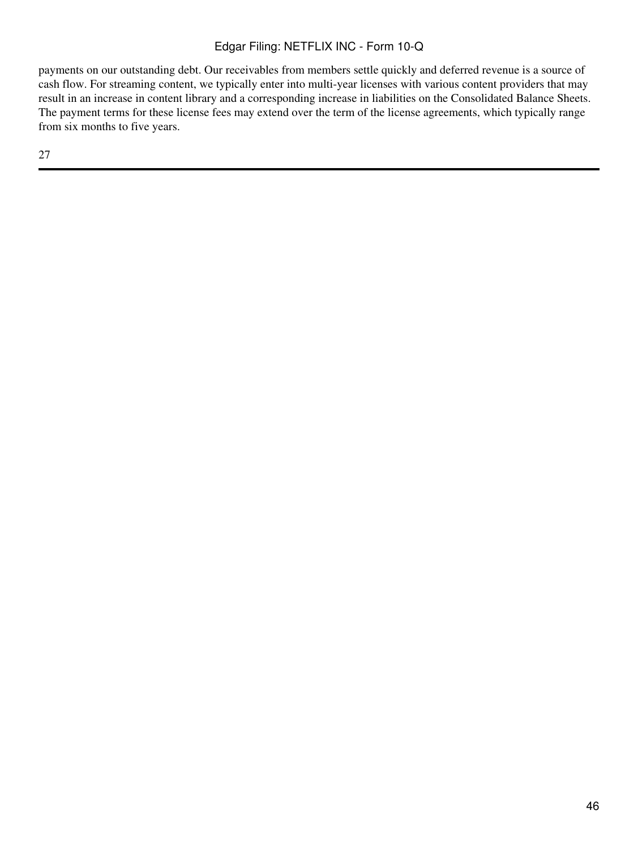payments on our outstanding debt. Our receivables from members settle quickly and deferred revenue is a source of cash flow. For streaming content, we typically enter into multi-year licenses with various content providers that may result in an increase in content library and a corresponding increase in liabilities on the Consolidated Balance Sheets. The payment terms for these license fees may extend over the term of the license agreements, which typically range from six months to five years.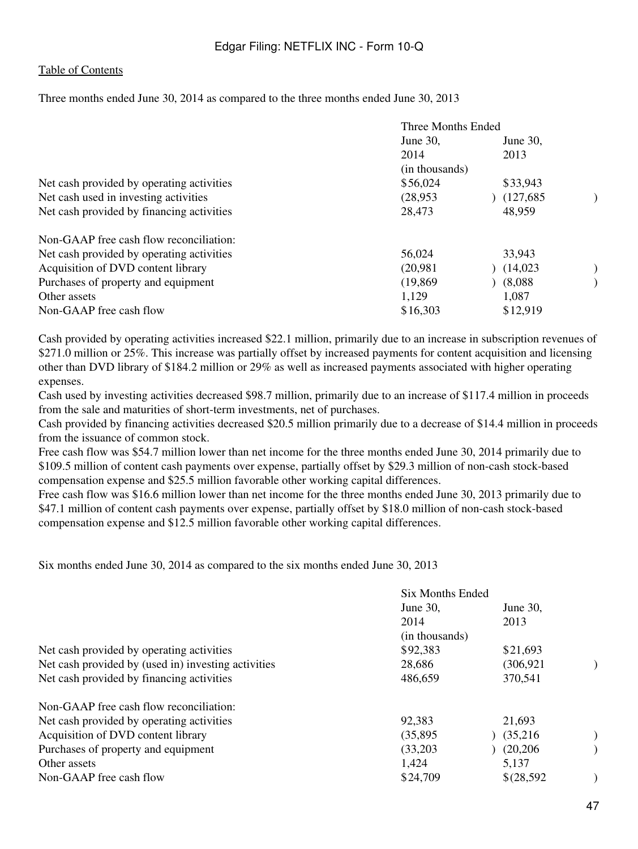Three months ended June 30, 2014 as compared to the three months ended June 30, 2013

|                                           | Three Months Ended |             |  |  |  |
|-------------------------------------------|--------------------|-------------|--|--|--|
|                                           | June 30,           | June $30$ , |  |  |  |
|                                           | 2014               | 2013        |  |  |  |
|                                           | (in thousands)     |             |  |  |  |
| Net cash provided by operating activities | \$56,024           | \$33,943    |  |  |  |
| Net cash used in investing activities     | (28, 953)          | (127, 685)  |  |  |  |
| Net cash provided by financing activities | 28,473             | 48,959      |  |  |  |
| Non-GAAP free cash flow reconciliation:   |                    |             |  |  |  |
| Net cash provided by operating activities | 56,024             | 33,943      |  |  |  |
| Acquisition of DVD content library        | (20,981)           | (14,023)    |  |  |  |
| Purchases of property and equipment       | (19, 869)          | (8.088)     |  |  |  |
| Other assets                              | 1,129              | 1,087       |  |  |  |
| Non-GAAP free cash flow                   | \$16,303           | \$12,919    |  |  |  |
|                                           |                    |             |  |  |  |

Cash provided by operating activities increased \$22.1 million, primarily due to an increase in subscription revenues of \$271.0 million or 25%. This increase was partially offset by increased payments for content acquisition and licensing other than DVD library of \$184.2 million or 29% as well as increased payments associated with higher operating expenses.

Cash used by investing activities decreased \$98.7 million, primarily due to an increase of \$117.4 million in proceeds from the sale and maturities of short-term investments, net of purchases.

Cash provided by financing activities decreased \$20.5 million primarily due to a decrease of \$14.4 million in proceeds from the issuance of common stock.

Free cash flow was \$54.7 million lower than net income for the three months ended June 30, 2014 primarily due to \$109.5 million of content cash payments over expense, partially offset by \$29.3 million of non-cash stock-based compensation expense and \$25.5 million favorable other working capital differences.

Free cash flow was \$16.6 million lower than net income for the three months ended June 30, 2013 primarily due to \$47.1 million of content cash payments over expense, partially offset by \$18.0 million of non-cash stock-based compensation expense and \$12.5 million favorable other working capital differences.

Six months ended June 30, 2014 as compared to the six months ended June 30, 2013

|                                                     | <b>Six Months Ended</b> |             |  |  |  |  |
|-----------------------------------------------------|-------------------------|-------------|--|--|--|--|
|                                                     | June $30$ .             | June $30$ . |  |  |  |  |
|                                                     | 2014                    | 2013        |  |  |  |  |
|                                                     | (in thousands)          |             |  |  |  |  |
| Net cash provided by operating activities           | \$92,383                | \$21,693    |  |  |  |  |
| Net cash provided by (used in) investing activities | 28,686                  | (306, 921)  |  |  |  |  |
| Net cash provided by financing activities           | 486,659                 | 370,541     |  |  |  |  |
| Non-GAAP free cash flow reconciliation:             |                         |             |  |  |  |  |
| Net cash provided by operating activities           | 92,383                  | 21,693      |  |  |  |  |
| Acquisition of DVD content library                  | (35, 895)               | (35,216)    |  |  |  |  |
| Purchases of property and equipment                 | (33,203)                | (20, 206)   |  |  |  |  |
| Other assets                                        | 1,424                   | 5,137       |  |  |  |  |
| Non-GAAP free cash flow                             | \$24,709                | \$(28,592)  |  |  |  |  |
|                                                     |                         |             |  |  |  |  |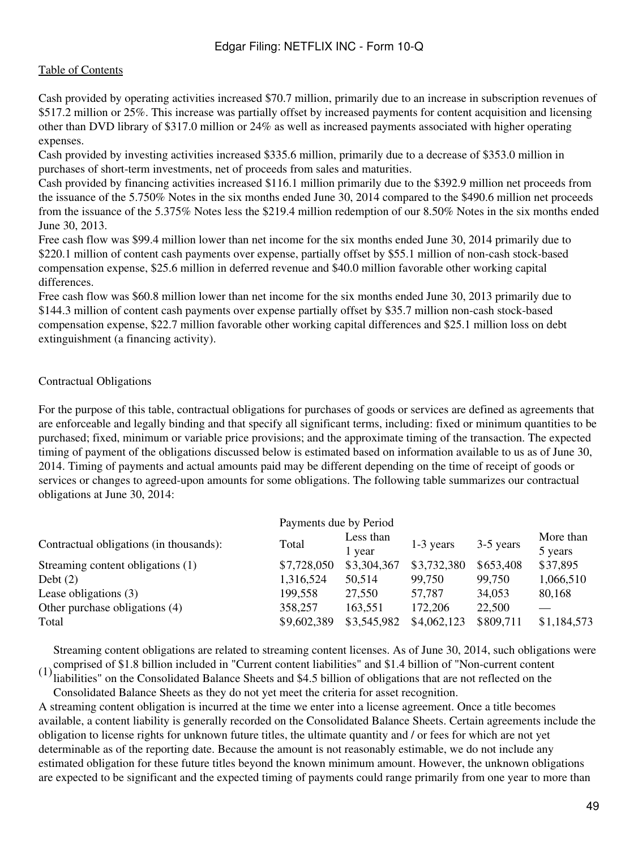Cash provided by operating activities increased \$70.7 million, primarily due to an increase in subscription revenues of \$517.2 million or 25%. This increase was partially offset by increased payments for content acquisition and licensing other than DVD library of \$317.0 million or 24% as well as increased payments associated with higher operating expenses.

Cash provided by investing activities increased \$335.6 million, primarily due to a decrease of \$353.0 million in purchases of short-term investments, net of proceeds from sales and maturities.

Cash provided by financing activities increased \$116.1 million primarily due to the \$392.9 million net proceeds from the issuance of the 5.750% Notes in the six months ended June 30, 2014 compared to the \$490.6 million net proceeds from the issuance of the 5.375% Notes less the \$219.4 million redemption of our 8.50% Notes in the six months ended June 30, 2013.

Free cash flow was \$99.4 million lower than net income for the six months ended June 30, 2014 primarily due to \$220.1 million of content cash payments over expense, partially offset by \$55.1 million of non-cash stock-based compensation expense, \$25.6 million in deferred revenue and \$40.0 million favorable other working capital differences.

Free cash flow was \$60.8 million lower than net income for the six months ended June 30, 2013 primarily due to \$144.3 million of content cash payments over expense partially offset by \$35.7 million non-cash stock-based compensation expense, \$22.7 million favorable other working capital differences and \$25.1 million loss on debt extinguishment (a financing activity).

#### Contractual Obligations

For the purpose of this table, contractual obligations for purchases of goods or services are defined as agreements that are enforceable and legally binding and that specify all significant terms, including: fixed or minimum quantities to be purchased; fixed, minimum or variable price provisions; and the approximate timing of the transaction. The expected timing of payment of the obligations discussed below is estimated based on information available to us as of June 30, 2014. Timing of payments and actual amounts paid may be different depending on the time of receipt of goods or services or changes to agreed-upon amounts for some obligations. The following table summarizes our contractual obligations at June 30, 2014:

|                                         | Payments due by Period |                     |             |           |                      |
|-----------------------------------------|------------------------|---------------------|-------------|-----------|----------------------|
| Contractual obligations (in thousands): | Total                  | Less than<br>l year | 1-3 years   | 3-5 years | More than<br>5 years |
| Streaming content obligations (1)       | \$7,728,050            | \$3,304,367         | \$3,732,380 | \$653,408 | \$37,895             |
| Debt $(2)$                              | 1,316,524              | 50.514              | 99,750      | 99,750    | 1,066,510            |
| Lease obligations (3)                   | 199,558                | 27,550              | 57,787      | 34,053    | 80,168               |
| Other purchase obligations (4)          | 358,257                | 163,551             | 172,206     | 22,500    |                      |
| Total                                   | \$9,602,389            | \$3,545,982         | \$4,062,123 | \$809,711 | \$1,184,573          |

comprised of \$1.8 billion included in "Current content liabilities" and \$1.4 billion of "Non-current content"<br>(1) liabilities" on the Consolidated Balance Sheets and \$4.5 billion of obligations that are not reflected on t Streaming content obligations are related to streaming content licenses. As of June 30, 2014, such obligations were

liabilities" on the Consolidated Balance Sheets and \$4.5 billion of obligations that are not reflected on the Consolidated Balance Sheets as they do not yet meet the criteria for asset recognition.

A streaming content obligation is incurred at the time we enter into a license agreement. Once a title becomes available, a content liability is generally recorded on the Consolidated Balance Sheets. Certain agreements include the obligation to license rights for unknown future titles, the ultimate quantity and / or fees for which are not yet determinable as of the reporting date. Because the amount is not reasonably estimable, we do not include any estimated obligation for these future titles beyond the known minimum amount. However, the unknown obligations are expected to be significant and the expected timing of payments could range primarily from one year to more than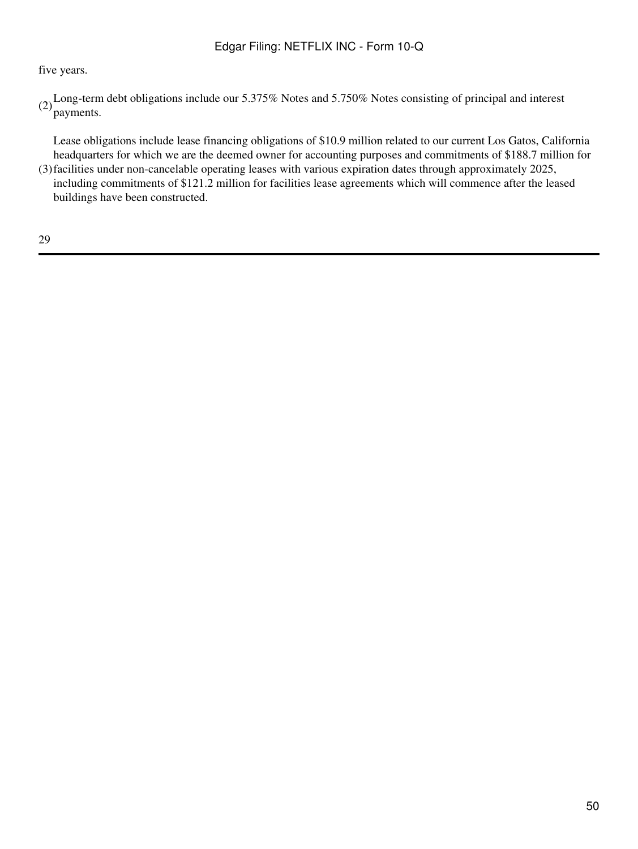# five years.

(2)Long-term debt obligations include our 5.375% Notes and 5.750% Notes consisting of principal and interest payments.

(3) facilities under non-cancelable operating leases with various expiration dates through approximately 2025, Lease obligations include lease financing obligations of \$10.9 million related to our current Los Gatos, California headquarters for which we are the deemed owner for accounting purposes and commitments of \$188.7 million for

including commitments of \$121.2 million for facilities lease agreements which will commence after the leased buildings have been constructed.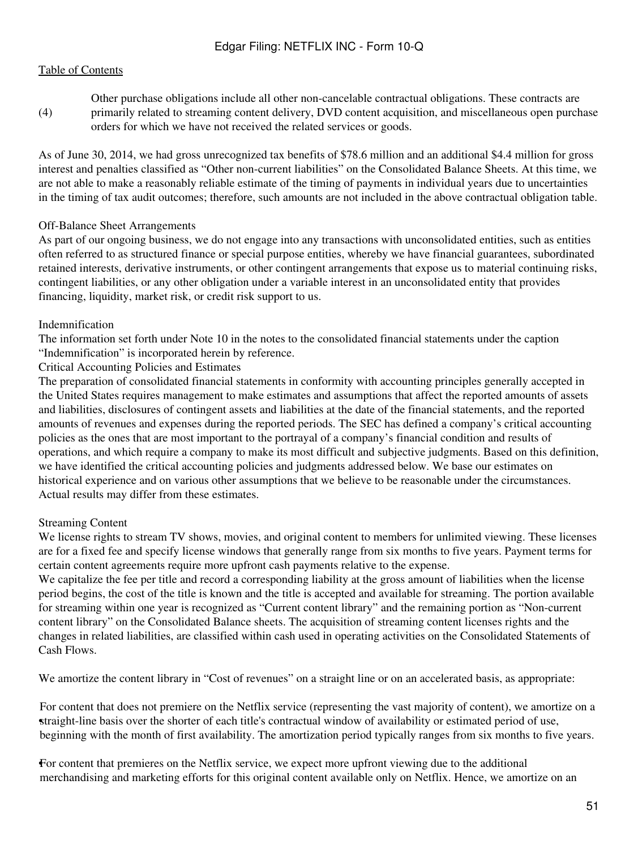(4) Other purchase obligations include all other non-cancelable contractual obligations. These contracts are primarily related to streaming content delivery, DVD content acquisition, and miscellaneous open purchase orders for which we have not received the related services or goods.

As of June 30, 2014, we had gross unrecognized tax benefits of \$78.6 million and an additional \$4.4 million for gross interest and penalties classified as "Other non-current liabilities" on the Consolidated Balance Sheets. At this time, we are not able to make a reasonably reliable estimate of the timing of payments in individual years due to uncertainties in the timing of tax audit outcomes; therefore, such amounts are not included in the above contractual obligation table.

### Off-Balance Sheet Arrangements

As part of our ongoing business, we do not engage into any transactions with unconsolidated entities, such as entities often referred to as structured finance or special purpose entities, whereby we have financial guarantees, subordinated retained interests, derivative instruments, or other contingent arrangements that expose us to material continuing risks, contingent liabilities, or any other obligation under a variable interest in an unconsolidated entity that provides financing, liquidity, market risk, or credit risk support to us.

#### Indemnification

The information set forth under Note 10 in the notes to the consolidated financial statements under the caption "Indemnification" is incorporated herein by reference.

Critical Accounting Policies and Estimates

The preparation of consolidated financial statements in conformity with accounting principles generally accepted in the United States requires management to make estimates and assumptions that affect the reported amounts of assets and liabilities, disclosures of contingent assets and liabilities at the date of the financial statements, and the reported amounts of revenues and expenses during the reported periods. The SEC has defined a company's critical accounting policies as the ones that are most important to the portrayal of a company's financial condition and results of operations, and which require a company to make its most difficult and subjective judgments. Based on this definition, we have identified the critical accounting policies and judgments addressed below. We base our estimates on historical experience and on various other assumptions that we believe to be reasonable under the circumstances. Actual results may differ from these estimates.

### Streaming Content

We license rights to stream TV shows, movies, and original content to members for unlimited viewing. These licenses are for a fixed fee and specify license windows that generally range from six months to five years. Payment terms for certain content agreements require more upfront cash payments relative to the expense.

We capitalize the fee per title and record a corresponding liability at the gross amount of liabilities when the license period begins, the cost of the title is known and the title is accepted and available for streaming. The portion available for streaming within one year is recognized as "Current content library" and the remaining portion as "Non-current content library" on the Consolidated Balance sheets. The acquisition of streaming content licenses rights and the changes in related liabilities, are classified within cash used in operating activities on the Consolidated Statements of Cash Flows.

We amortize the content library in "Cost of revenues" on a straight line or on an accelerated basis, as appropriate:

straight-line basis over the shorter of each title's contractual window of availability or estimated period of use, For content that does not premiere on the Netflix service (representing the vast majority of content), we amortize on a beginning with the month of first availability. The amortization period typically ranges from six months to five years.

•For content that premieres on the Netflix service, we expect more upfront viewing due to the additional merchandising and marketing efforts for this original content available only on Netflix. Hence, we amortize on an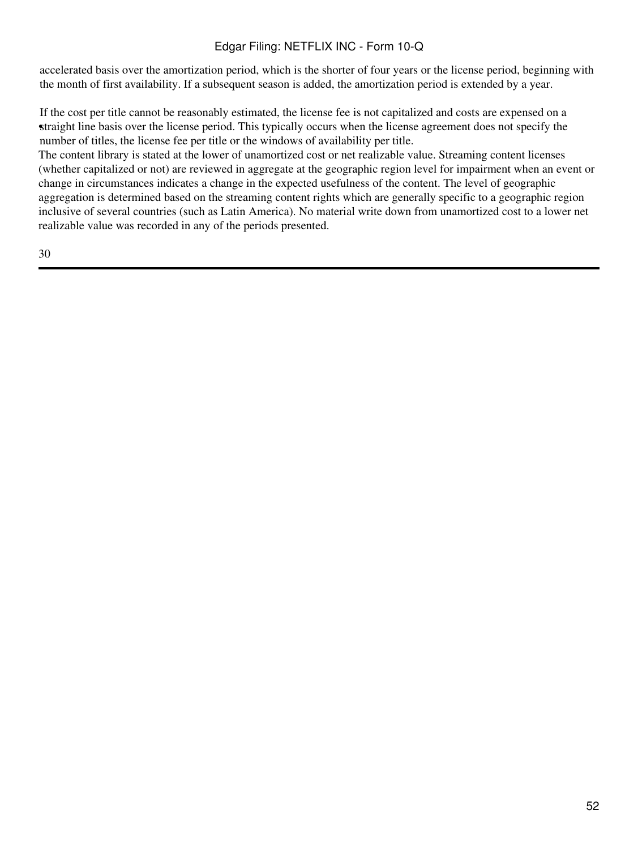accelerated basis over the amortization period, which is the shorter of four years or the license period, beginning with the month of first availability. If a subsequent season is added, the amortization period is extended by a year.

straight line basis over the license period. This typically occurs when the license agreement does not specify the If the cost per title cannot be reasonably estimated, the license fee is not capitalized and costs are expensed on a number of titles, the license fee per title or the windows of availability per title.

The content library is stated at the lower of unamortized cost or net realizable value. Streaming content licenses (whether capitalized or not) are reviewed in aggregate at the geographic region level for impairment when an event or change in circumstances indicates a change in the expected usefulness of the content. The level of geographic aggregation is determined based on the streaming content rights which are generally specific to a geographic region inclusive of several countries (such as Latin America). No material write down from unamortized cost to a lower net realizable value was recorded in any of the periods presented.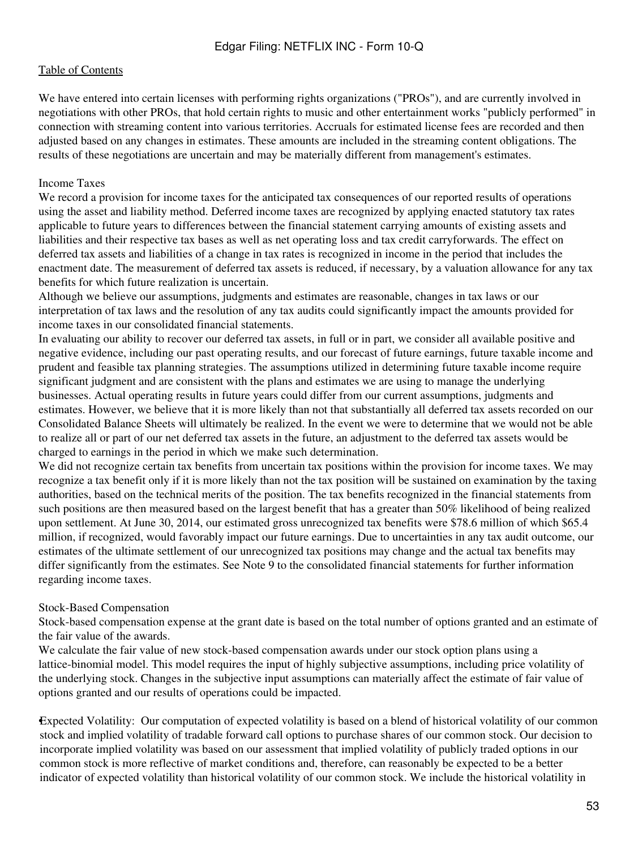We have entered into certain licenses with performing rights organizations ("PROs"), and are currently involved in negotiations with other PROs, that hold certain rights to music and other entertainment works "publicly performed" in connection with streaming content into various territories. Accruals for estimated license fees are recorded and then adjusted based on any changes in estimates. These amounts are included in the streaming content obligations. The results of these negotiations are uncertain and may be materially different from management's estimates.

#### Income Taxes

We record a provision for income taxes for the anticipated tax consequences of our reported results of operations using the asset and liability method. Deferred income taxes are recognized by applying enacted statutory tax rates applicable to future years to differences between the financial statement carrying amounts of existing assets and liabilities and their respective tax bases as well as net operating loss and tax credit carryforwards. The effect on deferred tax assets and liabilities of a change in tax rates is recognized in income in the period that includes the enactment date. The measurement of deferred tax assets is reduced, if necessary, by a valuation allowance for any tax benefits for which future realization is uncertain.

Although we believe our assumptions, judgments and estimates are reasonable, changes in tax laws or our interpretation of tax laws and the resolution of any tax audits could significantly impact the amounts provided for income taxes in our consolidated financial statements.

In evaluating our ability to recover our deferred tax assets, in full or in part, we consider all available positive and negative evidence, including our past operating results, and our forecast of future earnings, future taxable income and prudent and feasible tax planning strategies. The assumptions utilized in determining future taxable income require significant judgment and are consistent with the plans and estimates we are using to manage the underlying businesses. Actual operating results in future years could differ from our current assumptions, judgments and estimates. However, we believe that it is more likely than not that substantially all deferred tax assets recorded on our Consolidated Balance Sheets will ultimately be realized. In the event we were to determine that we would not be able to realize all or part of our net deferred tax assets in the future, an adjustment to the deferred tax assets would be charged to earnings in the period in which we make such determination.

We did not recognize certain tax benefits from uncertain tax positions within the provision for income taxes. We may recognize a tax benefit only if it is more likely than not the tax position will be sustained on examination by the taxing authorities, based on the technical merits of the position. The tax benefits recognized in the financial statements from such positions are then measured based on the largest benefit that has a greater than 50% likelihood of being realized upon settlement. At June 30, 2014, our estimated gross unrecognized tax benefits were \$78.6 million of which \$65.4 million, if recognized, would favorably impact our future earnings. Due to uncertainties in any tax audit outcome, our estimates of the ultimate settlement of our unrecognized tax positions may change and the actual tax benefits may differ significantly from the estimates. See Note 9 to the consolidated financial statements for further information regarding income taxes.

#### Stock-Based Compensation

Stock-based compensation expense at the grant date is based on the total number of options granted and an estimate of the fair value of the awards.

We calculate the fair value of new stock-based compensation awards under our stock option plans using a lattice-binomial model. This model requires the input of highly subjective assumptions, including price volatility of the underlying stock. Changes in the subjective input assumptions can materially affect the estimate of fair value of options granted and our results of operations could be impacted.

•Expected Volatility: Our computation of expected volatility is based on a blend of historical volatility of our common stock and implied volatility of tradable forward call options to purchase shares of our common stock. Our decision to incorporate implied volatility was based on our assessment that implied volatility of publicly traded options in our common stock is more reflective of market conditions and, therefore, can reasonably be expected to be a better indicator of expected volatility than historical volatility of our common stock. We include the historical volatility in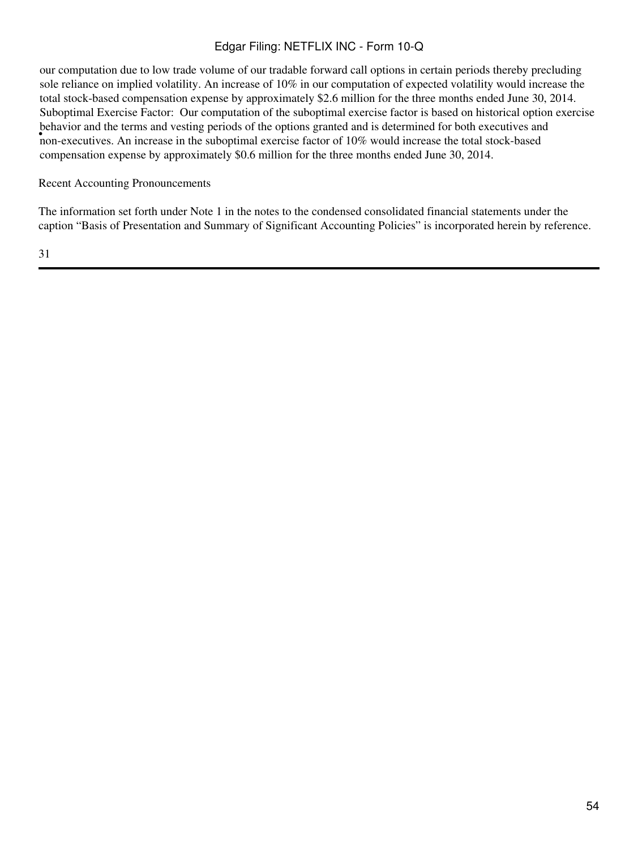our computation due to low trade volume of our tradable forward call options in certain periods thereby precluding sole reliance on implied volatility. An increase of 10% in our computation of expected volatility would increase the total stock-based compensation expense by approximately \$2.6 million for the three months ended June 30, 2014. • non-executives. An increase in the suboptimal exercise factor of 10% would increase the total stock-based Suboptimal Exercise Factor: Our computation of the suboptimal exercise factor is based on historical option exercise behavior and the terms and vesting periods of the options granted and is determined for both executives and compensation expense by approximately \$0.6 million for the three months ended June 30, 2014.

Recent Accounting Pronouncements

The information set forth under Note 1 in the notes to the condensed consolidated financial statements under the caption "Basis of Presentation and Summary of Significant Accounting Policies" is incorporated herein by reference.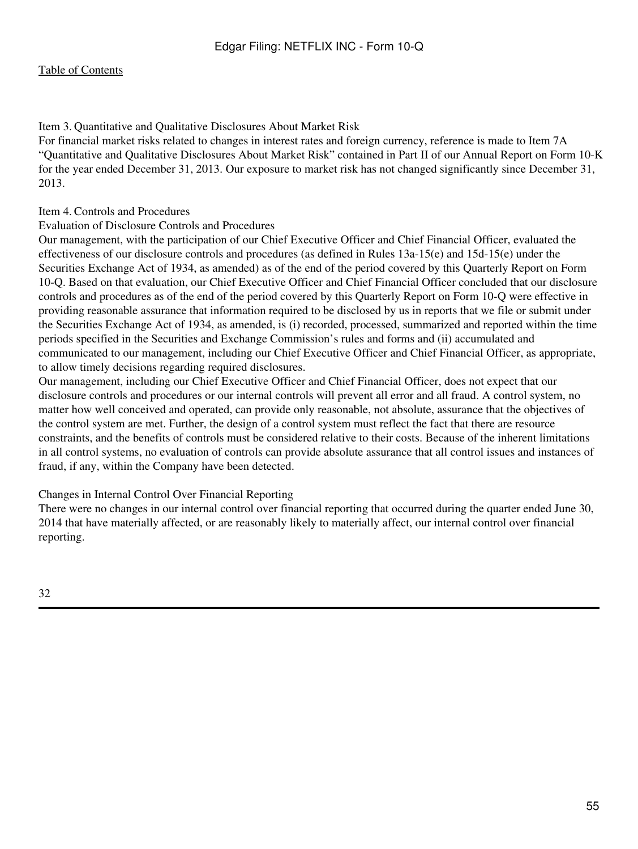<span id="page-54-0"></span>Item 3. Quantitative and Qualitative Disclosures About Market Risk

For financial market risks related to changes in interest rates and foreign currency, reference is made to Item 7A "Quantitative and Qualitative Disclosures About Market Risk" contained in Part II of our Annual Report on Form 10-K for the year ended December 31, 2013. Our exposure to market risk has not changed significantly since December 31, 2013.

## <span id="page-54-1"></span>Item 4. Controls and Procedures

### Evaluation of Disclosure Controls and Procedures

Our management, with the participation of our Chief Executive Officer and Chief Financial Officer, evaluated the effectiveness of our disclosure controls and procedures (as defined in Rules 13a-15(e) and 15d-15(e) under the Securities Exchange Act of 1934, as amended) as of the end of the period covered by this Quarterly Report on Form 10-Q. Based on that evaluation, our Chief Executive Officer and Chief Financial Officer concluded that our disclosure controls and procedures as of the end of the period covered by this Quarterly Report on Form 10-Q were effective in providing reasonable assurance that information required to be disclosed by us in reports that we file or submit under the Securities Exchange Act of 1934, as amended, is (i) recorded, processed, summarized and reported within the time periods specified in the Securities and Exchange Commission's rules and forms and (ii) accumulated and communicated to our management, including our Chief Executive Officer and Chief Financial Officer, as appropriate, to allow timely decisions regarding required disclosures.

Our management, including our Chief Executive Officer and Chief Financial Officer, does not expect that our disclosure controls and procedures or our internal controls will prevent all error and all fraud. A control system, no matter how well conceived and operated, can provide only reasonable, not absolute, assurance that the objectives of the control system are met. Further, the design of a control system must reflect the fact that there are resource constraints, and the benefits of controls must be considered relative to their costs. Because of the inherent limitations in all control systems, no evaluation of controls can provide absolute assurance that all control issues and instances of fraud, if any, within the Company have been detected.

### Changes in Internal Control Over Financial Reporting

<span id="page-54-2"></span>There were no changes in our internal control over financial reporting that occurred during the quarter ended June 30, 2014 that have materially affected, or are reasonably likely to materially affect, our internal control over financial reporting.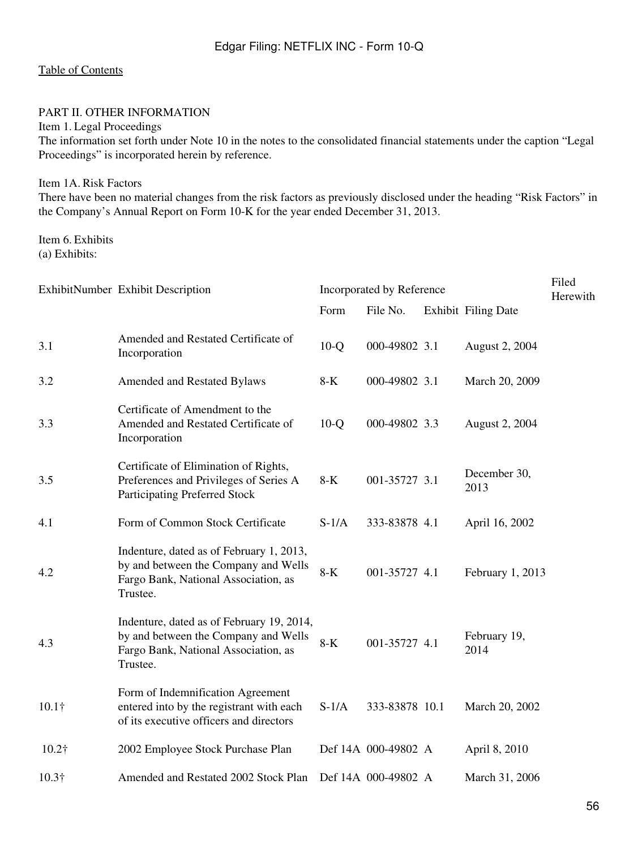### PART II. OTHER INFORMATION

<span id="page-55-0"></span>Item 1. Legal Proceedings

The information set forth under Note 10 in the notes to the consolidated financial statements under the caption "Legal Proceedings" is incorporated herein by reference.

<span id="page-55-1"></span>Item 1A. Risk Factors

There have been no material changes from the risk factors as previously disclosed under the heading "Risk Factors" in the Company's Annual Report on Form 10-K for the year ended December 31, 2013.

<span id="page-55-2"></span>Item 6. Exhibits (a) Exhibits:

|               | ExhibitNumber Exhibit Description                                                                                                     | Incorporated by Reference | Filed<br>Herewith   |                            |  |
|---------------|---------------------------------------------------------------------------------------------------------------------------------------|---------------------------|---------------------|----------------------------|--|
|               |                                                                                                                                       | Form                      | File No.            | <b>Exhibit Filing Date</b> |  |
| 3.1           | Amended and Restated Certificate of<br>Incorporation                                                                                  | $10-Q$                    | 000-49802 3.1       | August 2, 2004             |  |
| 3.2           | Amended and Restated Bylaws                                                                                                           | $8-K$                     | 000-49802 3.1       | March 20, 2009             |  |
| 3.3           | Certificate of Amendment to the<br>Amended and Restated Certificate of<br>Incorporation                                               | $10-Q$                    | 000-49802 3.3       | August 2, 2004             |  |
| 3.5           | Certificate of Elimination of Rights,<br>Preferences and Privileges of Series A<br><b>Participating Preferred Stock</b>               | $8-K$                     | 001-35727 3.1       | December 30,<br>2013       |  |
| 4.1           | Form of Common Stock Certificate                                                                                                      | $S-1/A$                   | 333-83878 4.1       | April 16, 2002             |  |
| 4.2           | Indenture, dated as of February 1, 2013,<br>by and between the Company and Wells<br>Fargo Bank, National Association, as<br>Trustee.  | $8-K$                     | 001-35727 4.1       | February 1, 2013           |  |
| 4.3           | Indenture, dated as of February 19, 2014,<br>by and between the Company and Wells<br>Fargo Bank, National Association, as<br>Trustee. | $8-K$                     | 001-35727 4.1       | February 19,<br>2014       |  |
| $10.1\dagger$ | Form of Indemnification Agreement<br>entered into by the registrant with each<br>of its executive officers and directors              | $S-1/A$                   | 333-83878 10.1      | March 20, 2002             |  |
| $10.2\dagger$ | 2002 Employee Stock Purchase Plan                                                                                                     |                           | Def 14A 000-49802 A | April 8, 2010              |  |
| $10.3\dagger$ | Amended and Restated 2002 Stock Plan                                                                                                  |                           | Def 14A 000-49802 A | March 31, 2006             |  |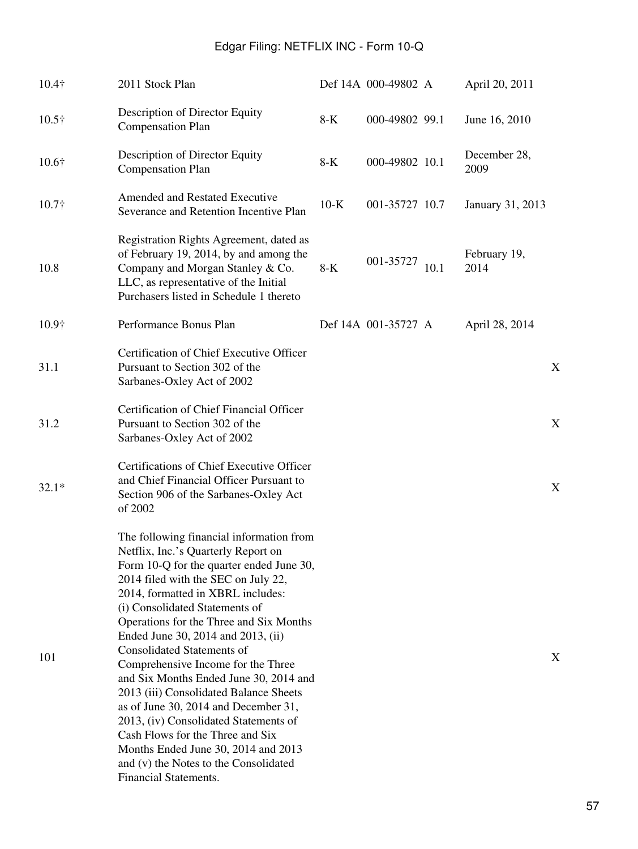| $10.4\dagger$ | 2011 Stock Plan                                                                                                                                                                                                                                                                                                                                                                                                                                                                                                                                                                                                                                                                                                         |        | Def 14A 000-49802 A |      | April 20, 2011       |  |
|---------------|-------------------------------------------------------------------------------------------------------------------------------------------------------------------------------------------------------------------------------------------------------------------------------------------------------------------------------------------------------------------------------------------------------------------------------------------------------------------------------------------------------------------------------------------------------------------------------------------------------------------------------------------------------------------------------------------------------------------------|--------|---------------------|------|----------------------|--|
| $10.5\dagger$ | Description of Director Equity<br><b>Compensation Plan</b>                                                                                                                                                                                                                                                                                                                                                                                                                                                                                                                                                                                                                                                              | $8-K$  | 000-49802 99.1      |      | June 16, 2010        |  |
| $10.6\dagger$ | Description of Director Equity<br><b>Compensation Plan</b>                                                                                                                                                                                                                                                                                                                                                                                                                                                                                                                                                                                                                                                              | $8-K$  | 000-49802 10.1      |      | December 28,<br>2009 |  |
| $10.7\dagger$ | <b>Amended and Restated Executive</b><br>Severance and Retention Incentive Plan                                                                                                                                                                                                                                                                                                                                                                                                                                                                                                                                                                                                                                         | $10-K$ | 001-35727 10.7      |      | January 31, 2013     |  |
| 10.8          | Registration Rights Agreement, dated as<br>of February 19, 2014, by and among the<br>Company and Morgan Stanley & Co.<br>LLC, as representative of the Initial<br>Purchasers listed in Schedule 1 thereto                                                                                                                                                                                                                                                                                                                                                                                                                                                                                                               | $8-K$  | 001-35727           | 10.1 | February 19,<br>2014 |  |
| $10.9\dagger$ | Performance Bonus Plan                                                                                                                                                                                                                                                                                                                                                                                                                                                                                                                                                                                                                                                                                                  |        | Def 14A 001-35727 A |      | April 28, 2014       |  |
| 31.1          | Certification of Chief Executive Officer<br>Pursuant to Section 302 of the<br>Sarbanes-Oxley Act of 2002                                                                                                                                                                                                                                                                                                                                                                                                                                                                                                                                                                                                                |        |                     |      | X                    |  |
| 31.2          | Certification of Chief Financial Officer<br>Pursuant to Section 302 of the<br>Sarbanes-Oxley Act of 2002                                                                                                                                                                                                                                                                                                                                                                                                                                                                                                                                                                                                                |        |                     |      | X                    |  |
| $32.1*$       | Certifications of Chief Executive Officer<br>and Chief Financial Officer Pursuant to<br>Section 906 of the Sarbanes-Oxley Act<br>of 2002                                                                                                                                                                                                                                                                                                                                                                                                                                                                                                                                                                                |        |                     |      | X                    |  |
| 101           | The following financial information from<br>Netflix, Inc.'s Quarterly Report on<br>Form 10-Q for the quarter ended June 30,<br>2014 filed with the SEC on July 22,<br>2014, formatted in XBRL includes:<br>(i) Consolidated Statements of<br>Operations for the Three and Six Months<br>Ended June 30, 2014 and 2013, (ii)<br><b>Consolidated Statements of</b><br>Comprehensive Income for the Three<br>and Six Months Ended June 30, 2014 and<br>2013 (iii) Consolidated Balance Sheets<br>as of June 30, 2014 and December 31,<br>2013, (iv) Consolidated Statements of<br>Cash Flows for the Three and Six<br>Months Ended June 30, 2014 and 2013<br>and (v) the Notes to the Consolidated<br>Financial Statements. |        |                     |      | X                    |  |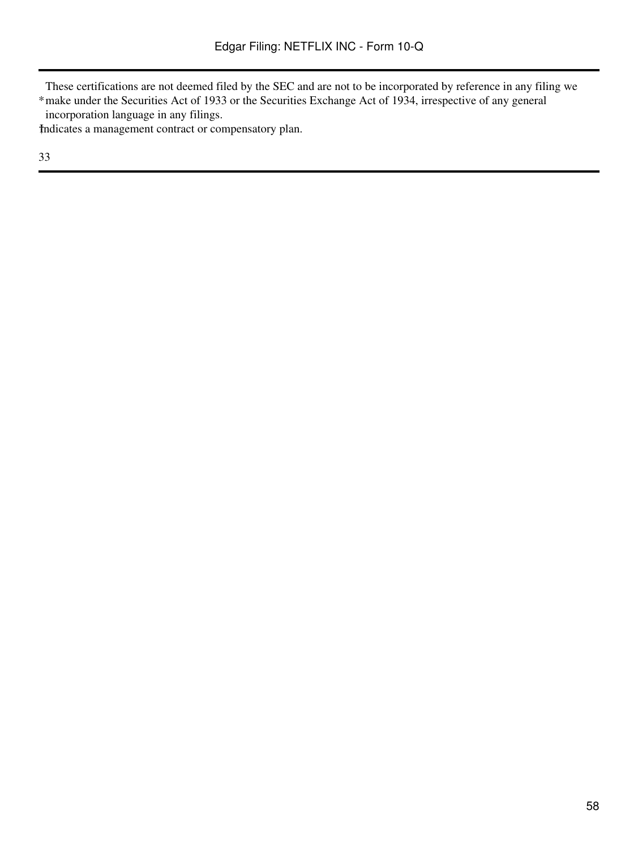These certifications are not deemed filed by the SEC and are not to be incorporated by reference in any filing we

\* make under the Securities Act of 1933 or the Securities Exchange Act of 1934, irrespective of any general incorporation language in any filings.

†Indicates a management contract or compensatory plan.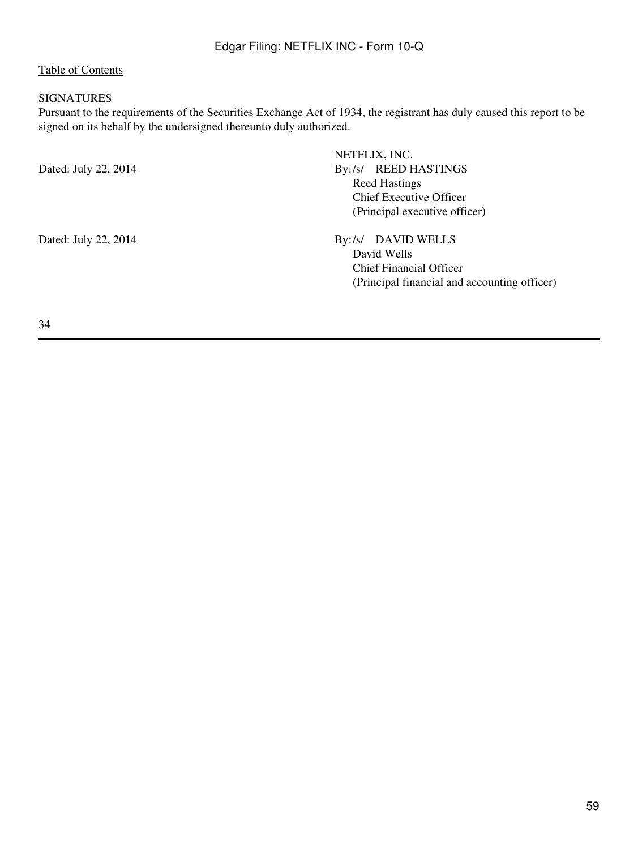### <span id="page-58-0"></span>SIGNATURES

Pursuant to the requirements of the Securities Exchange Act of 1934, the registrant has duly caused this report to be signed on its behalf by the undersigned thereunto duly authorized.

| Dated: July 22, 2014 | NETFLIX, INC.<br><b>REED HASTINGS</b><br>$Bv$ :/s/<br><b>Reed Hastings</b><br><b>Chief Executive Officer</b><br>(Principal executive officer) |
|----------------------|-----------------------------------------------------------------------------------------------------------------------------------------------|
| Dated: July 22, 2014 | DAVID WELLS<br>$Bv$ :/s/<br>David Wells<br>Chief Financial Officer<br>(Principal financial and accounting officer)                            |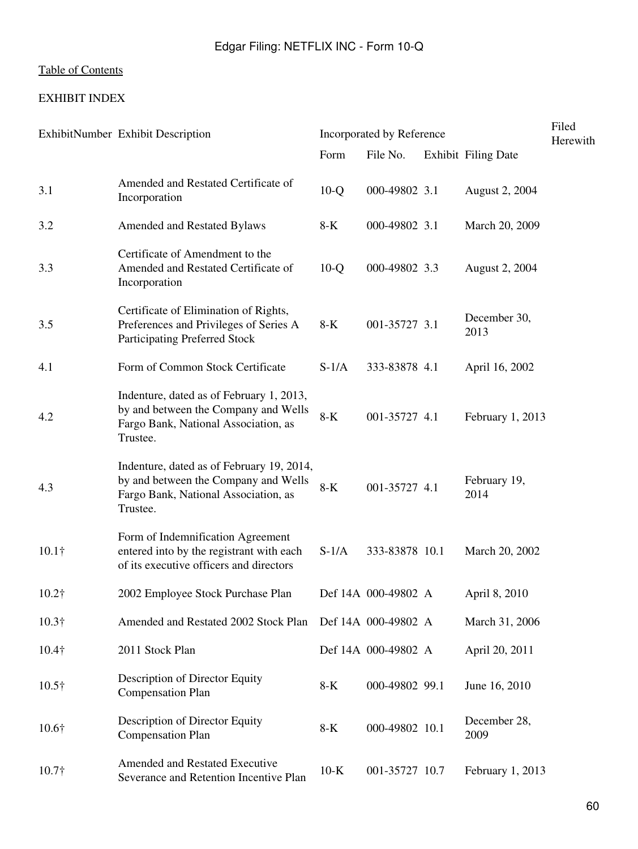# <span id="page-59-0"></span>EXHIBIT INDEX

|               | ExhibitNumber Exhibit Description                                                                                                     | Incorporated by Reference |                     |  |                            | Filed<br>Herewith |
|---------------|---------------------------------------------------------------------------------------------------------------------------------------|---------------------------|---------------------|--|----------------------------|-------------------|
|               |                                                                                                                                       | Form                      | File No.            |  | <b>Exhibit Filing Date</b> |                   |
| 3.1           | Amended and Restated Certificate of<br>Incorporation                                                                                  | $10-Q$                    | 000-49802 3.1       |  | August 2, 2004             |                   |
| 3.2           | Amended and Restated Bylaws                                                                                                           | 8-K                       | 000-49802 3.1       |  | March 20, 2009             |                   |
| 3.3           | Certificate of Amendment to the<br>Amended and Restated Certificate of<br>Incorporation                                               | $10-Q$                    | 000-49802 3.3       |  | August 2, 2004             |                   |
| 3.5           | Certificate of Elimination of Rights,<br>Preferences and Privileges of Series A<br>Participating Preferred Stock                      | $8-K$                     | 001-35727 3.1       |  | December 30,<br>2013       |                   |
| 4.1           | Form of Common Stock Certificate                                                                                                      | $S-1/A$                   | 333-83878 4.1       |  | April 16, 2002             |                   |
| 4.2           | Indenture, dated as of February 1, 2013,<br>by and between the Company and Wells<br>Fargo Bank, National Association, as<br>Trustee.  | $8-K$                     | 001-35727 4.1       |  | February 1, 2013           |                   |
| 4.3           | Indenture, dated as of February 19, 2014,<br>by and between the Company and Wells<br>Fargo Bank, National Association, as<br>Trustee. | $8-K$                     | 001-35727 4.1       |  | February 19,<br>2014       |                   |
| $10.1\dagger$ | Form of Indemnification Agreement<br>entered into by the registrant with each<br>of its executive officers and directors              | $S-1/A$                   | 333-83878 10.1      |  | March 20, 2002             |                   |
| $10.2\dagger$ | 2002 Employee Stock Purchase Plan                                                                                                     |                           | Def 14A 000-49802 A |  | April 8, 2010              |                   |
| $10.3\dagger$ | Amended and Restated 2002 Stock Plan                                                                                                  |                           | Def 14A 000-49802 A |  | March 31, 2006             |                   |
| $10.4\dagger$ | 2011 Stock Plan                                                                                                                       |                           | Def 14A 000-49802 A |  | April 20, 2011             |                   |
| $10.5\dagger$ | Description of Director Equity<br><b>Compensation Plan</b>                                                                            | 8-K                       | 000-49802 99.1      |  | June 16, 2010              |                   |
| $10.6\dagger$ | Description of Director Equity<br><b>Compensation Plan</b>                                                                            | $8-K$                     | 000-49802 10.1      |  | December 28,<br>2009       |                   |
| $10.7\dagger$ | <b>Amended and Restated Executive</b><br>Severance and Retention Incentive Plan                                                       | $10-K$                    | 001-35727 10.7      |  | February 1, 2013           |                   |